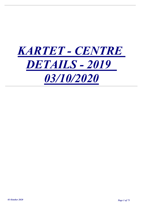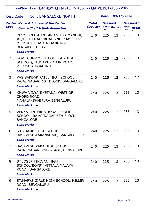## Dist.Code: 10 , BANGALORE NORTH

|                | <b>Centre Name &amp; Address of the Centre</b>                                                                                               | <b>Total</b>    | <b>SessionI</b> |                     | <b>SessionII</b> |             |
|----------------|----------------------------------------------------------------------------------------------------------------------------------------------|-----------------|-----------------|---------------------|------------------|-------------|
| <b>Code</b>    | <b>Centre Cheif &amp; their Phone Nos</b>                                                                                                    | <b>Capacity</b> | ed              | <b>Allot-</b> Rooms | Allot-<br>ed     | <b>Room</b> |
| 1              | RES'S SREE AUROBIND VIDYA MANDIR,<br>#6/C 5TH MAIN ROAD 2ND PHASE DR<br>MC MODI ROAD, RAJAJINAGAR,<br><b>BENGALURU - 86</b><br>Land Mark: -- | 240             | 225             | 13                  | 233              | 13          |
| $\overline{2}$ | <b>GOVT COMPOSITE COLLEGE (HIGH</b><br>SCHOOL), TUMAKUR MAIN ROAD,<br>PEENYA, BENGALURU<br><b>Land Mark: --</b>                              | 240             | 225             | 12                  | 233              | 13          |
| 3              | VVS SARDAR PATEL HIGH SCHOOL,<br>RAJAJINAGAR, 1ST BLOCK, BANGALORE<br><b>Land Mark: --</b>                                                   | 240             | 225             | 12                  | 233              | 12          |
| 4              | KMWA VIDYANIKETANA, WEST OF<br>CHORD ROAD,<br>MAHALAKSHMIPURA, BENGALURU<br><b>Land Mark: --</b>                                             | 240             | 225             | 13                  | 233              | 13          |
| 5              | <b>VENKAT INTERNATIONAL PUBLIC</b><br>SCHOOL, RAJAJINAGAR 5TH BLOCK,<br><b>BANGALORE</b><br><b>Land Mark: --</b>                             | 240             | 225             | 12                  | 233              | 13          |
| 6              | S CADAMBI HIGH SCHOOL,<br>BASAVESHWARANAGAR, BANGALORE-79<br>Land Mark: --                                                                   | 240             | 225             | 12                  | 233              | 13          |
| $\overline{7}$ | BASAVESHWARA HIGH SCHOOL,<br>RAJAJINAGAR, 2ND STAGE, BENGALURU<br><b>Land Mark: --</b>                                                       | 240             | 225             | 13                  | 233              | 13          |
| 8              | ST JOSEPH INDIAN HIGH<br>SCHOOL(BOYS), VITTALA MALAYA<br>ROAD, BANGALORE<br>Land Mark: --                                                    | 240             | 225             | 13                  | 233              | 13          |
| 9              | ST.MARYS GIRLS HIGH SCHOOL, MILLER<br>ROAD, BENGALURU<br>Land Mark: --                                                                       | 240             | 225             | 13                  | 233              | 13          |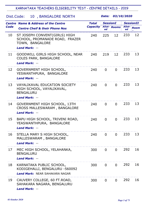#### Dist.Code: 10 , BANGALORE NORTH

|             | <b>Centre Name &amp; Address of the Centre</b>                                                                | <b>Total</b>    | <b>SessionI</b> |                     |              | <b>SessionII</b> |
|-------------|---------------------------------------------------------------------------------------------------------------|-----------------|-----------------|---------------------|--------------|------------------|
| <b>Code</b> | <b>Centre Cheif &amp; their Phone Nos</b>                                                                     | <b>Capacity</b> | ed              | <b>Allot-</b> Rooms | Allot-<br>ed | <b>Room</b>      |
| 10          | ST JOSEPH CONVENT(GIRLS) HIGH<br>SCHOOL, PROMANADE ROAD, FRAZER<br>TOWN, BANGALORE<br>Land Mark: --           | 240             | 225             | 12                  | 233          | 12               |
| 11          | GOODWILL GIRLS HIGH SCHOOL, NEAR<br><b>COLES PARK, BANGALORE</b><br>Land Mark: --                             | 240             | 219             | 12                  | 233          | 13               |
| 12          | GOVERNMENT HIGH SCHOOL,<br>YESWANTHPURA, BANGALORE<br><b>Land Mark: --</b>                                    | 240             | $\Omega$        | $\Omega$            | 233          | 13               |
| 13          | <b>VAYALIKAVAL EDUCATION SOCIETY</b><br>HIGH SCHOOL, VAYALIKAVAL,<br><b>BENGALURU</b><br><b>Land Mark: --</b> | 240             | $\Omega$        | $\Omega$            | 233          | 13               |
| 14          | GOVERNMENT HIGH SCHOOL, 13TH<br><b>CROSS MALLESWARAM, BANGALORE</b><br><b>Land Mark: --</b>                   | 240             | $\Omega$        | $\Omega$            | 233          | 13               |
| 15          | BAPU HIGH SCHOOL, TRIVENI ROAD,<br>YEASWANTHPURA, BANGALORE<br><b>Land Mark: --</b>                           | 240             | $\mathbf 0$     | $\mathbf 0$         | 233          | 13               |
| 16          | STELLA MARY S HIGH SCHOOL,<br>MALLESWARAM, BANGALORE<br><b>Land Mark: --</b>                                  | 240             | $\Omega$        | $\Omega$            | 233          | 13               |
| 17          | MEC HIGH SCHOOL, YELAHANKA,<br><b>BENGALURU</b><br><b>Land Mark: --</b>                                       | 300             | $\mathbf 0$     | $\Omega$            | 292          | 16               |
| 18          | KARNATAKA PUBLIC SCHOOL,<br>KODIGEHALLI, BENGALURU -560092<br><b>Land Mark: NEAR SAHAKARA NAGAR</b>           | 300             | $\Omega$        | $\Omega$            | 292          | 16               |
| 19          | CAUVERY COLLEGE, 60 FT.ROAD,<br>SAHAKARA NAGARA, BENGALURU<br><b>Land Mark: --</b>                            | 300             | $\mathbf 0$     | $\Omega$            | 292          | 16               |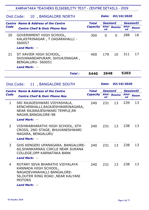# Dist.Code: 10 , BANGALORE NORTH

| Code           | <b>Centre Name &amp; Address of the Centre</b><br><b>Centre Cheif &amp; their Phone Nos</b>                                                                        | <b>Total</b><br><b>Capacity</b> | <b>SessionI</b><br>ed | <b>Allot-</b> Rooms | Allot-<br>ed | <b>SessionII</b><br><b>Room</b> |
|----------------|--------------------------------------------------------------------------------------------------------------------------------------------------------------------|---------------------------------|-----------------------|---------------------|--------------|---------------------------------|
| 20             | GOVERNMENT HIGH SCHOOL,<br>KALASTRINAGAR, T DASARAHALLI -<br>560057                                                                                                | 300                             | $\Omega$              | $\Omega$            | 288          | 16                              |
|                | <b>Land Mark: --</b>                                                                                                                                               |                                 |                       |                     |              |                                 |
| 21             | ST XAVIER HIGH SCHOOL,<br>SHIVANANDAPURAM, SHIVAJINAGAR,<br>BENGALURU-560051                                                                                       | 400                             | 179                   | 10                  | 311          | 17                              |
|                | Land Mark: --<br><b>Total:</b>                                                                                                                                     | 5440                            | 2648                  |                     | 5203         |                                 |
|                |                                                                                                                                                                    |                                 |                       |                     |              |                                 |
| Dist.Code:     | 11, BANGALORE SOUTH                                                                                                                                                |                                 | Date:                 |                     | 03/10/2020   |                                 |
|                | <b>Centre Name &amp; Address of the Centre</b>                                                                                                                     | <b>Total</b>                    | <b>SessionI</b>       |                     |              | <b>SessionII</b>                |
| Code           | <b>Centre Cheif &amp; their Phone Nos</b>                                                                                                                          | <b>Capacity</b>                 | Allot-<br>ed          | <b>Rooms</b>        | Allot-<br>ed | <b>Room</b>                     |
| 1              | SRI RAJAJESHWARI VIDYASHALA,<br>KENCHENHALLI, RAJAJESHWARINAGARA,<br>NEAR RAJARAJESHWARI TEMPLE, RR<br>NAGAR, BANGALORE-98                                         | 240                             | 231                   | 13                  | 239          | 13                              |
|                | Land Mark: --                                                                                                                                                      |                                 |                       |                     |              |                                 |
| $\overline{2}$ | VISHWABHARATHI HIGH SCHOOL, 6TH<br>CROSS, 2ND STAGE, BHUVANESHWARI<br>NAGARA, BENGALURU<br>Land Mark: --                                                           | 240                             | 231                   | 13                  | 238          | 13                              |
|                |                                                                                                                                                                    |                                 |                       |                     |              |                                 |
| 3              | GHS KENGERI UPANAGARA, BANGALORE-<br>60, SHANKARNAG CIRCLE NEAR SURANA<br>COLLEGE, OPP KARNATAKA BANK                                                              | 240                             | 231                   | 13                  | 238          | 13                              |
|                | Land Mark: --                                                                                                                                                      |                                 |                       |                     |              |                                 |
| 4              | ROTARY SEVA BHARATHI VIDYALAYA<br>KANNADA HIGH SCHOOL,<br>NAGADEVANAHALLI BANGALORE-<br>56, OUTER RING ROAD, NEAR KALYANI<br><b>MOTORS</b><br><b>Land Mark: --</b> | 240                             | 231                   | 13                  | 238          | 13                              |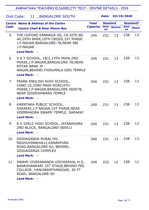## Dist.Code: 11 , BANGALORE SOUTH

|                | <b>Centre Name &amp; Address of the Centre</b>                                                                                                             | <b>Total</b>    | <b>SessionI</b> |                     |              | <b>SessionII</b> |
|----------------|------------------------------------------------------------------------------------------------------------------------------------------------------------|-----------------|-----------------|---------------------|--------------|------------------|
| Code           | <b>Centre Cheif &amp; their Phone Nos</b>                                                                                                                  | <b>Capacity</b> | ed              | <b>Allot-</b> Rooms | Allot-<br>ed | <b>Room</b>      |
| 5              | THE OXFORD KANNADA HS, CA SITE NO<br>40,29TH AMIN,10TH CROSS,1ST PHASE<br>J.P.NAGAR, BANGALORE-78, NEAR SBI<br>J.P.NAGAR<br><b>Land Mark: --</b>           | 240             | 231             | 13                  | 238          | 13               |
| 6              | V.E.T SCHOOL, 18/2,14TH MAIN,2ND<br>PHASE, J.P. NAGAR, BANGALORE-78, NEAR<br><b>KOTAK BANK JP</b><br>NAGAR, BEHIND, THIRUMALA GIRI TEMPLE<br>Land Mark: -- | 240             | 231             | 13                  | 238          | 13               |
| $\overline{7}$ | FRANK ENGLISH HIGH SCHOOL,<br>CANO.10,33RD MAIN ROAD,6TH<br>PHASE, J.P NAGAR, BANGALORE-560078,<br><b>NEAR SIDDESHWARA TEMPLE</b><br><b>Land Mark: --</b>  | 240             | 231             | 13                  | 238          | 13               |
| 8              | KARNTAKA PUBLIC SCHOOL,<br>SARAKKI, J.P NAGAR, 1ST PHASE, NEAR<br>VEERBHADRA SWAMY TEMPLE, SARAKKI<br><b>Land Mark: --</b>                                 | 240             | 231             | 13                  | 238          | 12               |
| 9              | R.V GIRLS HIGH SCHOOL, JAYANAGARA<br>2ND BLOCK, BANGALORE-560011<br><b>Land Mark:</b><br>$ -$                                                              | 240             | 231             | 13                  | 238          | 13               |
| 10             | SIDDAGANGA RURAL HS,<br>RAGHUVANAHALLI, KANAKPURA<br>ROAD, BANGALORE-62, BEHIND,<br>SIDDAGANGA COMPLEX<br><b>Land Mark: --</b>                             | 240             | 231             | 13                  | 238          | 13               |
| 11             | SWAMI VIVEKANANDA VIDYASAHAL H.S,<br>BANASHANKARI 1ST STAGE, BEHIND PES<br>COLLEGE, HANUMANTHANAGAR, 50 FT<br>ROAD, BANGALORE-50<br>Land Mark: --          | 240             | 222             | 12                  | 238          | 12               |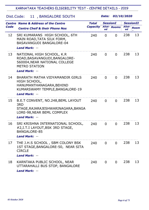## Dist.Code: 11 , BANGALORE SOUTH

|             | <b>Centre Name &amp; Address of the Centre</b>                                                                                         | <b>Total</b>    | <b>SessionI</b> |                     |              | <b>SessionII</b> |
|-------------|----------------------------------------------------------------------------------------------------------------------------------------|-----------------|-----------------|---------------------|--------------|------------------|
| <b>Code</b> | <b>Centre Cheif &amp; their Phone Nos</b>                                                                                              | <b>Capacity</b> | ed              | <b>Allot-</b> Rooms | Allot-<br>ed | <b>Room</b>      |
| 12          | SRI KUMARANS HIGH SCHOOL, 6TH<br>MAIN ROAD, TATA SILK FORM,<br><b>BASAVANGUDI BANGALORE-04</b><br><b>Land Mark: --</b>                 | 240             | 0               | $\Omega$            | 238          | 13               |
| 13          | NATIONAL HIGH SCHOOL, K.R.<br>ROAD, BASAVANGUDI, BANGALORE-<br>560004, NEAR NATIONAL COLLEGE<br><b>METRO STATION</b><br>Land Mark: --  | 240             | $\overline{0}$  | $\Omega$            | 238          | 13               |
| 14          | BHARATH MATHA VIDYAMANDIR GIRLS<br>HIGH SCHOOL,<br>HANUMANTHANAGARA, BEHIND<br>KUMARSWAMY TEMPLE, BANGALORE-19<br><b>Land Mark: --</b> | 240             | $\mathbf 0$     | $\Omega$            | 238          | 13               |
| 15          | B.E.T CONVENT, NO.248, BEML LAYOUT<br>3RD<br>STAGE, RAJARAJESHWARINAGARA, BANGA<br>LORE-98, NEAR BEML COMPLEX<br><b>Land Mark: --</b>  | 240             | $\overline{0}$  | $\mathbf 0$         | 238          | 13               |
| 16          | SRI KRISHNA INTERNATIONAL SCHOOL,<br>#2,I.T.I LAYOUT, BSK 3RD STAGE,<br>BANGALORE-85<br>Land Mark: --                                  | 240             | $\mathbf 0$     | 0                   | 238          | 13               |
| 17          | THE J.H.S SCHOOL, SBM COLONY BSK<br>1ST STAGE, BANGALORE-50, NEAR SITA<br><b>CIRCLE</b><br><b>Land Mark: --</b>                        | 240             | $\overline{0}$  | $\overline{0}$      | 238          | 13               |
| 18          | KARNTAKA PUBLIC SCHOOL, NEAR<br>UTTARAHALLI BUS STOP, BANGALORE<br>Land Mark: --                                                       | 240             | $\mathbf 0$     | $\Omega$            | 238          | 13               |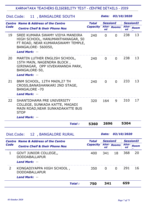# Dist.Code: 11 , BANGALORE SOUTH

|                | <b>Centre Name &amp; Address of the Centre</b>                                                                                                        | <b>Total</b>    | <b>SessionI</b> |                     |              | <b>SessionII</b> |
|----------------|-------------------------------------------------------------------------------------------------------------------------------------------------------|-----------------|-----------------|---------------------|--------------|------------------|
| <b>Code</b>    | <b>Centre Cheif &amp; their Phone Nos</b>                                                                                                             | <b>Capacity</b> | ed              | <b>Allot-</b> Rooms | Allot-<br>ed | <b>Room</b>      |
| 19             | SREE KUMARA SWAMY VIDYA MANDIRA<br>HIGH SCHOOL, HANUMANTHANAGAR, 50<br>FT ROAD, NEAR KUMARASWAMY TEMPLE,<br>BANGALORE-560050,<br><b>Land Mark: --</b> | 240             | $\Omega$        | $\Omega$            | 238          | 13               |
| 20             | MARTIN LUTHER ENGLISH SCHOOL,<br>15TH MAIN, NAGENDRA BLOCK,<br>GIRINAGAR, OPP VIVEKANANDA PARK,<br>BANGALORE-50,<br>Land Mark: --                     | 240             | $\mathbf 0$     | $\mathbf{0}$        | 238          | 13               |
| 21             | BNM SCHOOL, 12TH MAIN, 27 TH<br>CROSS, BANASHANKARI 2ND STAGE,<br><b>BANGALORE -70</b><br>Land Mark: --                                               | 240             | $\Omega$        | $\overline{0}$      | 233          | 13               |
| 22             | SHANTIDHAMA PRE UNIVERSITY<br>COLLEGE, SUNKADA KATTE, MAGADI<br>MAIN ROAD, NEAR SUNKADAKATTE BUS<br><b>STOP</b>                                       | 320             | 164             | 9                   | 310          | 17               |
|                | <b>Land Mark: --</b>                                                                                                                                  |                 |                 |                     |              |                  |
|                | <b>Total:</b>                                                                                                                                         | 5360            | 2696            |                     | 5304         |                  |
|                | 12, BANGALORE RURAL<br>Dist.Code:                                                                                                                     |                 | Date:           |                     | 03/10/2020   |                  |
|                | <b>Centre Name &amp; Address of the Centre</b>                                                                                                        | <b>Total</b>    | <b>SessionI</b> |                     |              | <b>SessionII</b> |
| Code           | <b>Centre Cheif &amp; their Phone Nos</b>                                                                                                             | <b>Capacity</b> | ed              | <b>Allot-</b> Rooms | Allot-<br>ed | <b>Room</b>      |
| 1              | GOVT JUNIOR COLLEGE,<br><b>DODDABALLAPUR</b><br>Land Mark: --                                                                                         | 400             | 341             | 18                  | 368          | 20               |
| $\overline{2}$ | KONGADIYAPPA HIGH SCHOOL,<br><b>DODDABALLAPUR</b><br><b>Land Mark: --</b>                                                                             | 350             | $\overline{0}$  | $\overline{0}$      | 291          | 16               |
|                | <b>Total:</b>                                                                                                                                         | 750             | 341             |                     | 659          |                  |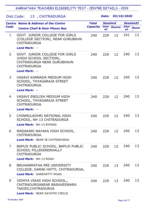#### Dist.Code: 13 , CHITRADURGA

|                | <b>Centre Name &amp; Address of the Centre</b>                                                                                      | <b>Total</b>    | <b>SessionI</b> |                     |              | <b>SessionII</b> |
|----------------|-------------------------------------------------------------------------------------------------------------------------------------|-----------------|-----------------|---------------------|--------------|------------------|
| Code           | <b>Centre Cheif &amp; their Phone Nos</b>                                                                                           | <b>Capacity</b> | ed              | <b>Allot-</b> Rooms | Allot-<br>ed | <b>Room</b>      |
| $\mathbf{1}$   | <b>GOVT JUNIOR COLLEGE FOR GIRLS</b><br>(COLLEGE SECTION), NEAR GURUBAVN<br><b>CHITRADURGA</b><br><b>Land Mark: --</b>              | 240             | 229             | 12                  | 241          | 13               |
| $\overline{2}$ | <b>GOVT JUNIOR COLLEGE FOR GIRLS</b><br>(HIGH SCHOOL SECTION),<br>CHITRADURGA NEAR GURUBHAVN<br><b>CHITRADURGA</b><br>Land Mark: -- | 240             | 229             | 12                  | 240          | 13               |
| 3              | VASAVI KANNADA MEDIUM HIGH<br>SCHOOL, THYAGARAJA STREET<br>CHITRADURGA.<br><b>Land Mark: --</b>                                     | 240             | 229             | 12                  | 240          | 13               |
| $\overline{4}$ | <b>VASAVI ENGLISH MEDIUM HIGH</b><br>SCHOOL, THYAGARAJA STREET<br>CHITRADURGA.<br><b>Land Mark: --</b>                              | 240             | 229             | 12                  | 240          | 13               |
| 5              | CHINMULADHRI NATIONAL HIGH<br>SCHOOL, NH 13 CHITRADURGA<br><b>Land Mark: NH-13 BYPASS</b>                                           | 240             | 229             | 12                  | 240          | 13               |
| 6              | MADAKARI NAYAKA HIGH SCHOOL,<br>CHITRADURGA.<br><b>Land Mark: NEAR IB CHITRADURGA</b>                                               | 240             | 229             | 12                  | 240          | 13               |
| $\overline{7}$ | BAPUJI PUBLIC SCHOOL, BAPUJI PUBLIC<br><b>SCHOOL PILLEKERENHALLY</b><br><b>CHITRADURGA</b><br>Land Mark: NH-13 ROAD                 | 240             | 229             | 12                  | 240          | 13               |
| 8              | BRUHANMATHA PRE UNIVERSITY<br>COLLEGE, GARAE HATTI, CHITRADURGA,<br><b>Land Mark: GAREHATTY ROAD</b>                                | 240             | 229             | 13                  | 240          | 13               |
| 9              | VIDHYA VIKAS HIGH SCHOOL,,<br>CHITRADURGANEAR BASAVESWARA<br>TAKIES, CHITRADURGA<br><b>Land Mark: NEAR GAYATRI CIRCLE</b>           | 240             | 229             | 13                  | 240          | 13               |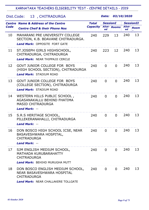# Dist.Code: 13 , CHITRADURGA

|      | <b>Centre Name &amp; Address of the Centre</b>                                                                              | <b>Total</b>    | <b>SessionI</b> |                     |              | <b>SessionII</b> |
|------|-----------------------------------------------------------------------------------------------------------------------------|-----------------|-----------------|---------------------|--------------|------------------|
| Code | <b>Centre Cheif &amp; their Phone Nos</b>                                                                                   | <b>Capacity</b> | ed              | <b>Allot-</b> Rooms | Allot-<br>ed | <b>Room</b>      |
| 10   | <b>MAHARANI PRE UNIVERSITY COLLEGE</b><br>SECTION, K.B. BDAVANE CHITRADURGA.<br><b>Land Mark: OPPOSITE FORT GATE</b>        | 240             | 229             | 13                  | 240          | 13               |
| 11   | ST.JOSEPH GIRLS HIGHSCHOOL,<br>CHITRADURGA, CHITRADURGA<br><b>Land Mark: NEAR THIPPAJJI CERCLE</b>                          | 240             | 223             | 12                  | 240          | 13               |
| 12   | <b>GOVT JUNIOR COLLEGE FOR BOYS</b><br>(HIGH SCHOOL SECTION), CHITRADURGA<br><b>Land Mark: STADIUM ROAD</b>                 | 240             | $\Omega$        | $\Omega$            | 240          | 13               |
| 13   | <b>GOVT JUNIOR COLLEGE FOR BOYS</b><br>(COLLEGE SECTION), CHITRADURGA<br><b>Land Mark: STADIUM ROAD</b>                     | 240             | $\Omega$        | $\Omega$            | 240          | 13               |
| 14   | WESTERN HILLS PUBLIC SCHOOL,<br>AGASANAKALLU BEHIND FHATIMA<br><b>MASID CHITRADURGA</b><br><b>Land Mark: --</b>             | 240             | $\overline{0}$  | $\Omega$            | 240          | 13               |
| 15   | S.R.S HERITAGE SCHOOL,<br>PILLEKERANAHALLI, CHITRADURGA<br><b>Land Mark: --</b>                                             | 240             | $\overline{0}$  | $\Omega$            | 240          | 13               |
| 16   | DON BOSCO HIGH SCHOOL ICSE, NEAR<br><b>BASAVESHWARA HOSPITAL,</b><br><b>CHITRADURGA</b><br>Land Mark: --                    | 240             | 0               | 0                   | 240          | 13               |
| 17   | SJM ENGLISH MEDIUM SCHOOL,<br>MATHADA KURUBARAHATTY<br><b>CHITRADURGA</b><br><b>Land Mark:</b> BEHIHD MURUGHA MUTT          | 240             | $\overline{0}$  | $\Omega$            | 240          | 13               |
| 18   | DON BOSCO ENGLISH MEDIUM SCHOOL,<br>NEAR BASAVESHWARA HOSPITAL<br><b>CHITRADURGA</b><br>Land Mark: NEAR CHALLAKERE TOLLGATE | 240             | $\overline{0}$  | $\Omega$            | 240          | 13               |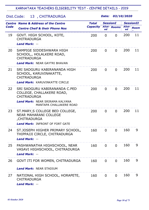# Dist.Code: 13 , CHITRADURGA

|             | <b>Centre Name &amp; Address of the Centre</b>                                                                                                               | <b>Total</b>    | <b>SessionI</b> |                     |              | <b>SessionII</b> |
|-------------|--------------------------------------------------------------------------------------------------------------------------------------------------------------|-----------------|-----------------|---------------------|--------------|------------------|
| <b>Code</b> | <b>Centre Cheif &amp; their Phone Nos</b>                                                                                                                    | <b>Capacity</b> | ed              | <b>Allot-</b> Rooms | Allot-<br>ed | <b>Room</b>      |
| 19          | GOVT. HIGH SCHOOL, KOTE,<br><b>CHITRADURGA</b><br><b>Land Mark: --</b>                                                                                       | 200             | $\overline{0}$  | 0                   | 200          | 11               |
| 20          | SAMPIGE SIDDESHWARA HIGH<br>SCHOOL,, HOLALKERE ROAD,<br><b>CHITRADURGA</b><br><b>Land Mark: NEAR GAYTRI BHAVAN</b>                                           | 200             | $\mathbf 0$     | $\Omega$            | 200          | 11               |
| 21          | SRI SADGURU KABIRANANDA HIGH<br>SCHOOL, KARUVINAKATTE,<br><b>CHITRADURGA</b><br><b>Land Mark: KARUVINKATTE CIRCLE</b>                                        | 200             | $\Omega$        | $\Omega$            | 200          | 11               |
| 22          | SRI SADGURU KABIRANANDA C.PED<br>COLLEGE, CHALLAKERE ROAD,<br><b>CHITRADURGA</b><br><b>Land Mark: NEAR SRIRAMA KALYANA</b><br><b>MANTAPA CHALLAKERE ROAD</b> | 200             | $\Omega$        | $\Omega$            | 200          | 11               |
| 23          | ST.MARY, S COLLEGE BED COLLEGE,<br><b>NEAR MAHARANI COLLEGE</b><br>,CHITRADURGA<br><b>Land Mark: INFRONT OF FORT GATE</b>                                    | 200             | $\overline{0}$  | $\Omega$            | 200          | 11               |
| 24          | ST.JOSEPH HIGHER PRIMARY SCHOOL,<br>THIPPAJJI CIRCLE, CHITRADURGA<br>Land Mark: --                                                                           | 160             | $\mathbf 0$     | 0                   | 160          | 9                |
| 25          | PASHWANATHA HIGHSCHOOL, NEAR<br>VASAVI HIGHSCHOOL, CHITRADURGA<br><b>Land Mark: --</b>                                                                       | 160             | $\overline{0}$  | $\Omega$            | 160          | 9                |
| 26          | GOVT ITI FOR WOMEN, CHITRADURGA<br><b>Land Mark: NEAR STADIUM</b>                                                                                            | 160             | $\overline{0}$  | $\Omega$            | 160          | 9                |
| 27          | NATIONAL HIGH SCHOOL, HORAPETE,<br><b>CHITRADURGA</b><br><b>Land Mark: --</b>                                                                                | 160             | $\Omega$        | $\overline{0}$      | 160          | 9                |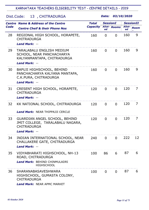# Dist.Code: 13 , CHITRADURGA

|             | <b>Centre Name &amp; Address of the Centre</b>                                                                        | <b>Total</b>    | <b>SessionI</b> |                     |              | <b>SessionII</b> |
|-------------|-----------------------------------------------------------------------------------------------------------------------|-----------------|-----------------|---------------------|--------------|------------------|
| <b>Code</b> | <b>Centre Cheif &amp; their Phone Nos</b>                                                                             | <b>Capacity</b> | ed              | <b>Allot-</b> Rooms | Allot-<br>ed | <b>Room</b>      |
| 28          | REGIONAL HIGH SCHOOL, HORAPETE,<br><b>CHITRADURGA</b>                                                                 | 160             | 0               | $\Omega$            | 160          | 9                |
|             | <b>Land Mark: --</b>                                                                                                  |                 |                 |                     |              |                  |
| 29          | <b>TARALABALU ENGLISH MEDIUM</b><br>SCHOOL, NEAR PANCHACHARYA<br>KALYANMANTAPA, CHITRADURGA<br><b>Land Mark: --</b>   | 160             | $\mathbf 0$     | $\Omega$            | 160          | 9                |
| 30          | BAPUJI HIGHSCHOOL, BEHIND<br>PANCHACHARYA KALYANA MANTAPA,<br>C.K. PURA, CHITRADURGA<br>Land Mark: --                 | 160             | $\overline{0}$  | $\Omega$            | 160          | 9                |
| 31          | CRESENT HIGH SCHOOL, HORAPETE,<br><b>CHITRADURGA</b><br><b>Land Mark: --</b>                                          | 120             | $\overline{0}$  | $\Omega$            | 120          | 7                |
| 32          | KK NATIONAL SCHOOL, CHITRADURGA<br><b>Land Mark: NEAR THIPPAJJI CERCLE</b>                                            | 120             | $\mathbf 0$     | $\Omega$            | 120          | 7                |
|             |                                                                                                                       |                 |                 |                     |              |                  |
| 33          | GUARDIAN ANGEL SCHOOL, BEHIND<br>JMIT COLLEGE, TARALABALU NAGARA,<br><b>CHITRADURGA</b><br><b>Land Mark: --</b>       | 120             | $\mathbf 0$     | $\mathbf 0$         | 120          | 7                |
| 34          | INDIAN INTERNATIONAL SCHOOL, NEAR<br>CHALLAKERE GATE, CHITRADURGA<br>Land Mark: --                                    | 240             | $\overline{0}$  | $\Omega$            | 222          | 12               |
| 35          | VIDYABHARATI HIGHSCHOOL, NH-13<br>ROAD, CHITRADURGA<br>Land Mark: BEHIND CHINMULADRI<br><b>HIGHSCHOOL</b>             | 100             | 86              | 6                   | 87           | 6                |
| 36          | <b>SHARANABASAVESHWARA</b><br>HIGHSCHOOL, GUMASTA COLONY,<br><b>CHITRADURGA</b><br><b>Land Mark: NEAR APMC MARKET</b> | 100             | $\overline{0}$  | $\Omega$            | 87           | 6                |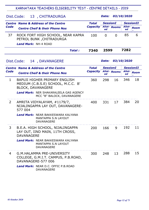| Dist.Code:     | 13, CHITRADURGA                                                                                                                       |                 | Date:           |                     | 03/10/2020   |                  |  |
|----------------|---------------------------------------------------------------------------------------------------------------------------------------|-----------------|-----------------|---------------------|--------------|------------------|--|
|                | <b>Centre Name &amp; Address of the Centre</b>                                                                                        | <b>Total</b>    | <b>SessionI</b> |                     |              | <b>SessionII</b> |  |
| Code           | <b>Centre Cheif &amp; their Phone Nos</b>                                                                                             | <b>Capacity</b> | ed              | <b>Allot-</b> Rooms | Allot-<br>ed | <b>Room</b>      |  |
| 37             | ROCK FORT HIGH SCHOOL, NEAR KAPRA<br>PETROL BUNK, CHITRADURGA<br>Land Mark: NH-4 ROAD                                                 | 100             | 0               | $\mathbf 0$         | 85           | 6                |  |
|                | <b>Total:</b>                                                                                                                         | 7340            | 2599            |                     | 7282         |                  |  |
| Dist.Code:     | 14 , DAVANAGERE                                                                                                                       |                 | Date:           |                     | 03/10/2020   |                  |  |
|                | <b>Centre Name &amp; Address of the Centre</b>                                                                                        | <b>Total</b>    | <b>SessionI</b> |                     |              | <b>SessionII</b> |  |
| Code           | <b>Centre Cheif &amp; their Phone Nos</b>                                                                                             | <b>Capacity</b> | ed              | Allot-Rooms         | Allot-<br>ed | <b>Room</b>      |  |
| $\mathbf{1}$   | <b>BAPUJI HIGHER PRIMARY ENGLISH</b><br>MEDIUM (C.B.S.E) SCHOOL, M.C.C. B'<br><b>BLOCK, DAVANAGERE</b>                                | 360             | 298             | 16                  | 346          | 18               |  |
|                | <b>Land Mark: NER SHAKARALEELA GAS AGENCY</b><br>MCC "B" BALOCK, DAVANAGERE                                                           |                 |                 |                     |              |                  |  |
| $\overline{2}$ | AMRITA VIDYALAYAM, #1179/7,<br>NIJALINGAPPA LAY OUT, DAVANAGERE-<br>577 004                                                           | 400             | 331             | 17                  | 384          | 20               |  |
|                | <b>Land Mark: NEAR BAKKESWARA KALYANA</b><br>MANTAPPA S.N LAYOUT<br><b>DAVANAGERE</b>                                                 |                 |                 |                     |              |                  |  |
| 3              | B.E.A. HIGH SCHOOL, NIJALINGAPPA<br>LAY OUT, IIND MAIN, 11TH CROSS,<br><b>DAVANAGERE</b><br><b>Land Mark: NEAR BAKKESWARA KALYANA</b> | 200             | 166             | 9                   | 192          | 11               |  |
|                | <b>MANTAPPA S.N LAYOUT</b><br><b>DAVANAGERE</b>                                                                                       |                 |                 |                     |              |                  |  |
| $\overline{4}$ | <b>G.M.HALAMMA PRE-UNIVERSITY</b><br>COLLEGE, G.M.I.T. CAMPUS, P.B.ROAD,<br>DAVANAGERE-577 006                                        | 300             | 248             | 13                  | 288          | 15               |  |
|                | Land Mark: NEAR D.C. OFFIC P.B.ROAD<br>DAVANAGERE                                                                                     |                 |                 |                     |              |                  |  |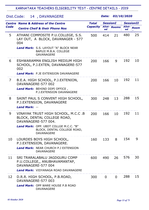| Dist.Code: |  | 14, DAVANAGERE |
|------------|--|----------------|
|------------|--|----------------|

| <b>Code</b>    | <b>Centre Name &amp; Address of the Centre</b><br><b>Centre Cheif &amp; their Phone Nos</b> | <b>Total</b><br><b>Capacity</b> | <b>SessionI</b><br>ed | <b>Allot-</b> Rooms | Allot-<br>ed | <b>SessionII</b><br><b>Room</b> |
|----------------|---------------------------------------------------------------------------------------------|---------------------------------|-----------------------|---------------------|--------------|---------------------------------|
| 5              | ATHANI COMPOSITE P.U.COLLEGE, S.S.<br>LAY OUT, A BLOCK, DAVANAGER - 577<br>004              | 500                             | 414                   | 21                  | 480          | 25                              |
|                | Land Mark: S.S. LAYOUT "A" BLOCK NEAR<br><b>BAPUJI M.B.A. COLLEGE</b><br><b>GAVANAGERE</b>  |                                 |                       |                     |              |                                 |
| 6              | ESHWARAMMA ENGLISH MEDIUM HIGH<br>SCHOOL, P.J.EXTEN, DAVANAGERE-577<br>002                  | 200                             | 166                   | 9                   | 192          | 10                              |
|                | <b>Land Mark: P.JE EXTENSION DAVANAGERE</b>                                                 |                                 |                       |                     |              |                                 |
| $\overline{7}$ | B.E.A. HIGH SCHOOL, P.J.EXTENION,<br>DAVANAGERE-577 002                                     | 200                             | 166                   | 10                  | 192          | 11                              |
|                | Land Mark: BEHIND DDPI OFFICE,<br>P.J.EXTENSION DAVANAGERE                                  |                                 |                       |                     |              |                                 |
| 8              | SAINT PAUL S CONVENT HIGH SCHOOL,<br>P.J.EXTENSION, DAVANAGERE                              | 300                             | 248                   | 13                  | 288          | 15                              |
|                | Land Mark: --                                                                               |                                 |                       |                     |              |                                 |
| 9              | VINAYAK TRUST HIGH SCHOOL, M.C.C .B<br>BLOCK, DENTAL COLLEGE ROAD,<br>DAVANAGERE-577 004.   | 200                             | 166                   | 10                  | 192          | 11                              |
|                | Land Mark: OPP. UBDT COLLGE M.C.C. "B"<br>BLOCK, DENTAL COLLEGE ROAD,<br><b>DAVANAGERE</b>  |                                 |                       |                     |              |                                 |
| 10             | LOURDES BOYS HIGH SCHOOL,<br>P.J.EXTENSION, DAVANAGERE.                                     | 160                             | 133                   | 8                   | 154          | 9                               |
|                | <b>Land Mark: NEAR CHURCH P.J EXTENSION</b><br><b>DAVANAGERE</b>                            |                                 |                       |                     |              |                                 |
| 11             | SRI TRARALABALU JAGDGURU COMP<br>P.U.COLLEGE,, ANUBHAVAMANTAP,<br>DAVANAGERE-577 004        | 600                             | 490                   | 26                  | 576          | 30                              |
|                | <b>Land Mark:</b> VIDYANAGA ROAD DAVANAGERE                                                 |                                 |                       |                     |              |                                 |
| 12             | D.R.R. HIGH SCHOOL, P.B.ROAD,<br>DAVANAGERE-577 003                                         | 300                             | $\mathbf 0$           | $\Omega$            | 288          | 15                              |
|                | <b>Land Mark:</b> OPP WARE HOUSE P.B ROAD<br><b>DAVANAGERE</b>                              |                                 |                       |                     |              |                                 |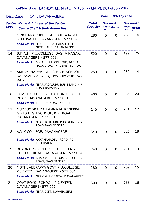| Dist.Code: |  | 14, DAVANAGERE |
|------------|--|----------------|
|------------|--|----------------|

|             | <b>Centre Name &amp; Address of the Centre</b>                                                                                           | <b>Total</b>    | <b>SessionI</b> |                     | <b>SessionII</b> |             |
|-------------|------------------------------------------------------------------------------------------------------------------------------------------|-----------------|-----------------|---------------------|------------------|-------------|
| <b>Code</b> | <b>Centre Cheif &amp; their Phone Nos</b>                                                                                                | <b>Capacity</b> | ed              | <b>Allot-</b> Rooms | Allot-<br>ed     | <b>Room</b> |
| 13          | NINCHANA PUBLIC SCHOOL, #475/1B,<br>NITTUVALLI, DAVANAGERE-577 004<br><b>Land Mark: NEAR DURGAMBIKA TEMPLE</b><br>NITTUVALLI, DAVANAGERE | 280             | $\Omega$        | $\Omega$            | 269              | 14          |
| 14          | S.K.A.H. P.U.COLLEGE, BASHA NAGAR,<br>DAVANAGERE - 577 001.<br>Land Mark: S.K.A.H. P.U.COLLEGE, BASHA<br>NAGAR, DAVANAGERE - 577 001.    | 520             | $\overline{0}$  | $\Omega$            | 499              | 26          |
| 15          | AKKAMAHADEVI GIRLS HIGH SCHOOL,<br>NARASARAJA ROAD, DAVANAGERE -577<br>001.                                                              | 260             | $\overline{0}$  | $\Omega$            | 250              | 14          |
|             | <b>Land Mark:</b> NEAR JAGALURU BUS STAND K.R.<br><b>ROAD DAVANAGERE</b>                                                                 |                 |                 |                     |                  |             |
| 16          | GOVT P.U.COLLEGE, EX-MUNICIPAL, N.R.<br>ROAD, DAVANAGERE - 577 001                                                                       | 400             | $\overline{0}$  | $\overline{0}$      | 384              | 20          |
|             | <b>Land Mark:</b> K.R. ROAD DAVANAGERE                                                                                                   |                 |                 |                     |                  |             |
| 17          | MUDEGODRA MALLAMMA MUREGEPPA<br>GIRLS HIGH SCHOOL, K.R. ROAD,<br>DAVANAGERE -577 001                                                     | 240             | $\overline{0}$  | $\overline{0}$      | 231              | 12          |
|             | <b>Land Mark:</b> NEAR JAGALURU BUS STAND K.R.<br><b>ROAD DAVANAGERE</b>                                                                 |                 |                 |                     |                  |             |
|             | 18 A.V.K COLLEGE, DAVANAGERE                                                                                                             | 340             |                 | $0\qquad 0$         | 326              | 18          |
|             | Land Mark: AKKAMAHADEVI ROAD, P J<br><b>EXTENSION</b>                                                                                    |                 |                 |                     |                  |             |
| 19          | BHADRA P.U.COLLEGE, B.I.E.T ENG<br>COLLEGE ROAD, DAVANAGERE-577 004                                                                      | 240             | $\overline{0}$  | $\overline{0}$      | 231              | 13          |
|             | Land Mark: BHADRA BUS STOP, BIET COLEGE<br>ROAD, DAVANAGERE.                                                                             |                 |                 |                     |                  |             |
| 20          | MOTHI VEERAPPA GOVT P.U.COLLEGE,<br>P.J.EXTEN, DAVANAGERE - 577 004                                                                      | 280             | $\overline{0}$  | $\overline{0}$      | 269              | 15          |
|             | Land Mark: OPP C.G. HOSPITAL DAVANAGERE                                                                                                  |                 |                 |                     |                  |             |
| 21          | GOVT BOYS SCHOOL, P.J.EXTEN,<br>DAVANAGERE- 577 002                                                                                      | 300             | $\overline{0}$  | $\overline{0}$      | 288              | 16          |
|             | Land Mark: NEAR DIET, DAVANAGERE                                                                                                         |                 |                 |                     |                  |             |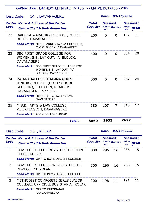| Dist.Code: | 14, DAVANAGERE                                                                                                                                                                                      |                 | Date:           |                     | 03/10/2020       |             |
|------------|-----------------------------------------------------------------------------------------------------------------------------------------------------------------------------------------------------|-----------------|-----------------|---------------------|------------------|-------------|
|            | <b>Centre Name &amp; Address of the Centre</b>                                                                                                                                                      | <b>Total</b>    | <b>SessionI</b> |                     | <b>SessionII</b> |             |
| Code       | <b>Centre Cheif &amp; their Phone Nos</b>                                                                                                                                                           | <b>Capacity</b> | ed              | <b>Allot-</b> Rooms | Allot-<br>ed     | <b>Room</b> |
| 22         | BAKKESHWARA HIGH SCHOOL, M.C.C.<br><b>BLOCK, DAVANAGERE.</b><br>Land Mark: NEAR BAKKESHWARA CHOULTRY,<br>M.C.C. BLOCK, DAVANAGERE                                                                   | 200             | $\Omega$        | $\Omega$            | 192              | 11          |
| 23         | <b>SBC FIRST GRADE COLLEGE FOR</b><br>WOMEN, S.S. LAY OUT, A BLOLCK,<br><b>DAVANAGERE</b><br><b>Land Mark: SBC FIRST GRADE COLLEGE FOR</b><br>WOMEN, S.S. LAY OUT, "A"<br><b>BLOLCK, DAVANAGERE</b> | 400             | $\Omega$        | $\Omega$            | 384              | 20          |
| 24         | RAJANAHALLI SEETHAMMA GIRLS<br>JUNIOR COLLEGE, (HIGH SCHOOL<br>SECTION), P.J.EXTEN, NEAR I.B.<br>DAVANAGERE -577 002.<br>Land Mark: NEAR I.B. P.J.EXTENSION,<br><b>DAVANAGERE</b>                   | 500             | $\Omega$        | $\Omega$            | 467              | 24          |
| 25         | M.S.B. ARTS & LAW COLLEGE,<br>P.J.EXTENSION, DAVANAGERE<br>Land Mark: A.V.K COLLEGE ROAD                                                                                                            | 380             | 107             | 7                   | 315              | 17          |
|            | <b>Total:</b>                                                                                                                                                                                       | 8060            | 2933            |                     | 7677             |             |

## Dist.Code: 15 , KOLAR

|      | <b>Centre Name &amp; Address of the Centre</b>                          | Total<br><b>Capacity</b> | <b>SessionI</b> |             | <b>SessionII</b> |             |
|------|-------------------------------------------------------------------------|--------------------------|-----------------|-------------|------------------|-------------|
| Code | <b>Centre Cheif &amp; their Phone Nos</b>                               |                          | ed              | Allot-Rooms | Allot-<br>ed     | <b>Room</b> |
| 1    | GOVT PU COLLEGE BOYS, BESIDE DDPI<br><b>OFFICE KOLAR</b>                | 300                      | 296             | 16          | 286              | 15          |
|      | <b>Land Mark: OPP TO BOYS DEGREE COLLEGE</b>                            |                          |                 |             |                  |             |
| 2    | GOVT PU COLLEGE FOR GIRLS, BESIDE<br><b>DDPI OFFICE KOLAR</b>           | 300                      | 296             | 16          | 286              | 15          |
|      | <b>Land Mark: OPP TO BOYS DEGREE COLLEGE</b>                            |                          |                 |             |                  |             |
| 3    | METHODIST COMPOSITE GIRLS JUNIOR<br>COLLEGE, OPP CIVIL BUS STAND, KOLAR | 200                      | 198             | 11          | 191              | 11          |
|      | <b>Land Mark: OPP TO CHENNAIAH</b><br>RANGAMANDIRA                      |                          |                 |             |                  |             |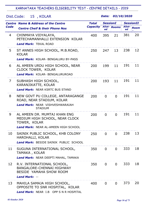#### Dist.Code: 15 , KOLAR

|                | <b>Centre Name &amp; Address of the Centre</b>                                                                           | <b>Total</b>    | <b>SessionI</b> |                     | <b>SessionII</b> |             |
|----------------|--------------------------------------------------------------------------------------------------------------------------|-----------------|-----------------|---------------------|------------------|-------------|
| <b>Code</b>    | <b>Centre Cheif &amp; their Phone Nos</b>                                                                                | <b>Capacity</b> | ed              | <b>Allot-</b> Rooms | Allot-<br>ed     | <b>Room</b> |
| 4              | CHINMAYA VIDYALAYA,<br>PETECHAMANHALLI EXTENSION KOLAR<br><b>Land Mark: TEKAL ROAD</b>                                   | 400             | 395             | 21                  | 381              | 20          |
| 5              | ST ANNES HIGH SCHOOL, M.B.ROAD,<br><b>KOLAR</b><br>Land Mark: KOLAR- BENGALURU BY-PASS                                   | 250             | 247             | 13                  | 238              | 12          |
| 6              | AL AMEEN URDU HIGH SCHOOL, NEAR<br><b>CLOCK TOWER, KOLAR</b><br><b>Land Mark: KOLAR- BENGALURUROAD</b>                   | 200             | 199             | 11                  | 191              | 11          |
| $\overline{7}$ | SUBHASH HIGH SCHOOL,<br>KARANJIKATTE, KOLAR<br><b>Land Mark: NEAR KSRTC BUS STAND</b>                                    | 200             | 193             | 11                  | 191              | 11          |
| 8              | NEW GOVT PU COLLEGE, ANTARAGANGE<br>ROAD, NEAR STADIUM, KOLAR<br>Land Mark: NEAR VISHVESHWARAIAH<br><b>STADIUM</b>       | 200             | $\Omega$        | $\Omega$            | 191              | 11          |
| 9              | AL AMEEN DR. MUMTAJ KHAN ENG<br>MEDIUM HIGH SCHOOL, NEAR CLOCK<br>TOWER, KOLAR<br>Land Mark: NEAR AL-AMEEN HIGH SCHOOL   | 200             | $\Omega$        | $\Omega$            | 191              | 11          |
| 10             | SAINIK PUBLIC SCHOOL, KHB COLONY<br>HAROHALLI, KOLAR<br>Land Mark: BESIDE SAINIK PUBLIC SCHOOL                           | 250             | 0               | 0                   | 238              | 13          |
| 11             | SUGUNA INTERNATIONAL SCHOOL,<br>TAMAKA, KOLAR<br>Land Mark: NEAR DEEPTI MAHAL, TAMAKA                                    | 350             | $\Omega$        | $\overline{0}$      | 333              | 18          |
| 12             | R.V. INTERNATIONAL SCHOOL,<br><b>BANGALORE-CHENNAI HIGHWAY</b><br><b>BESIDE YAMAHA SHOW ROOM</b><br><b>Land Mark: --</b> | 350             | $\overline{0}$  | $\overline{0}$      | 333              | 18          |
| 13             | MAHILA SAMAJA HIGH SCHOOL,<br>OPPOSITE TO SNR HOSPITAL, KOLAR<br>Land Mark: NEAR I.B OPP S N R HOSPITAL                  | 400             | $\Omega$        | $\overline{0}$      | 373              | 20          |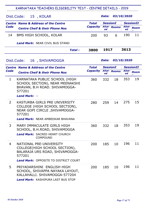|                | Dist.Code:<br>15, KOLAR                                                                                                                               |                                 | Date:           |                     | 03/10/2020       |             |                  |
|----------------|-------------------------------------------------------------------------------------------------------------------------------------------------------|---------------------------------|-----------------|---------------------|------------------|-------------|------------------|
|                | <b>Centre Name &amp; Address of the Centre</b>                                                                                                        | <b>SessionI</b><br><b>Total</b> |                 |                     |                  |             | <b>SessionII</b> |
| Code           | <b>Centre Cheif &amp; their Phone Nos</b>                                                                                                             | <b>Capacity</b>                 | ed              | <b>Allot-</b> Rooms | Allot-<br>ed     | <b>Room</b> |                  |
| 14             | <b>BMS HIGH SCHOOL, KOLAR</b>                                                                                                                         | 200                             | 93              | 6                   | 190              | 11          |                  |
|                | <b>Land Mark: NEAR CIVIL BUS STAND</b>                                                                                                                |                                 |                 |                     |                  |             |                  |
|                | <b>Total:</b>                                                                                                                                         | 3800                            | 1917            |                     | 3613             |             |                  |
|                | Dist.Code: 16, SHIVAMOGGA                                                                                                                             |                                 | Date:           |                     | 03/10/2020       |             |                  |
|                | <b>Centre Name &amp; Address of the Centre</b>                                                                                                        | <b>Total</b>                    | <b>SessionI</b> |                     | <b>SessionII</b> |             |                  |
| Code           | <b>Centre Cheif &amp; their Phone Nos</b>                                                                                                             | <b>Capacity</b>                 | ed              | <b>Allot-</b> Rooms | Allot-<br>ed     | <b>Room</b> |                  |
| 1              | KARNATAKA PUBLIC SCHOOL (HIGH<br>SCHOOL SECTION), NEAR MEENAKSHI<br>BHAVAN, B.H ROAD. SHIVAMOGGA-<br>577201                                           | 360                             | 332             | 18                  | 353              | 19          |                  |
|                | <b>Land Mark: --</b>                                                                                                                                  |                                 |                 |                     |                  |             |                  |
| $\overline{2}$ | KASTURBA GIRLS PRE UNIVERSITY<br>COLLEGE (HIGH SCHOOL SECTION),<br>NEAR GOPI CIRCLE, SHIVAMOGGA-<br>577201<br><b>Land Mark:</b> NEAR AMBEDKAR BHAVANA | 280                             | 259             | 14                  | 275              | 15          |                  |
| 3              | MARY IMMACULATE GIRLS HIGH<br>SCHOOL, B.H.ROAD, SHIVAMOGGA<br><b>Land Mark: SACRED HEART CHURCH</b><br><b>COMPOUND</b>                                | 360                             | 332             | 18                  | 353              | 19          |                  |
| 4              | NATIONAL PRE-UNIVERSITY<br>COLLEGE(HIGH SCHOOL SECTION),<br>BALARAJA URS ROAD, SHIVAMOGGA-<br>577201<br><b>Land Mark: OPPOSITE TO DISTRICT COURT</b>  | 200                             | 185             | 10                  | 196              | 11          |                  |
| 5              | PRIYADARSHINI ENGLISH HIGH<br>SCHOOL, SHIVAPPA NAYAKA LAYOUT,<br>KALLAHALLI, SHIVAMOGGA-577204<br>Land Mark: KASHIPURA LAST BUS STOP                  | 200                             | 185             | 10                  | 196              | 11          |                  |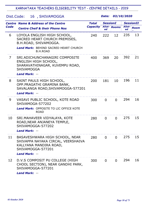| Dist.Code:     | 16, SHIVAMOGGA                                                                                                                                           |                                 | Date:                 | 03/10/2020          |              |                                 |
|----------------|----------------------------------------------------------------------------------------------------------------------------------------------------------|---------------------------------|-----------------------|---------------------|--------------|---------------------------------|
| Code           | <b>Centre Name &amp; Address of the Centre</b><br><b>Centre Cheif &amp; their Phone Nos</b>                                                              | <b>Total</b><br><b>Capacity</b> | <b>SessionI</b><br>ed | <b>Allot-</b> Rooms | Allot-<br>ed | <b>SessionII</b><br><b>Room</b> |
| 6              | LOYOLA ENGLISH HIGH SCHOOL,<br>SACRED HEART CHURCH PREMISES,<br>B.H.ROAD, SHIVAMOGGA.<br><b>Land Mark:</b> BEHIND SACRED HEART CHURCH<br><b>B.H.ROAD</b> | 240                             | 222                   | 12                  | 235          | 13                              |
| $\overline{7}$ | SRI.ADICHUNCHANAGIRI COMPOSITE<br>ENGLISH HIGH SCHOOL,<br>SHARAVATHINAGAR, KUVEMPU ROAD,<br><b>SHIVAMOGGA</b><br><b>Land Mark: --</b>                    | 400                             | 369                   | 20                  | 392          | 21                              |
| 8              | SAINT PAULS HIGH SCHOOL,<br>OPP.PRAGATHI GRAMINA BANK,<br>SAVALANGA ROAD, SHIVAMOGGA-577201<br><b>Land Mark: --</b>                                      | 200                             | 181                   | 10                  | 196          | 11                              |
| 9              | VASAVI PUBLIC SCHOOL, KOTE ROAD<br>SHIVAMOGA-577202<br>Land Mark: OPPOSITE TO LIC OFFICE KOTE<br><b>ROAD</b>                                             | 300                             | $\overline{0}$        | $\overline{0}$      | 294          | 16                              |
| 10             | SRI.MAHAVEER VIDYALAYA, KOTE<br>ROAD, NEAR ANJANEYA TEMPLE,<br>SHIVAMOGGA-577202<br>Land Mark: --                                                        | 280                             | $\mathbf 0$           | $\overline{0}$      | 275          | 15                              |
| 11             | BASAVESHWARA HIGH SCHOOL, NEAR<br>SHIVAPPA NAYAKA CIRCAL, VEERSHAIVA<br>KALLYANA MANDIRA ROAD,<br>SHIVAMOGGA-577201<br>Land Mark: --                     | 280                             | $\Omega$              | $\overline{0}$      | 275          | 15                              |
| 12             | D.V.S COMPOSIT PU COLLEGE (HIGH<br>CHOOL SECTION), NEAR GANDHI PARK,<br>SHIVAMOGGA-577201<br><b>Land Mark: --</b>                                        | 300                             | $\Omega$              | $\Omega$            | 294          | 16                              |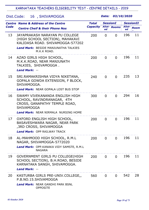|      | <b>Centre Name &amp; Address of the Centre</b>                                                                                                                      | <b>Total</b>    | <b>SessionI</b> |                     | <b>SessionII</b> |             |
|------|---------------------------------------------------------------------------------------------------------------------------------------------------------------------|-----------------|-----------------|---------------------|------------------|-------------|
| Code | <b>Centre Cheif &amp; their Phone Nos</b>                                                                                                                           | <b>Capacity</b> | ed              | <b>Allot-</b> Rooms | Allot-<br>ed     | <b>Room</b> |
| 13   | JAYAPRAKASH NARAYAN PU COLLEGE<br>(HIGH SCHOOL SECTION), MAHAKAVI<br>KALIDASA ROAD, SHIVAMOGGA-577202<br><b>Land Mark: BESIDE MANJUNATHA TALKIES</b><br>M.K.K ROAD. | 200             | $\Omega$        | $\overline{0}$      | 196              | 11          |
| 14   | AZAD GIRLS HIGH SCHOOL,<br>M.K.K.ROAD, NEAR MANJUNATH<br>TALKIES, SHIVAMOGGA.<br><b>Land Mark: --</b>                                                               | 200             | $\overline{0}$  | $\overline{0}$      | 196              | 11          |
| 15   | SRI.RAMAKRISHNA VIDYA NIKETANA,<br>GOPALA GOWDA EXTENSION, F BLOCK,<br>SHIVAMOGGA.<br><b>Land Mark: NEAR GOPALA LOST BUS STOP</b>                                   | 240             | $\Omega$        | $\overline{0}$      | 235              | 13          |
| 16   | SWAMY VIVEKANANDA ENGLISH HIGH<br>SCHOOL, RAVINDRANAGAR, 4TH<br>CROSS, GANAPATHY TEMPLE ROAD,<br><b>SHIVAMOGGA</b><br><b>Land Mark: NEAR NIRMALA NURSING HOME</b>   | 300             | $\Omega$        | $\overline{0}$      | 294              | 16          |
| 17   | OXFORD ENGLISH HIGH SCHOOL,<br>BASAVESHWARA NAGAR, NEAR PARK<br>, 3RD CROSS, SHIVAMOGGA<br><b>Land Mark: OPP RAILWAY TRACK</b>                                      | 200             | $\Omega$        | $\overline{0}$      | 196              | 11          |
| 18   | AL-MAHMOOD HIGH SCHOOL, R.M.L<br>NAGAR, SHIVAMOGGA-5772020<br>Land Mark: OPP.KANAKA VIDY SAMSTE, R.M.L<br><b>NAGARA</b>                                             | 200             | $\Omega$        | $\mathbf{0}$        | 196              | 11          |
| 19   | GOVERNMENT GIRLS PU COLLEGE(HIGH<br>SCHOOL SECTION), B.H.ROAD, BESIDE<br>KARNATAKA SANGH, SHIVAMOGGA.<br><b>Land Mark: --</b>                                       | 200             | $\overline{0}$  | $\Omega$            | 196              | 11          |
| 20   | KASTURBA GIRLS PRE-UNIV.COLLEGE,<br>P.B.NO.15.SHIVAMOGGA<br><b>Land Mark: NEAR GANDHI PARK BSNL</b><br><b>OPPOSITE</b>                                              | 560             | $\Omega$        | $\Omega$            | 542              | 28          |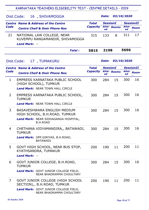| Dist.Code:     | 16, SHIVAMOGGA                                                                                                                       |                 | Date:           |                     | 03/10/2020   |                  |
|----------------|--------------------------------------------------------------------------------------------------------------------------------------|-----------------|-----------------|---------------------|--------------|------------------|
|                | <b>Centre Name &amp; Address of the Centre</b>                                                                                       | <b>Total</b>    | <b>SessionI</b> |                     |              | <b>SessionII</b> |
| Code           | <b>Centre Cheif &amp; their Phone Nos</b>                                                                                            | <b>Capacity</b> | ed              | <b>Allot-</b> Rooms | Allot-<br>ed | <b>Room</b>      |
| 21             | NATIONAL LAW COLLEGE, NEAR<br>KUVEMPU RANGAMANDIR, SHIVAMOGGA<br><b>Land Mark: --</b>                                                | 315             | 133             | 8                   | 311          | 17               |
|                | <b>Total:</b>                                                                                                                        | 5815            | 2198            |                     | 5696         |                  |
| Dist.Code:     | 17, TUMAKURU                                                                                                                         |                 | Date:           |                     | 03/10/2020   |                  |
|                | <b>Centre Name &amp; Address of the Centre</b>                                                                                       | <b>Total</b>    | <b>SessionI</b> |                     |              | <b>SessionII</b> |
| Code           | <b>Centre Cheif &amp; their Phone Nos</b>                                                                                            | <b>Capacity</b> | ed              | Allot-Rooms         | Allot-<br>ed | <b>Room</b>      |
| $\mathbf{1}$   | EMPRESS KARNATAKA PUBLIC SCHOOL<br>(HIGH SCHOOL), TUMKUR<br><b>Land Mark: NEAR TOWN HALL CIRCLE</b>                                  | 300             | 284             | 15                  | 300          | 16               |
| $\overline{2}$ | EMPRESS KARNATAKA PUBLIC SCHOOL,<br>TUMKUR<br><b>Land Mark: NEAR TOWN HALL CIRCLE</b>                                                | 300             | 284             | 15                  | 300          | 16               |
| 3              | BASAVESHWARA ENGLISH MEDIUM<br>HIGH SCHOOL, B.H.ROAD, TUMKUR<br>Land Mark: NEAR SIDDAGANGA HOSPITAL,<br><b>B.H.ROAD</b>              | 300             | 284             | 15                  | 300          | 16               |
| 4              | CHETHANA VIDYAMANDIRA,, BATAWADI,<br><b>TUMKUR</b><br>Land Mark: OPP.GIRIYAS, B.H.ROAD,<br><b>BATAWADI</b>                           | 300             | 284             | 15                  | 300          | 16               |
| 5              | GOVT HIGH SCHOOL, NEAR BUS STOP,<br>KYATHSANDRA, TUMAKUR<br><b>Land Mark: --</b>                                                     | 200             | 190             | 11                  | 200          | 11               |
| 6              | GOVT JUNIOR COLLEGE, B.H.ROAD,<br><b>TUMKUR</b><br><b>Land Mark:</b> GOVT JUNIOR COLLEGE FIELD,<br>NEAR BHADRAMMA CHOULTARY          | 300             | 284             | 15                  | 300          | 16               |
| 7              | GOVT JUNIOR COLLEGE (HIGH SCHOOL<br>SECTION),, B.H.ROAD, TUMKUR<br>Land Mark: GOVT JUNIOR COLLEGE FIELD,<br>NEAR BHADRAMMA CHOULTARY | 200             | 190             | 11                  | 200          | 11               |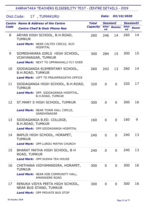## Dist.Code: 17 , TUMAKURU

|             | <b>Centre Name &amp; Address of the Centre</b>                                                             | <b>Total</b>    | <b>SessionI</b> |                     | <b>SessionII</b> |             |
|-------------|------------------------------------------------------------------------------------------------------------|-----------------|-----------------|---------------------|------------------|-------------|
| <b>Code</b> | <b>Centre Cheif &amp; their Phone Nos</b>                                                                  | <b>Capacity</b> | ed              | <b>Allot-</b> Rooms | Allot-<br>ed     | <b>Room</b> |
| 8           | ARYAN HIGH SCHOOL, B.H.ROAD,<br><b>TUMKUR</b>                                                              | 260             | 246             | 14                  | 260              | 14          |
|             | Land Mark: NEAR CALTEX CIRCLE, W/O<br><b>HOSPITAL</b>                                                      |                 |                 |                     |                  |             |
| 9           | SOMESHWARA GIRLS HIGH SCHOOL,<br>VIJAYANAGAR, TUMKUR<br><b>Land Mark: NEXT TO UPPARAHALLI FLY OVER</b>     | 300             | 284             | 15                  | 300              | 15          |
| 10          | SIDDAGANGA ELEMENTARY SCHOOL,<br><b>B.H.ROAD, TUMKUR</b><br><b>Land Mark: LEFT TO PRAJAPRAGATHI OFFICE</b> | 260             | 242             | 13                  | 260              | 14          |
| 11          | SIDDAGANGA HIGH SCHOOL, B.H.ROAD,<br><b>TUMKUR</b>                                                         | 320             | $\Omega$        | $\Omega$            | 320              | 17          |
|             | Land Mark: OPP. SIDDAGANGA HOSPITAL,<br><b>B.H.ROAD, TUMKUR</b>                                            |                 |                 |                     |                  |             |
| 12          | ST. MARY S HIGH SCHOOL, TUMKUR                                                                             | 300             | $\Omega$        | $\Omega$            | 300              | 16          |
|             | Land Mark: NEAR TOWN HALL CIRCLE,<br><b>GANDHINAGAR</b>                                                    |                 |                 |                     |                  |             |
| 13          | SIDDAGANGA B.ED. COLLEGE,<br><b>B.H.ROAD, TUMKUR</b>                                                       | 160             | $\Omega$        | $\Omega$            | 160              | 9           |
|             | Land Mark: OPP.SIDDAGANGA HOSPITAL                                                                         |                 |                 |                     |                  |             |
| 14          | BAPUJI HIGH SCHOOL, HORAPET,<br><b>TUMKUR</b>                                                              | 240             | $\overline{0}$  | $\overline{0}$      | 240              | 13          |
|             | <b>Land Mark: OPP.LURDU MATHA CHURCH</b>                                                                   |                 |                 |                     |                  |             |
| 15          | BHARAT MATHA HIGH SCHOOL, B H<br>ROAD, TUMKUR                                                              | 240             | $\overline{0}$  | $\overline{0}$      | 240              | 13          |
|             | <b>Land Mark: OPP.SUDHA TEA HOUSE</b>                                                                      |                 |                 |                     |                  |             |
| 16          | CHETHANA VIDYAMANDIRA, HORAPET,<br><b>TUMKUR</b>                                                           | 300             | $\overline{0}$  | $\overline{0}$      | 300              | 16          |
|             | Land Mark: NEAR KEB COMMUNITY HALL,<br><b>AMANIKERE ROAD</b>                                               |                 |                 |                     |                  |             |
| 17          | RENUKA VIDYA PEETA HIGH SCHOOL,<br><b>NEAR BUS STAND, TUMKUR</b><br>Land Mark: OPP PRIVATE BUS STOP        | 300             | $\Omega$        | $\overline{0}$      | 300              | 16          |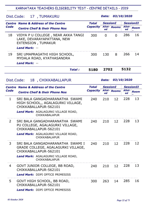#### Dist.Code: 17 , TUMAKURU

|            | <b>Centre Name &amp; Address of the Centre</b>                                                                 | Total           | <b>SessionI</b> |                     |              | <b>SessionII</b> |
|------------|----------------------------------------------------------------------------------------------------------------|-----------------|-----------------|---------------------|--------------|------------------|
| Code       | <b>Centre Cheif &amp; their Phone Nos</b>                                                                      | <b>Capacity</b> | ed              | <b>Allot-</b> Rooms | Allot-<br>ed | <b>Room</b>      |
| 18         | VIDYA P U COLLEGE, NEAR AKKA TANGI<br>LAKE, DEVARAYAPATTANA, NEW<br><b>EXTENSION, TUMAKUR</b><br>Land Mark: -- | 300             | 0               | $\Omega$            | 286          | 16               |
|            |                                                                                                                |                 |                 |                     |              |                  |
| 19         | SRI UMAPRAGATHI HIGH SCHOOL,<br>MYDALA ROAD, KYATHASANDRA                                                      |                 | 130             | 8                   | 266          | 14               |
|            | Land Mark: --                                                                                                  |                 |                 |                     |              |                  |
|            | <b>Total:</b>                                                                                                  | 5180            | 2702            |                     | 5132         |                  |
| Dist.Code: | 18, CHIKKABALLAPUR                                                                                             |                 | Date:           |                     | 03/10/2020   |                  |
|            | <b>Centre Name &amp; Address of the Centre</b>                                                                 | Total           | <b>SessionI</b> |                     |              | <b>SessionII</b> |

| Code           | <b>Centre Cheif &amp; their Phone Nos</b>                                                                                                                      | <b>Capacity</b> | ed  | <b>Allot-</b> Rooms | Allot-<br>ed | <b>Room</b> |
|----------------|----------------------------------------------------------------------------------------------------------------------------------------------------------------|-----------------|-----|---------------------|--------------|-------------|
| $\mathbf{1}$   | SRI BALA GANGADHARANATHA SWAMI<br>HIGH SCHOOL,, AGALAGURKI VILLAGE,<br>CHIKKABALLAPUR-562101<br>Land Mark: AGALAGURKI VILLAGE ROAD,<br>CHIKKABALAPUR           | 240             | 210 | 12                  | 228          | 13          |
| $\overline{2}$ | SRI BALA GANGADHARANATHA SWAMI<br>PU COLLEGE, AGALAGURKI VILLAGE,<br>CHIKKABALLAPUR-562101<br>Land Mark: AGALAGURKI VILLAGE ROAD,<br><b>CHIKKABALAPUR</b>      | 240             | 210 | 12                  | 228          | 13          |
| 3              | SRI BALA GANGADHARANATHA SWAMI I<br>GRADE COLLEGE, AGALAGURKI VILLAGE,<br>CHIKKABALLAPUR-562101<br>Land Mark: AGALAGURKI VILLAGE ROAD,<br><b>CHIKKABALAPUR</b> | 240             | 210 | 12                  | 228          | 12          |
| $\overline{4}$ | GOVT JUNIOR COLLEGE, BB ROAD,<br>CHIKKABALLAPUR-562101<br><b>Land Mark: DDPI OFFICE PRIMESISS</b>                                                              | 240             | 210 | 12                  | 228          | 13          |
| 5              | GOVT HIGH SCHOOL, BB ROAD,<br>CHIKKABALLAPUR-562101<br><b>Land Mark: DDPI OFFICE PRIMESISS</b>                                                                 | 300             | 263 | 14                  | 285          | 16          |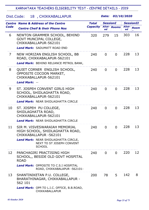# Dist.Code: 18 , CHIKKABALLAPUR

|                | <b>Centre Name &amp; Address of the Centre</b>                                                                                                                                   | <b>Total</b>    | <b>SessionI</b> |                     | <b>SessionII</b> |             |
|----------------|----------------------------------------------------------------------------------------------------------------------------------------------------------------------------------|-----------------|-----------------|---------------------|------------------|-------------|
| <b>Code</b>    | <b>Centre Cheif &amp; their Phone Nos</b>                                                                                                                                        | <b>Capacity</b> | ed              | <b>Allot-</b> Rooms | Allot-<br>ed     | <b>Room</b> |
| 6              | NEWTON GRAMMER SCHOOL, BEHIND<br><b>GOVT MUNCIPAL COLLEGE,</b><br>CHIKKABALLAPUR-562101<br><b>Land Mark: SADUMATT ROAD END</b>                                                   | 320             | 279             | 15                  | 303              | 16          |
| $\overline{7}$ | NEW HORIZAN ENGLISH SCHOOL, BB<br>ROAD, CHIKKABALAPUR-562101<br>Land Mark: BEHIND RELIANCE PETROL BANK,                                                                          | 240             | $\overline{0}$  | $\overline{0}$      | 228              | 13          |
| 8              | QUIET CORNER ENGLISH SCHOOL,<br>OPPOSITE COCOON MARKET,<br>CHIKKABALLAPUR-562101<br>Land Mark: --                                                                                | 240             | $\Omega$        | $\Omega$            | 228              | 13          |
| 9              | ST. JOSPEH CONVENT GIRLS HIGH<br>SCHOOL, SHIDLAGHATTA ROAD,<br>CHIKKABALLAPUR-562101<br><b>Land Mark: NEAR SHIDLAGHATTA CIRCLE</b>                                               | 240             | $\overline{0}$  | $\overline{0}$      | 228              | 13          |
| 10             | ST. JOSPEH PU COLLEGE,<br>SHIDLAGHATTA ROAD,<br>CHIKKABALLAPUR-562101<br><b>Land Mark: NEAR SHIDLAGHATTA CIRCLE</b>                                                              | 240             | $\overline{0}$  | $\Omega$            | 228              | 13          |
| 11             | SIR M. VISVESWARAIAH MEMORIAL<br>HIGH SCHOOL, SHIDLAGHATTA ROAD,<br>CHIKKABALLAPUR -562101<br>Land Mark: NEAR SHIDLAGHATTA CIRCLE,<br>NEXT TO ST JOSEPH CONVENT<br><b>SCHOOL</b> | 240             | $\Omega$        | $\Omega$            | 228              | 13          |
| 12             | PANCHAGIRI PRACTISING HIGH<br>SCHOOL,, BESIDE OLD GOVT HOSPITAL<br><b>ROAD</b><br><b>Land Mark: OPPOSITE TO C.S.I HOSPITAL</b><br>ROAD, CHIKKABALAPUR -562101-                   | 240             | $\Omega$        | $\Omega$            | 220              | 12          |
| 13             | SHANTINIKETAN P.U. COLLEGE,<br>BHARATHINAGAR, CHIKKABALLAPUR -<br>562 101<br>Land Mark: OPP.TO L.I.C. OFFICE, B.B.ROAD,<br>CHIKKABALLAPUR                                        | 200             | 78              | 5                   | 142              | 8           |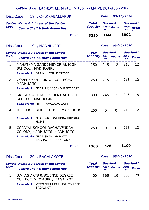## Dist.Code: 18 , CHIKKABALLAPUR

Date: 03/10/2020

| Code | <b>Centre Name &amp; Address of the Centre</b> |         | <b>Total</b>                 | <b>SessionI</b> |  | <b>SessionII</b> |                     |
|------|------------------------------------------------|---------|------------------------------|-----------------|--|------------------|---------------------|
|      | <b>Centre Cheif &amp; their Phone Nos</b>      |         | <b>Capacity Allot- Rooms</b> |                 |  | ed               | Allot- $\vert$ Room |
|      |                                                | Total : | 3220                         | 1460            |  | 3002             |                     |

## Dist.Code: 19 , MADHUGIRI

Date: 03/10/2020

| <b>Centre</b> | <b>Name &amp; Address of the Centre</b>                                                                           | <b>Total</b>    | <b>SessionI</b> |                     |              | <b>SessionII</b> |
|---------------|-------------------------------------------------------------------------------------------------------------------|-----------------|-----------------|---------------------|--------------|------------------|
| Code          | <b>Centre Cheif &amp; their Phone Nos</b>                                                                         | <b>Capacity</b> | ed              | <b>Allot-</b> Rooms | Allot-<br>ed | <b>Room</b>      |
| $\mathbf{1}$  | MAHATHMA GANDI MEMORIAL HIGH<br>SCHOOL,, MADHUGIRI<br>Land Mark: OPP MUNICIPLE OFFICE                             | 250             | 215             | 12                  | 213          | 12               |
| 2             | GOVERNMENT JUNIOR COLLEGE,<br><b>MADHUGIRI</b><br>Land Mark: NEAR RAJIV GANDHI STADIUM                            | 250             | 215             | 12                  | 213          | 12               |
| 3             | SRI SIDDARTHA RESIDENTIAL HIGH<br>SCHOOL,, MADHUGIRI<br><b>Land Mark: NEAR PAVAGADA GATE</b>                      | 300             | 246             | 15                  | 248          | 15               |
| 4             | JUPITER PUBLIC SCHOOL,, MADHUGIRI<br><b>Land Mark: NEAR RAGHAVENDRA NURSING</b><br><b>HOME</b>                    | 250             | $\Omega$        | $\Omega$            | 213          | 12               |
| 5             | CORDIAL SCHOOL RAGHAVENDRA<br>COLONY, MADHUGIRI, MADHUGIRI<br>Land Mark: NEAR SHANKAR MATT,<br>RAGHAVENDRA COLONY | 250             | $\Omega$        | $\Omega$            | 213          | 12               |
|               | <b>Total:</b>                                                                                                     | 1300            | 676             |                     | 1100         |                  |

## Dist.Code: 20 , BAGALAKOTE

| Code | <b>Centre Name &amp; Address of the Centre</b>                           | Total           | <b>SessionI</b> |             |              | <b>SessionII</b> |
|------|--------------------------------------------------------------------------|-----------------|-----------------|-------------|--------------|------------------|
|      | <b>Centre Cheif &amp; their Phone Nos</b>                                | <b>Capacity</b> | ed              | Allot-Rooms | Allot-<br>ed | <b>Room</b>      |
|      | <b>B.V.V.S ARTS &amp; SCIENCE DEGREE</b><br>COLLEGE, VIDYAGIRI, BAGALKOT | 400             | 365             | 19          | 388          | 20               |
|      | <b>Land Mark:</b> VIDYAGIRI NEAR MBA COLLEGE<br><b>BAGALKOT</b>          |                 |                 |             |              |                  |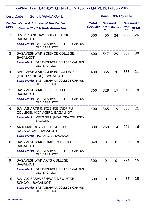# Dist.Code: 20 , BAGALAKOTE

|                | <b>Centre Name &amp; Address of the Centre</b>                            | <b>Total</b>    | <b>SessionI</b> |                     |              | <b>SessionII</b> |
|----------------|---------------------------------------------------------------------------|-----------------|-----------------|---------------------|--------------|------------------|
| <b>Code</b>    | <b>Centre Cheif &amp; their Phone Nos</b>                                 | <b>Capacity</b> | ed              | <b>Allot-</b> Rooms | Allot-<br>ed | <b>Room</b>      |
| $\overline{2}$ | B.V.V. SANGHA'S POLYTECHNIC,<br><b>BAGALKOT</b>                           | 500             | 456             | 24                  | 485          | 26               |
|                | <b>Land Mark: BASAVESHWAR COLLEGE CAMPUS</b><br><b>OLD BAGALKOT</b>       |                 |                 |                     |              |                  |
| 3              | BASAVESHWAR SCIENCE COLLEGE,<br><b>BAGALKOT</b>                           | 600             | 547             | 29                  | 582          | 30               |
|                | <b>Land Mark: BASAVESHWAR COLLEGE CAMPUS</b><br><b>OLD BAGALKOT</b>       |                 |                 |                     |              |                  |
| 4              | <b>BASAVESHWAR COMP PU COLLEGE</b><br>(HIGH SCHOOL), BAGALKOT             | 400             | 365             | 20                  | 388          | 21               |
|                | <b>Land Mark: BASAVESHWAR COLLEGE CAMPUS</b><br><b>OLD BAGALKOT</b>       |                 |                 |                     |              |                  |
| 5              | BASAVESHWAR B.ED. COLLEGE,<br><b>BAGALKOT</b>                             | 360             | 328             | 17                  | 349          | 18               |
|                | <b>Land Mark: BASAVESHWAR COLLEGE CAMPUS</b><br><b>OLD BAGALKOT</b>       |                 |                 |                     |              |                  |
| 6              | <b>B.V.V.S ARTS &amp; SCIENCE INDP PU</b><br>COLLEGE, VIDYAGIRI, BAGALKOT | 400             | 365             | 19                  | 388          | 21               |
|                | Land Mark: VIDYAGIRI (NEAR MBA COLLEGE)<br><b>BAGALKOT</b>                |                 |                 |                     |              |                  |
| 7              | ANJUMAN BOYS HIGH SCHOOL,<br>NAVANAGAR, BAGALKOT                          | 300             | 268             | 14                  | 291          | 16               |
|                | <b>Land Mark: NAVANAGAR BAGALKOT</b>                                      |                 |                 |                     |              |                  |
| 8              | BASAVESHWAR COMMERCE COLLEGE,<br><b>BAGALKOT</b>                          | 340             | $\overline{0}$  | $\Omega$            | 330          | 18               |
|                | <b>Land Mark: BASAVESHWAR COLLEGE CAMPUS</b><br><b>OLD BAGALKOT</b>       |                 |                 |                     |              |                  |
| 9              | BASAVESHWAR ARTS COLLEGE,<br><b>BAGALKOT</b>                              | 300             | $\overline{0}$  | $\Omega$            | 291          | 16               |
|                | <b>Land Mark: BASAVESHWAR COLLEGE CAMPUS</b><br><b>OLD BAGALKOT</b>       |                 |                 |                     |              |                  |
| 10             | <b>B.V.V.S BASAVESHWAR NEW HIGH</b><br><b>SCHOOL, BAGALKOT</b>            | 500             | $\overline{0}$  | $\Omega$            | 485          | 25               |
|                | <b>Land Mark: BASAVESHWAR COLLEGE CAMPUS</b><br><b>OLD BAGALKOT</b>       |                 |                 |                     |              |                  |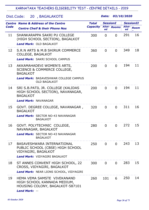| Dist.Code:  | 20, BAGALAKOTE                                                                                                               |                                 | Date:          |                     | 03/10/2020       |             |
|-------------|------------------------------------------------------------------------------------------------------------------------------|---------------------------------|----------------|---------------------|------------------|-------------|
|             | <b>Centre Name &amp; Address of the Centre</b>                                                                               | <b>SessionI</b><br><b>Total</b> |                |                     | <b>SessionII</b> |             |
| <b>Code</b> | <b>Centre Cheif &amp; their Phone Nos</b>                                                                                    | <b>Capacity</b>                 | ed             | <b>Allot-</b> Rooms | Allot-<br>ed     | <b>Room</b> |
| 11          | SHANKARAPPA SAKRI PU COLLEGE<br>(HIGH SCHOOL SECTION), BAGALKOT<br><b>Land Mark: OLD BAGALKOT</b>                            | 300                             | $\mathbf{0}$   | $\Omega$            | 291              | 16          |
| 12          | S.R.N ARTS & M.B SHIRUR COMMERCE<br><b>COLLEGE, BAGALKOT</b><br><b>Land Mark: SAKRI SCHOOL CAMPUS</b>                        | 360                             | $\mathbf 0$    | $\Omega$            | 349              | 18          |
| 13          | AKKAMAHADEVI WOMEN'S ARTS,<br>SCIENCE & COMMERCE COLLEGE,<br><b>BAGALKOT</b><br><b>Land Mark: BASAVESHWAR COLLEGE CAMPUS</b> | 200                             | $\Omega$       | $\Omega$            | 194              | 11          |
| 14          | <b>OLD BAGALKOT</b><br>SRI S.B. PATIL JR. COLLEGE (KALIDAS<br>HIGH SCHOOL SECTION), NAVANAGAR,<br><b>BAGALKOT</b>            | 200                             | $\overline{0}$ | $\Omega$            | 194              | 11          |
|             | <b>Land Mark: NAVANAGAR</b>                                                                                                  |                                 |                |                     |                  |             |
| 15          | GOVT. DEGREE COLLEGE, NAVANAGAR,<br><b>BAGALKOT</b><br><b>Land Mark: SECTOR NO-43 NAVANAGAR</b><br><b>BAGALKOT</b>           | 320                             | $\overline{0}$ | $\Omega$            | 311              | 16          |
| 16          | GOVT. POLYTECHNIC COLLEGE<br>NAVANAGAR, BAGALKOT<br><b>Land Mark: SECTOR NO-43 NAVANAGAR</b><br><b>BAGALKOT</b>              | 280                             | $\Omega$       | $\Omega$            | 272              | 15          |
| 17          | BASAVESHWARA INTERNATIONAL<br>PUBLIC SCHOOL (CBSE) HIGH SCHOOL<br>VIDYAGIRI, BAGALKOT<br>Land Mark: VIDYAGIRI BAGALKOT       | 250                             | $\overline{0}$ | $\overline{0}$      | 243              | 13          |
| 18          | ST ANNES CONVENT HIGH SCHOOL, 22<br>CROSS, VIDYAGIRI, BAGALKOT<br>Land Mark: NEAR LIONS SCHOOL, VIDYAGIRI                    | 300                             | $\overline{0}$ | $\Omega$            | 283              | 15          |
| 19          | HEMA VEMA SAMSTE VIVEKANAND<br>HIGH SCHOOL KANNADA MEDIUM,<br>HOUSING COLONY, BAGALKOT-587101<br>Land Mark: --               | 260                             | 101            | 6                   | 250              | 14          |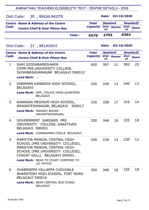|      | Dist.Code: 20, BAGALAKOTE                                                                   |         |                                 |                 | Date: 03/10/2020 |                                         |      |
|------|---------------------------------------------------------------------------------------------|---------|---------------------------------|-----------------|------------------|-----------------------------------------|------|
| Code | <b>Centre Name &amp; Address of the Centre</b><br><b>Centre Cheif &amp; their Phone Nos</b> |         | <b>Total</b><br><b>Capacity</b> | <b>SessionI</b> | Allot-Rooms      | <b>SessionII</b><br><b>Allot-</b><br>ed | Room |
|      |                                                                                             | Total : | 6570                            | 2795            |                  | 6364                                    |      |

## Dist.Code: 21 , BELAGAVI

l.

|                | <b>Centre Name &amp; Address of the Centre</b>                                                                                                                                                                                  | <b>Total</b>    | <b>SessionI</b> |                     |              | <b>SessionII</b> |  |
|----------------|---------------------------------------------------------------------------------------------------------------------------------------------------------------------------------------------------------------------------------|-----------------|-----------------|---------------------|--------------|------------------|--|
| <b>Code</b>    | <b>Centre Cheif &amp; their Phone Nos</b>                                                                                                                                                                                       | <b>Capacity</b> | ed              | <b>Allot-</b> Rooms | Allot-<br>ed | <b>Room</b>      |  |
| $\mathbf{1}$   | <b>SHRI SIDDARAMESHWER</b><br>COMP.PRE.UNIVERSITY COLLEGE,<br>SHIVABASAVANAGAR BELAGAVI 590010<br><b>Land Mark: --</b>                                                                                                          | 400             | 397             | 21                  | 383          | 20               |  |
| $\overline{2}$ | SHERMAN KANNADA HIGH SCHOOL,<br><b>BELAGAVI</b><br>Land Mark: OPP ; POLICE HEAD QUARTERS<br><b>BELAGAVI</b>                                                                                                                     | 250             | 249             | 13                  | 240          | 13               |  |
| 3              | KANNADA MEIDIUM HIGH SCHOOL,<br>MAHANTESHNAGAR, BELAGAVI 590017<br><b>Land Mark: MAHANT BHVAN</b><br>MAHANTESHNAGAR,                                                                                                            | 330             | 328             | 17                  | 316          | 16               |  |
| 4              | GOVERNMENT SARDARS PRE<br>UNIVERSITY COLLEGE, KAKATIVES<br>BELAGAVI 590001<br>Land Mark: CHANNAMMA CIRCLE BELAGAVI                                                                                                              | 350             | 348             | 18                  | 335          | 18               |  |
| 5              | MARATHA MANDAL CENTRAL HIGH<br>SCHOOL (PRE UNIVERSITY COLLEGE),<br>MARATHA MANDAL CENTRAL HIGH<br>SCHOOL (PRE UNIVERSITY COLLEGE),<br>CHAVAT GALLI, BELAGAVI 590001<br><b>Land Mark: NEAR TO COURT COMPOND TO</b><br>LIC OFFICE | 240             | 239             | 13                  | 230          | 12               |  |
| 6              | DHARMAPPA YALLAPPA CHOUGALE<br>BHARATESH HIGH SCHOOL, FORT ROAD<br>BELAGAVI 590016<br><b>Land Mark: NEAR CENTRAL BUS STAND</b><br><b>BELAGAVI</b>                                                                               | 350             | 348             | 18                  | 335          | 18               |  |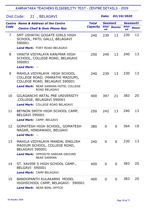#### Dist.Code: 21 , BELAGAVI

|             | <b>Centre Name &amp; Address of the Centre</b>                                                                                                                          | <b>Total</b>    | <b>SessionI</b> |                     |              | <b>SessionII</b> |
|-------------|-------------------------------------------------------------------------------------------------------------------------------------------------------------------------|-----------------|-----------------|---------------------|--------------|------------------|
| <b>Code</b> | <b>Centre Cheif &amp; their Phone Nos</b>                                                                                                                               | <b>Capacity</b> | ed              | <b>Allot-</b> Rooms | Allot-<br>ed | <b>Room</b>      |
| 7           | SMT USHATAI GOGATE GIRLS HIGH<br>SCHOOL, PATIL GALLI, BELAGAVI<br>590001<br><b>Land Mark: FORT ROAD BELAGAVI</b>                                                        | 240             | 239             | 13                  | 230          | 12               |
| 8           | VANITA VIDYALAYA KAN/MAR HIGH<br>SCHOOL, COLLEGE ROAD, BELAGAVI<br>590001<br><b>Land Mark: --</b>                                                                       | 250             | 249             | 13                  | 240          | 13               |
| 9           | MAHILA VIDYALAYA HIGH SCHOOL<br>COLLEGE ROAD, (MARATHI MADIUM),<br>COLLEGE ROAD, BELAGAVI 590001<br><b>Land Mark: NEAR SANMAN HOTEL COLLEGE</b><br><b>ROAD BELAGAVI</b> | 240             | 239             | 13                  | 230          | 13               |
| 10          | <b>GILAGANCHI ARTAL PRE UNIVERSITY</b><br>.COLLEGE, BELAGAVI 590001<br>Land Mark: COLLEGE ROAD BELAGAVI                                                                 | 400             | 397             | 21                  | 383          | 20               |
| 11          | BEYNON SMITH HIGH SCHOOL CAMP,<br><b>BELGAVI 590001</b><br>Land Mark: CAMP, BELGAVI                                                                                     | 250             | 242             | 13                  | 240          | 13               |
| 12          | GOMATESH HIGH SCHOOL, GOMATESH<br>NAGAR, HINDAWADI, BELGAVI<br>Land Mark: --                                                                                            | 380             | $\overline{0}$  | $\overline{0}$      | 364          | 19               |
| 13          | MAHILA VIDYALAYA MANDAL ENGLISH<br>MADIUM SCHOOL, COLLEGE ROAD,<br>BELAGAVI 590001<br><b>Land Mark: OPPOSITE SARDAR GROUND</b><br><b>NEAR SANMAN</b>                    | 240             | $\Omega$        | $\Omega$            | 230          | 13               |
| 14          | ST. XAVIER S HIGH SCHOOL CAMP.,<br><b>BELGAVI-590001</b><br>Land Mark: CAMP BELAGAVI                                                                                    | 400             | $\Omega$        | $\overline{0}$      | 383          | 20               |
| 15          | BANDOPANTH KULAKARNI MODEL<br>HIGHSCHOOL CAMP, BELAGAVI- 590001<br>Land Mark: NEAR BSNL OFFICE                                                                          | 400             | $\Omega$        | $\overline{0}$      | 383          | 20               |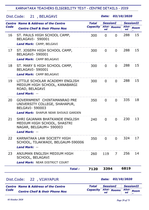#### Dist.Code: 21 , BELAGAVI

|                              | <b>Centre Name &amp; Address of the Centre</b>                                                                                 | <b>Total</b>                    | <b>SessionI</b>       |                     | <b>SessionII</b> |                                 |
|------------------------------|--------------------------------------------------------------------------------------------------------------------------------|---------------------------------|-----------------------|---------------------|------------------|---------------------------------|
| Code                         | <b>Centre Cheif &amp; their Phone Nos</b>                                                                                      | <b>Capacity</b>                 | ed                    | Allot-Rooms         | Allot-<br>ed     | <b>Room</b>                     |
| 16                           | ST. PAULS HIGH SCHOOL CAMP,<br>BELAGAVI- 590001<br>Land Mark: CAMP, BELGAVI                                                    | 300                             | 0                     | $\Omega$            | 288              | 15                              |
| 17                           | ST. JOSEPH HIGH SCHOOL CAMP,<br><b>BELAGAVI-590001</b><br><b>Land Mark: CAMP BELAGAVI</b>                                      | $\mathbf 0$                     | $\overline{0}$        | 288                 | 15               |                                 |
| 18                           | ST. MARY S HIGH SCHOOL CAMP,<br><b>BELAGAVI-590001</b><br><b>Land Mark: CAMP BELAGAVI</b>                                      | 300                             | $\mathbf 0$           | $\mathbf 0$         | 288              | 15                              |
| 19                           | LITTILE SCHOLAR ACADEMY ENGLISH<br>MEDIUM HIGH SCHOOL, KANABARGI<br>ROAD, BELAGAVI<br>Land Mark: --                            | 300                             | $\mathbf 0$           | $\mathbf 0$         | 288              | 15                              |
| 20                           | GOVERNMENT CHINTAMANRAO PRE<br>UNIVERSITY COLLEGE, SHAHAPUR,<br><b>BELGAVI-590003</b><br>Land Mark: SHAPUR NEAR SHIVAJI GARDEN | 350                             | $\overline{0}$        | $\mathbf 0$         | 335              | 18                              |
| 21                           | SHRI GAJANAN BHATKANDE ENGLISH<br>MEDIUM HIGH SCHOOL, SHASTRI<br>NAGAR, BELGAUM= 590003<br><b>Land Mark: --</b>                | 240                             | $\mathbf 0$           | $\mathbf 0$         | 230              | 13                              |
| 22                           | KARNATAKA LAW SOCIETY HIGH<br>SCHOOL, TILAKWADI, BELGAUM-590006<br><b>Land Mark: --</b>                                        | 350                             | $\overline{0}$        | $\mathbf{0}$        | 324              | 17                              |
| 23                           | ANJUMAN ENGLISH MEDIUM HIGH<br><b>SCHOOL, BELAGAVI</b><br><b>Land Mark: NEAR DISTRICT COURT</b>                                | 260                             | 119                   | $\overline{7}$      |                  | 14                              |
|                              | <b>Total:</b>                                                                                                                  | 7120                            | 3394                  |                     | 6819             |                                 |
| 22 , VIJAYAPUR<br>Dist.Code: |                                                                                                                                |                                 | Date:                 |                     | 03/10/2020       |                                 |
| Code                         | <b>Centre Name &amp; Address of the Centre</b><br><b>Centre Cheif &amp; their Phone Nos</b>                                    | <b>Total</b><br><b>Capacity</b> | <b>SessionI</b><br>ed | <b>Allot-</b> Rooms | Allot-<br>ed     | <b>SessionII</b><br><b>Room</b> |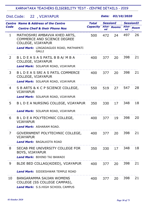## Dist.Code: 22 , VIJAYAPUR

|                | <b>Centre Name &amp; Address of the Centre</b>                                                       | <b>Total</b>    | <b>SessionI</b> |                     | <b>SessionII</b> |             |
|----------------|------------------------------------------------------------------------------------------------------|-----------------|-----------------|---------------------|------------------|-------------|
| Code           | <b>Centre Cheif &amp; their Phone Nos</b>                                                            | <b>Capacity</b> | ed              | <b>Allot-</b> Rooms | Allot-<br>ed     | <b>Room</b> |
| 1              | MATHOSHRI AMBAVVA KHED ARTS,<br><b>COMMERCE AND SCIENCE DEGREE</b><br>COLLEGE, VIJAYAPUR             | 500             | 472             | 24                  | 497              | 26          |
|                | Land Mark: LINGADAGUDI ROAD, MATHAPATI<br><b>GALLI</b>                                               |                 |                 |                     |                  |             |
| $\overline{2}$ | BLDEASASPATILBBA/MBA<br>COLLEGE, VIJAYAPUR<br>Land Mark: SOLAPUR ROAD, VIJAYAPUR                     | 400             | 377             | 20                  | 398              | 21          |
| 3              | BLDEAS SRIAS PATIL COMMERCE<br>COLLEGE, VIJAYAPUR<br>Land Mark: SOLAPUR ROAD, VIJAYAPUR              | 400             | 377             | 20                  | 398              | 21          |
| 4              | S B ARTS & K C P SCIENCE COLLEGE,<br><b>VIJAYAPUR</b><br>Land Mark: SOLAPUR ROAD, VIJAYAPUR          | 550             | 519             | 27                  | 547              | 28          |
| 5              | B L D E A NURSING COLLEGE, VIJAYAPUR<br>Land Mark: SOLAPUR ROAD, VIJAYAPUR                           | 350             | 330             | 17                  | 348              | 18          |
| 6              | B L D E A POLYTECHNIC COLLEGE,<br><b>VIJAYAPUR</b><br><b>Land Mark: ASHARAM ROAD.</b>                | 400             | 377             | 19                  | 398              | 20          |
| 7              | GOVERNMENT POLYTECHNIC COLLEGE,<br><b>VIJAYAPUR</b><br>Land Mark: BAGALKOTA ROAD                     | 400             | 377             | 20                  | 398              | 21          |
| 8              | SECAB PRE UNIVERSITY COLLEGE FOR<br><b>BOYS, VIJAYAPUR</b><br><b>Land Mark: BIHIND TAJ BAWADI</b>    | 350             | 330             | 17                  | 348              | 18          |
| 9              | BLDE BED COLLAG(AIDED), VIJAYAPUR<br><b>Land Mark: SIDDESHWAR TEMPLE ROAD</b>                        | 400             | 377             | 20                  | 398              | 21          |
| 10             | <b>BANGARAMMA SAJJAN WOMENS</b><br>COLLEGE (SS COLLEGE CAMPAS),<br>Land Mark: S.S.HIGH SCHOOL CAMPUS | 400             | 377             | 20                  | 398              | 21          |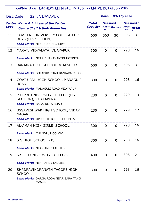#### Dist.Code: Centre Name & Address of the Centre **Code** Allot- Rooms 22 , VIJAYAPUR Total SessionI SessionII Capacity Allot- Rooms Allot- Rooms Allot- Room  $\equiv$ ed Alloted Date: 03/10/2020 11 GOVT PRE UNIVERSITY COLLEGE FOR BOYS (H S SECTION), 600 563 30 596 31 Land Mark: NEAR GANDI CHOWK 12 MARATI VIDYALAYA, VIJAYAPUR 300 0 0 298 16 Land Mark: NEAR DHANAVANTRI HOSPITAL 13 BANJARA HIGH SCHOOL, VIJAYAPUR 600 0 0 596 31 Land Mark: SOLAPUR ROAD BANJARA CROSS 14 GOVT URDU HIGH SCHOOL, MANAGULI ROAD 300 0 0 298 16 Land Mark: MANAGULI ROAD VIJAYAPUR 15 PDJ PRE UNIVERSITY COLLEGE (HS SECTION), VIJAYAPURA 230 0 0 229 13 Land Mark: BAGALKOTA ROAD 16 BSSAVESHWAR HIGH SCHOOL, VIDAY NAGAR 230 0 0 229 12 Land Mark: OPPOSITE B.L.D.E.HOSPITAL 17 AL-AMAN HIGH GIRLS SCHOOL, 300 0 0 298 16 Land Mark: CHANDPUR COLONY 18 S.S.HIGH SCHOOL - B, 300 0 0 298 16 Land Mark: NEAR AMIR TALKIES 19 S.S.PRI UNIVERSITY COLLEGE,  $\begin{array}{cccc} 400 & 0 & 398 & 21 \end{array}$ Land Mark: NEAR AMIR TALKIES 20 SHRI.RAVINDRANATH TAGORE HIGH SCHOOL, 300 0 0 298 16 Land Mark: DARGA RODA NEAR BARA TANG

MASJID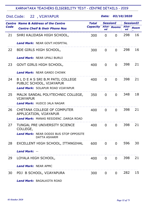| Dist.Code: | 22, VIJAYAPUR                                                                                                      | 03/10/2020<br>Date: |                 |                     |                  |             |  |  |
|------------|--------------------------------------------------------------------------------------------------------------------|---------------------|-----------------|---------------------|------------------|-------------|--|--|
|            | <b>Centre Name &amp; Address of the Centre</b>                                                                     | <b>Total</b>        | <b>SessionI</b> |                     | <b>SessionII</b> |             |  |  |
| Code       | <b>Centre Cheif &amp; their Phone Nos</b>                                                                          | <b>Capacity</b>     | ed              | <b>Allot-</b> Rooms | Allot-<br>ed     | <b>Room</b> |  |  |
| 21         | SHRI KALIDASA HIGH SCHOOL,                                                                                         | 300                 | $\overline{0}$  | $\Omega$            | 298              | 16          |  |  |
|            | <b>Land Mark: NEAR GOVT.HOSPITAL</b>                                                                               |                     |                 |                     |                  |             |  |  |
| 22         | <b>BDE GIRLS HIGH SCHOOL,</b>                                                                                      | 300                 | $\mathbf 0$     | $\overline{0}$      | 298              | 16          |  |  |
|            | <b>Land Mark: NEAR UPALI BURUJ</b>                                                                                 |                     |                 |                     |                  |             |  |  |
| 23         | GOVT GIRLS HIGH SCHOOL,                                                                                            | 400                 | $\mathbf 0$     | $\Omega$            | 398              | 21          |  |  |
|            | <b>Land Mark: NEAR GANDI CHOWK</b>                                                                                 |                     |                 |                     |                  |             |  |  |
| 24         | B L D E A S SRI B.M PATIL COLLEGE<br>PUBLIC SCHOOL, VIJAYAPUR<br><b>Land Mark: SOLAPUR ROAD VIJAYAPUR</b>          | 400                 | $\mathbf 0$     | $\Omega$            | 398              | 21          |  |  |
| 25         | MALIK SANDAL POLYTECHNIC COLLEGE,<br><b>VIJAYAPUR</b><br><b>Land Mark: HUDCO JALA NAGAR</b>                        | 350                 | $\mathbf 0$     | $\Omega$            | 348              | 18          |  |  |
| 26         | CHETANA COLLEGE OF COMPUTER<br>APPLICATION, VIJAYAPUR<br><b>Land Mark: MANAS RESIDENC .DARGA ROAD</b>              | 400                 | $\overline{0}$  | $\Omega$            | 398              | 21          |  |  |
| 27         | TUNGAL PRE UNIVERSITY SCIENCE<br>COLLEGE,<br><b>Land Mark: NEAR DODDI BUS STOP OPPOSITE</b><br><b>DATTA ASHARM</b> | 400                 | 0               | 0                   | 398              | 21          |  |  |
| 28         | EXCELLENT HIGH SCHOOL, ITTANGIHAL                                                                                  | 600                 | $\Omega$        | $\Omega$            | 596              | 30          |  |  |
|            | <b>Land Mark: --</b>                                                                                               |                     |                 |                     |                  |             |  |  |
| 29         | LOYALA HIGH SCHOOL,                                                                                                | 400                 | $\mathbf 0$     | $\Omega$            | 398              | 21          |  |  |
|            | <b>Land Mark: NEAR APMC</b>                                                                                        |                     |                 |                     |                  |             |  |  |
| 30         | PDJ B SCHOOL, VIJAYAPURA                                                                                           | 300                 | $\mathbf 0$     | $\overline{0}$      | 282              | 15          |  |  |

Land Mark: BAGALKOTA ROAD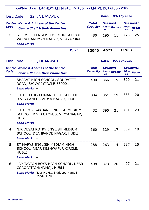|                | Dist.Code:<br>22, VIJAYAPUR                                                                                         |                 | Date:           |                     | 03/10/2020       |             |  |  |
|----------------|---------------------------------------------------------------------------------------------------------------------|-----------------|-----------------|---------------------|------------------|-------------|--|--|
|                | <b>Centre Name &amp; Address of the Centre</b>                                                                      |                 | <b>SessionI</b> |                     | <b>SessionII</b> |             |  |  |
| Code           | <b>Centre Cheif &amp; their Phone Nos</b>                                                                           | <b>Capacity</b> | ed              | <b>Allot-</b> Rooms | Allot-<br>ed     | <b>Room</b> |  |  |
| 31             | ST JOSEPH ENGLISH MEDIUM SCHOOL,<br>VAJRA HANUMAN NAGAR, VIJAYAPURA<br>Land Mark: --                                | 480             | 195             | 11                  | 475              | 25          |  |  |
|                | <b>Total:</b>                                                                                                       | 12040           | 4671            |                     | 11953            |             |  |  |
|                | 03/10/2020<br>23, DHARWAD<br>Date:<br>Dist.Code:                                                                    |                 |                 |                     |                  |             |  |  |
|                | <b>Centre Name &amp; Address of the Centre</b>                                                                      | <b>Total</b>    | <b>SessionI</b> |                     | <b>SessionII</b> |             |  |  |
| Code           | <b>Centre Cheif &amp; their Phone Nos</b>                                                                           | <b>Capacity</b> | ed              | Allot-Rooms         | Allot-<br>ed     | <b>Room</b> |  |  |
| $\mathbf{1}$   | BHARAT HIGH SCHOOL, SOUDATTTI<br>ROAD, SHIVAJI CIRCLE-580001<br>Land Mark: --                                       | 400             | 366             | 19                  | 399              | 21          |  |  |
| $\overline{2}$ | K.L.E. H.F.KATTIMANI HIGH SCHOOL,<br>B.V.B.CAMPUS VIDYA NAGAR, HUBLI<br><b>Land Mark: --</b>                        | 384             | 351             | 19                  | 383              | 20          |  |  |
| 3              | K.L.E. M.R.SAKHARE ENGLISH MEDIUM<br>SCHOOL, B.V.B.CAMPUS, VIDYANAGAR,<br><b>HUBLI</b><br><b>Land Mark: --</b>      | 432             | 395             | 21                  | 431              | 23          |  |  |
| 4              | N.R DESAI ROTRY ENGLISH MEDIUM<br>SCHOOL, DEAHPANDE NAGAR, HUBLI<br>Land Mark: --                                   | 360             | 329             | 17                  | 359              | 19          |  |  |
| 5              | ST MARYS ENGLISH MEDIAM HIGH<br>SCHOOL, NEAR KESHWAPUR CIRCLE,<br><b>HUBLI</b><br>Land Mark: --                     | 288             | 263             | 14                  | 287              | 15          |  |  |
| 6              | LAMINGTON BOYS HIGH SCHOOL, NEAR<br>COROPATION(HDMC), HUBLI<br>Land Mark: Near HDMC, Siddappa Kambli<br>Road, Hubli | 408             | 373             | 20                  | 407              | 21          |  |  |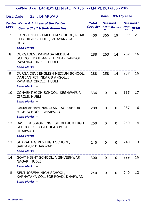# Dist.Code: 23 , DHARWAD

|             | <b>Centre Name &amp; Address of the Centre</b>                                                                    | <b>Total</b>    | <b>SessionI</b> |                     | <b>SessionII</b> |             |
|-------------|-------------------------------------------------------------------------------------------------------------------|-----------------|-----------------|---------------------|------------------|-------------|
| <b>Code</b> | <b>Centre Cheif &amp; their Phone Nos</b>                                                                         | <b>Capacity</b> | ed              | <b>Allot-</b> Rooms | Allot-<br>ed     | <b>Room</b> |
| 7           | LIONS ENGLISH MEDIUM SCHOOL, NEAR<br>CITY HIGH SCHOOL, VIJAYANAGAR,<br><b>HUBLI</b><br><b>Land Mark: --</b>       | 400             | 366             | 19                  | 399              | 21          |
| 8           | DURGADEVI KANNADA MEDIUM<br>SCHOOL, DAJIBAN PET, NEAR SANGOLLI<br>RAYANNA CIRCLE, HUBLI<br><b>Land Mark: --</b>   | 288             | 263             | 14                  | 287              | 16          |
| 9           | DURGA DEVI ENGLISH MEDIUM SCHOOL,<br>DAJIBAN PET, NEAR S ANGOLLI<br>RAYANNA CIRCLE, HUBLI<br><b>Land Mark: --</b> | 288             | 258             | 14                  | 287              | 16          |
| 10          | CONVENT HIGH SCHOOL, KESHWAPUR<br>CIRCLE, HUBLI<br>Land Mark: --                                                  | 336             | $\Omega$        | $\Omega$            | 335              | 17          |
| 11          | KAMALABHAYI NARAYAN RAO KABBUR<br>HIGH SCHOOL, DHARWAD<br>Land Mark: --                                           | 288             | $\Omega$        | $\Omega$            | 287              | 16          |
| 12          | <b>BASEL MISSION ENGLISH MEDIUM HIGH</b><br>SCHOOL, OPPOSIT HEAD POST,<br><b>DHARWAD</b><br>Land Mark: --         | 250             | $\Omega$        | $\Omega$            | 250              | 14          |
| 13          | SHARADA GIRLS HIGH SCHOOL,<br><b>SAPTAPUR DHARWAD</b><br><b>Land Mark: --</b>                                     | 240             | $\overline{0}$  | $\Omega$            | 240              | 13          |
| 14          | GOVT HIGHT SCHOOL, VISHVESHWAR<br>NAGAR, HUBLI<br><b>Land Mark: --</b>                                            | 300             | $\mathbf 0$     | $\Omega$            | 299              | 16          |
| 15          | SENT JOSEPH HIGH SCHOOL,<br>KARNATAKA COLLEGE ROAD, DHARWAD<br><b>Land Mark: --</b>                               | 240             | $\Omega$        | $\Omega$            | 240              | 13          |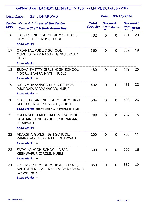| Date:<br>Dist.Code:<br>23, DHARWAD |                                                                                                                |                 |                 | 03/10/2020          |                  |             |  |
|------------------------------------|----------------------------------------------------------------------------------------------------------------|-----------------|-----------------|---------------------|------------------|-------------|--|
|                                    | <b>Centre Name &amp; Address of the Centre</b>                                                                 | <b>Total</b>    | <b>SessionI</b> |                     | <b>SessionII</b> |             |  |
| Code                               | <b>Centre Cheif &amp; their Phone Nos</b>                                                                      | <b>Capacity</b> | ed              | <b>Allot-</b> Rooms | Allot-<br>ed     | <b>Room</b> |  |
| 16                                 | GAINT'S ENGLISH MEDIUM SCHOOL,<br>HDMC OFFICE NO: 7, HUBLI<br><b>Land Mark: --</b>                             | 432             | $\mathbf 0$     | 0                   | 431              | 23          |  |
| 17                                 | ORIANTAL PUBLIC SCHOOL,<br>MURDESHWAR NAGAR, GOKUL ROAD,<br><b>HUBLI</b><br><b>Land Mark: --</b>               | 360             | $\Omega$        | $\overline{0}$      | 359              | 19          |  |
| 18                                 | SUDHA SHETTY GIRLS HIGH SCHOOL,<br>MOORU SAVIRA MATH, HUBLI<br><b>Land Mark: --</b>                            | 480             | $\Omega$        | $\Omega$            | 479              | 25          |  |
| 19                                 | K.S.S VIJAYANAGAR P U COLLEGE,<br>P.B.ROAD, VIDYANAGAR, HUBLI<br>Land Mark: --                                 | 432             | $\Omega$        | $\Omega$            | 431              | 22          |  |
| 20                                 | N.K.THAKKAR ENGLISH MEDIUM HIGH<br>SCHOOL, NEAR SUB JAIL, HUBLI<br>Land Mark: shanti colony, vidyanagar, Hubli | 504             | $\Omega$        | $\Omega$            | 502              | 26          |  |
| 21                                 | OM ENGLISH MEDIUM HIGH SCHOOL,<br>JALADARSHINI LAYOUT, R.K. NAGAR<br><b>DHARWAD</b><br><b>Land Mark: --</b>    | 288             | $\Omega$        | $\Omega$            | 287              | 16          |  |
| 22                                 | ADARSHA GIRLS HIGH SCHOOL,<br>RAMNAGAR, NEAR NTTF, DHARWAD<br><b>Land Mark: --</b>                             | 200             | $\overline{0}$  | $\overline{0}$      | 200              | 11          |  |
| 23                                 | FATHIMA HIGH SCHOOL, NEAR<br><b>KESHWAPUR CIRCLE, HUBLI</b><br>Land Mark: --                                   | 300             | $\mathbf 0$     | $\Omega$            | 299              | 16          |  |
| 24                                 | J.K. ENGLISH MEDIAM HIGH SCHOOL,<br>SANTOSH NAGAR, NEAR VISHWESHWAR<br>NAGAR, HUBLI                            | 360             | $\Omega$        | $\overline{0}$      | 359              | 19          |  |

Land Mark: --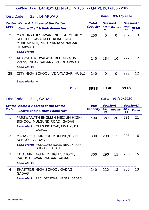## Dist.Code: 23 , DHARWAD

| Code | <b>Centre Name &amp; Address of the Centre</b>                                                                                           | Total           | <b>SessionI</b> |             | <b>SessionII</b> |             |
|------|------------------------------------------------------------------------------------------------------------------------------------------|-----------------|-----------------|-------------|------------------|-------------|
|      | <b>Centre Cheif &amp; their Phone Nos</b>                                                                                                | <b>Capacity</b> | ed              | Allot-Rooms | Allot-<br>ed     | <b>Room</b> |
| 25   | MANJUNATHESHWAR ENGLISH MEDIUM<br>SCHOOL, SAVADATTI ROAD, NEAR<br>MURGAMATH, MRUTYANJAYA NAGAR<br><b>DHARWAD</b><br><b>Land Mark: --</b> | 250             | 0               | $\Omega$    | 237              | 13          |
| 27   | ADARSHA VIDYALAYA, BEHIND GOVT<br>PRESS, NEAR SADANKERI, DHARWAD<br>Land Mark: --                                                        | 240             | 184             | 10          | 222              | 12          |
| 28   | CITY HIGH SCHOOL, VIJAYNAGAR, HUBLI<br><b>Land Mark:</b>                                                                                 | 240             | $\overline{0}$  | $\Omega$    | 222              | 12          |
|      |                                                                                                                                          |                 |                 |             |                  |             |

|                      |  | Total : I | 8988 3148 | 8918             |  |
|----------------------|--|-----------|-----------|------------------|--|
| Dist.Code: 24, GADAG |  |           |           | Date: 03/10/2020 |  |

| <b>Centre</b> | <b>Name &amp; Address of the Centre</b>                                                                                | <b>Total</b>    | <b>SessionI</b> |                     | <b>SessionII</b> |             |
|---------------|------------------------------------------------------------------------------------------------------------------------|-----------------|-----------------|---------------------|------------------|-------------|
| Code          | <b>Centre Cheif &amp; their Phone Nos</b>                                                                              | <b>Capacity</b> | ed              | <b>Allot-</b> Rooms | Allot-<br>ed     | <b>Room</b> |
| $\mathbf{1}$  | PARSWANATH ENGLISH MEDIUM HIGH-<br>SCHOOL, MULGUND ROAD, GADAG.<br>Land Mark: MULGUND ROAD, NEAR KUTIR<br>GADAG.       | 400             | 387             | 20                  | 391              | 21          |
| 2             | MAHAVEER JAIN ENG MDM PRI/HIGH<br><b>SCHOOL, GADAG</b><br>Land Mark: MULAGUND ROAD, NEAR KANAK<br><b>BHAVAN, GADAG</b> | 300             | 290             | 15                  | 293              | 16          |
| 3             | CDO JAIN ENG MED HIGH SCHOOL,<br>RACHOTESWAR, NAGAR GADAG<br>Land Mark: --                                             | 300             | 290             | 15                  | 293              | 15          |
| 4             | SHASTRIJI HIGH SCHOOL GADAG,<br><b>GADAG</b><br>Land Mark: RACHOTESWAR NAGAR, GADAG                                    | 240             | 232             | 13                  | 235              | 13          |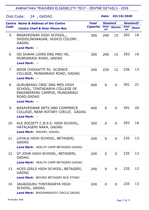## Dist.Code: 24 , GADAG

|                | <b>Centre Name &amp; Address of the Centre</b>                                                                                              | <b>Total</b>    | <b>SessionI</b> |                     | <b>SessionII</b> |             |
|----------------|---------------------------------------------------------------------------------------------------------------------------------------------|-----------------|-----------------|---------------------|------------------|-------------|
| <b>Code</b>    | <b>Centre Cheif &amp; their Phone Nos</b>                                                                                                   | <b>Capacity</b> | ed              | <b>Allot-</b> Rooms | Allot-<br>ed     | <b>Room</b> |
| 5              | BASAVESWAR HIGH SCHOOL,<br>SHIDDLINGNAGAR, HUDCO COLONY,<br><b>GADAG</b><br><b>Land Mark: --</b>                                            | 300             | 290             | 15                  | 293              | 16          |
| 6              | GD SHAHA LIONS ENG MED HS,<br>MUNDARAGI ROAD, GADAG<br><b>Land Mark: --</b>                                                                 | 300             | 290             | 15                  | 293              | 16          |
| $\overline{7}$ | BIPIN CHIKKATTI PU SCIENCE<br>COLLEGE, MUNDARAGI ROAD, GADAG<br><b>Land Mark: --</b>                                                        | 240             | 229             | 12                  | 236              | 13          |
| 8              | <b>GURUBASAV CBSC ENG MED HIGH</b><br>SCHOOL, TONTADARYA COLLEGE OF<br>ENGINEERING CAMPUS, MUNDARAGI<br>ROAD, GADAG<br><b>Land Mark: --</b> | 400             | $\Omega$        | $\Omega$            | 391              | 21          |
| 9              | BASAVESWAR ARTS AND COMMERCE<br>COLLEGE, NEAR ROTARY CIRCLE, GADAG<br><b>Land Mark: --</b>                                                  | 400             | $\Omega$        | $\Omega$            | 391              | 20          |
| 10             | KLE SOCIETY C.B.S.E. HIGH SCHOOL,<br>HATALAGERI NAKA, GADAG<br>Land Mark: MASARI, GADAG.                                                    | 300             | $\Omega$        | $\Omega$            | 293              | 16          |
| 11             | LOYALA HIGH-SCHOOL, BETAGERI,<br><b>GADAG</b><br><b>Land Mark: HEALTH CAMP BETAGERI-GADAG</b>                                               | 240             | $\overline{0}$  | $\overline{0}$      | 235              | 13          |
| 12             | ST.JOHN HIGH-SCHOOL, BETAGERI,<br>GADAG.<br><b>Land Mark: HEALTH CAMP BETAGERI-GADAG</b>                                                    | 240             | $\overline{0}$  | $\Omega$            | 235              | 13          |
| 13             | HCES GIRLS HIGH SCHOOL, BETAGERI,<br><b>GADAG</b><br><b>Land Mark: BEHIND BETAGERI BUS STAND</b>                                            | 240             | $\overline{0}$  | $\Omega$            | 235              | 13          |
| 14             | <b>JAGADGURU TONTADARYA HIGH</b><br><b>SCHOOL, GADAG</b><br><b>Land Mark: BHOOMARADDI CIRCLE GADAG</b>                                      | 240             | $\overline{0}$  | $\Omega$            | 235              | 13          |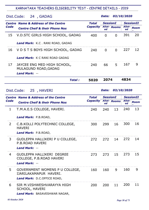|      | 03/10/2020<br>Dist.Code:<br>24, GADAG<br><i><b>Date:</b></i> |                 |                 |                     |                  |             |  |  |
|------|--------------------------------------------------------------|-----------------|-----------------|---------------------|------------------|-------------|--|--|
|      | <b>Centre Name &amp; Address of the Centre</b>               | Total           | <b>SessionI</b> |                     | <b>SessionII</b> |             |  |  |
| Code | <b>Centre Cheif &amp; their Phone Nos</b>                    | <b>Capacity</b> | ed              | <b>Allot-</b> Rooms | Allot-<br>ed     | <b>Room</b> |  |  |
| 15   | V.D.STC GIRLS HIGH SCHOOL, GADAG                             | 400             | 0               | $\Omega$            | 391              | 20          |  |  |
|      | Land Mark: K.C. RANI ROAD, GADAG                             |                 |                 |                     |                  |             |  |  |
| 16   | V D S T S BOYS HIGH SCHOOL, GADAG                            | 240             | $\overline{0}$  | $\Omega$            | 227              | 12          |  |  |
|      | Land Mark: K C RANI ROAD GADAG                               |                 |                 |                     |                  |             |  |  |
| 17   | JAYCEE ENG MED HIGH SCHOOL,<br><b>MULAGUND ROAD, GADAG</b>   | 240             | 66              | 5                   | 167              | 9           |  |  |
|      | Land Mark: --                                                |                 |                 |                     |                  |             |  |  |
|      | <b>Total:</b>                                                | 5020            | 2074            |                     | 4834             |             |  |  |

#### Dist.Code: 25 , HAVERI

|                | <b>Centre Name &amp; Address of the Centre</b>                                          | <b>Total</b>    | <b>SessionI</b> |                     | <b>SessionII</b> |             |
|----------------|-----------------------------------------------------------------------------------------|-----------------|-----------------|---------------------|------------------|-------------|
| <b>Code</b>    | <b>Centre Cheif &amp; their Phone Nos</b>                                               | <b>Capacity</b> | ed              | <b>Allot-</b> Rooms | Allot-<br>ed     | <b>Room</b> |
| 1              | T.M.A.E.S COLLEGE, HAVERI.                                                              | 240             | 240             | 13                  | 240              | 13          |
|                | Land Mark: P.B.ROAD,                                                                    |                 |                 |                     |                  |             |
| $\overline{2}$ | C.B.KOLLI POLYTECHNIC COLLEGE,<br><b>HAVERI</b>                                         | 300             | 299             | 16                  | 300              | 16          |
|                | Land Mark: P.B.ROAD,                                                                    |                 |                 |                     |                  |             |
| 3              | GUDLEPPA HALLIKERI P U COLLEGE,<br>P.B.ROAD HAVERI<br><b>Land Mark: --</b>              | 272             | 272             | 14                  | 272              | 14          |
| $\overline{4}$ | <b>GUDLEPPA HALLIKERI DEGREE</b><br>COLLEGE, P.B.ROAD HAVERI<br>Land Mark: --           | 273             | 273             | 15                  | 273              | 15          |
| 5              | GOVERNMENT WOMENS P U COLLEGE,<br>IJARILAKAMAPUR HAVERI.<br>Land Mark: D.C.OFFICE ROAD, | 160             | 160             | 9                   | 160              | 9           |
| 6              | SIR M.VISHWESHVARAYYA HIGH<br><b>SCHOOL, HAVERI</b><br>Land Mark: BASAVESHWAR NAGAR,    | 200             | 200             | 11                  | 200              | 11          |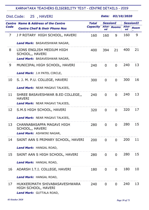| Dist.Code: | 25, HAVERI                                                                       |                 | Date:           |                     | 03/10/2020 |                  |
|------------|----------------------------------------------------------------------------------|-----------------|-----------------|---------------------|------------|------------------|
|            | <b>Centre Name &amp; Address of the Centre</b>                                   | <b>Total</b>    | <b>SessionI</b> |                     | Allot-     | <b>SessionII</b> |
| Code       | <b>Centre Cheif &amp; their Phone Nos</b>                                        | <b>Capacity</b> | ed              | <b>Allot-</b> Rooms | ed         | <b>Room</b>      |
| 7          | J P ROTARY HIGH SCHOOL, HAVERI                                                   | 160             | 160             | 9                   | 160        | 9                |
|            | Land Mark: BASAVESHWAR NAGAR,                                                    |                 |                 |                     |            |                  |
| 8          | LIONS ENGLISH MEDIUM HIGH<br>SCHOOL,, HAVERI<br>Land Mark: BASAVESHWAR NAGAR,    | 400             | 394             | 21                  | 400        | 21               |
|            |                                                                                  |                 |                 |                     |            |                  |
| 9          | MUNICIPAL HIGH SCHOOL, HAVERI                                                    | 240             | $\overline{0}$  | $\Omega$            | 240        | 13               |
|            | Land Mark: J.H PATEL CIRCLE,                                                     |                 |                 |                     |            |                  |
| 10         | S. J. M. P.U. COLLEGE, HAVERI                                                    | 300             | $\overline{0}$  | $\overline{0}$      | 300        | 16               |
|            | Land Mark: NEAR MAGAVI TALKIES,                                                  |                 |                 |                     |            |                  |
| 11         | SHREE BASAVESHWAR B.ED COLLEGE,<br><b>HAVERI</b>                                 | 240             | $\Omega$        | $\Omega$            | 240        | 13               |
|            | Land Mark: NEAR MAGAVI TALKIES,                                                  |                 |                 |                     |            |                  |
| 12         | S.M.S HIGH SCHOOL, HAVERI                                                        | 320             | $\overline{0}$  | $\Omega$            | 320        | 17               |
|            | Land Mark: NEAR MAGAVI TALKIES,                                                  |                 |                 |                     |            |                  |
| 13         | CHANNABASAPPA MAGAVI HIGH<br>SCHOOL,, HAVERI<br>Land Mark: ASHWINI NAGAR,        | 280             | $\overline{0}$  | $\mathbf 0$         | 280        | 15               |
| 14         | SAINT AAN S PRIMARY SCHOOL, HAVERI                                               | 200             | $\Omega$        | $\overline{0}$      | 200        | 11               |
|            | Land Mark: HANGAL ROAD,                                                          |                 |                 |                     |            |                  |
| 15         | SAINT AAN S HIGH SCHOOL, HAVERI                                                  | 280             | $\overline{0}$  | $\overline{0}$      | 280        | 15               |
|            | Land Mark: HANGAL ROAD,                                                          |                 |                 |                     |            |                  |
| 16         | ADARSH I.T.I. COLLEGE, HAVERI                                                    | 180             | $\overline{0}$  | $\overline{0}$      | 180        | 10               |
|            | Land Mark: HANGAL ROAD,                                                          |                 |                 |                     |            |                  |
| 17         | HUKKERIMATH SHIVABASAVESHWARA<br>HIGH SCHOOL, HAVERI<br>Land Mark: GUTTALA ROAD, | 240             | $\Omega$        | $\Omega$            | 240        | 13               |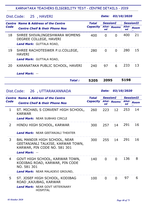#### Dist.Code: 25 , HAVERI

Date: 03/10/2020

|             | <b>Centre Name &amp; Address of the Centre</b>          | <b>Total</b>    | <b>SessionI</b> |             | <b>SessionII</b> |             |
|-------------|---------------------------------------------------------|-----------------|-----------------|-------------|------------------|-------------|
| <b>Code</b> | <b>Centre Cheif &amp; their Phone Nos</b>               | <b>Capacity</b> | ed              | Allot-Rooms | Allot-<br>ed     | <b>Room</b> |
| 18          | SHREE SHIVALINGESHWARA WOMENS<br>DEGREE COLLEGE, HAVERI | 400             | 0               | 0           | 400              | 21          |
|             | <b>Land Mark: GUTTALA ROAD,</b>                         |                 |                 |             |                  |             |
| 19          | SHREE RACHOTESWER P.U.COLLEGE,<br><b>HAVERI</b>         | 280             | $\overline{0}$  | $\Omega$    | 280              | 15          |
|             | Land Mark: GUTTALA ROAD,                                |                 |                 |             |                  |             |
| 20          | KARANATAKA PUBLIC SCHOOL, HAVERI                        | 240             | 97              | 6           | 233              | 13          |
|             | <b>Land Mark:</b>                                       |                 |                 |             |                  |             |

## Dist.Code: 26 , UTTARAKANNADA

Date: 03/10/2020

Total : 5205 2095 5198

|      | <b>Centre Name &amp; Address of the Centre</b>                                                                            | <b>Total</b>    | <b>SessionI</b> |                     | <b>SessionII</b> |             |
|------|---------------------------------------------------------------------------------------------------------------------------|-----------------|-----------------|---------------------|------------------|-------------|
| Code | <b>Centre Cheif &amp; their Phone Nos</b>                                                                                 | <b>Capacity</b> | ed              | <b>Allot-</b> Rooms | Allot-<br>ed     | <b>Room</b> |
| 1    | ST. MICHAEL S CONVENT HIGH SCHOOL,<br><b>KARWAR</b>                                                                       | 260             | 223             | 12                  | 253              | 14          |
|      | <b>Land Mark: NEAR SUBHAS CIRCLE</b>                                                                                      |                 |                 |                     |                  |             |
| 2    | HINDU HIGH SCHOOL, KARWAR                                                                                                 | 300             | 257             | 14                  | 291              | 16          |
|      | <b>Land Mark: NEAR GEETANJALI THEATER</b>                                                                                 |                 |                 |                     |                  |             |
| 3    | BAL MANDIR HIGH SCHOOL, NEAR<br>GEETANJANLI TALKISE, KARWAR TOWN,<br>KARWAR, PIN CODE NO. 581 301<br><b>Land Mark: --</b> | 300             | 255             | 14                  | 291              | 16          |
| 4    | GOVT HIGH SCHOOL, KARWAR TOWN,<br>KODIBAG ROAD, KARWAR, PIN CODE<br>NO. 581 301<br>Land Mark: NEAR MALADEVI GROUND,       | 140             | $\Omega$        | $\Omega$            | 136              | 8           |
| 5    | ST. JOSEF HIGH SCHOOL, KODIBAG<br>ROAD, KAJUBAG, KARWAR<br><b>Land Mark: NEAR GOVT VETERINARY</b><br><b>HOSPITAL</b>      | 100             | $\Omega$        | $\Omega$            | 97               | 6           |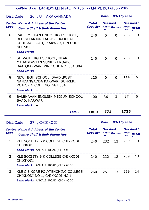# Dist.Code: 26 , UTTARAKANNADA

Date: 03/10/2020

|      | <b>Centre Name &amp; Address of the Centre</b>                                                                                           | <b>Total</b>    | <b>SessionI</b> |                     | <b>SessionII</b> |             |
|------|------------------------------------------------------------------------------------------------------------------------------------------|-----------------|-----------------|---------------------|------------------|-------------|
| Code | <b>Centre Cheif &amp; their Phone Nos</b>                                                                                                | <b>Capacity</b> | ed              | <b>Allot-</b> Rooms | Allot-<br>ed     | <b>Room</b> |
| 6    | RAHEEM KHAN UNITY HIGH SCHOOL,<br>BEHIND ARJUN TALKISE, KAJUBAG<br>KODIBAG ROAD, KARWAR, PIN CODE<br>NO. 581 303<br><b>Land Mark: --</b> | 240             | 0               | $\Omega$            | 233              | 13          |
| 7    | SHIVAJI HIGH SCHOOL, NEAR<br>MAHADEVSTAN SUNKERI ROAD,<br>BAAD, KARWAR, PIN CODE NO. 581 304<br>Land Mark: --                            | 240             | $\Omega$        | $\Omega$            | 233              | 13          |
| 8    | NEW HIGH SCHOOL, BAAD, POST<br>NANDANGADDA KARWAR SUNKERI<br>ROAD, PIN CODE NO. 581 304<br>Land Mark: --                                 | 120             | $\mathbf 0$     | $\Omega$            | 114              | 6           |
| 9    | BALBHAVAN ENGLISH MEDIUM SCHOOL,<br>BAAD, KARWAR<br><b>Land Mark: --</b>                                                                 | 100             | 36              | 3                   | 87               | 6           |
|      | <b>Total:</b>                                                                                                                            | 1800            | 771             |                     | 1735             |             |

# Dist.Code: 27 , CHIKKODI

| Centre        | <b>Name &amp; Address of the Centre</b>                           | <b>Total</b>    | <b>SessionI</b> |             | <b>SessionII</b> |             |
|---------------|-------------------------------------------------------------------|-----------------|-----------------|-------------|------------------|-------------|
| Code          | <b>Centre Cheif &amp; their Phone Nos</b>                         | <b>Capacity</b> | ed              | Allot-Rooms | Allot-<br>ed     | <b>Room</b> |
|               | KLE SOCIETY B K COLLEGE CHIKKODI,<br><b>CHIKKODI</b>              | 240             | 232             | 13          | 239              | 13          |
|               | Land Mark: ANKALI ROAD, CHIKKODI                                  |                 |                 |             |                  |             |
| $\mathcal{P}$ | KLE SOCIETY B K COLLEGE CHIKKODI,<br><b>CHIKKODI</b>              | 240             | 232             | 12          | 239              | 13          |
|               | Land Mark: ANKALI ROAD, CHIKKODI                                  |                 |                 |             |                  |             |
| 3             | KLE C B KORE POLYTENCHINC COLLEGE<br>CHIKKODI NO 1, CHIKKODI NO 1 | 260             | 251             | 13          | 259              | 14          |
|               | Land Mark: ANKALI ROAD, CHIKKODI                                  |                 |                 |             |                  |             |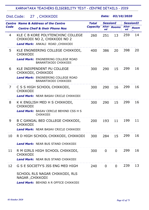## Dist.Code: 27 , CHIKKODI

|             | <b>Centre Name &amp; Address of the Centre</b>                                                                                  | <b>Total</b>    | <b>SessionI</b> |                     | <b>SessionII</b> |             |
|-------------|---------------------------------------------------------------------------------------------------------------------------------|-----------------|-----------------|---------------------|------------------|-------------|
| <b>Code</b> | <b>Centre Cheif &amp; their Phone Nos</b>                                                                                       | <b>Capacity</b> | ed              | <b>Allot-</b> Rooms | Allot-<br>ed     | <b>Room</b> |
| 4           | KLE C B KORE POLYTENCHINC COLLEGE<br>CHIKKODI NO 2, CHIKKODI NO 2<br>Land Mark: ANKALI ROAD, CHIKKODI                           | 260             | 251             | 13                  | 259              | 14          |
| 5           | KLE ENGNEERING COLLEGE CHIKKODI,<br><b>CHIKKODI</b><br><b>Land Mark: ENGNEERING COLLEGE ROAD</b><br><b>BANANTIKODI CHIKKODI</b> | 400             | 386             | 20                  | 398              | 20          |
| 6           | KLE INDIPENDENT PU COLLEGE<br>CHIKKODI, CHIKKODI<br><b>Land Mark: ENGNEERING COLLEGE ROAD</b><br><b>BANANTIKODI CHIKKODI</b>    | 300             | 290             | 15                  | 299              | 16          |
| 7           | C S S HIGH SCHOOL CHIKKODI,<br><b>CHIKKODI</b><br><b>Land Mark: NEAR BASAV CRICLE CHIKKODI</b>                                  | 300             | 290             | 16                  | 299              | 16          |
| 8           | K K ENGLISH MED H S CHIKKODI,<br><b>CHIKKODI</b><br><b>Land Mark:</b> BASAV CERCLE BEHIND CSS H S<br><b>CHIKKODI</b>            | 300             | 290             | 15                  | 299              | 16          |
| 9           | B C GANGAL BED COLLEGE CHIKKODI,<br><b>CHIKKODI</b><br>Land Mark: NEAR BASAV CRICLE CHIKKODI                                    | 200             | 193             | 11                  | 199              | 11          |
| 10          | R D HIGH SCHOOL CHIKKODI, CHIKKODI<br><b>Land Mark: NEAR BUS STAND CHIKKODI</b>                                                 | 300             | 284             | 15                  | 299              | 16          |
| 11          | R M GIRLS HIGH SCHOOL CHIKKODI,<br><b>CHIKKODI</b><br><b>Land Mark: NEAR BUS STAND CHIKKODI</b>                                 | 300             | $\overline{0}$  | $\mathbf 0$         | 299              | 16          |
| 12          | G S E SOCIETY'S JSS ENG MED HIGH<br>SCHOOL RLS NAGAR CHIKKODI, RLS<br>NAGAR, CHIKKODI<br>Land Mark: BEHIND A R OFFICE CHIKKODI  | 240             | $\overline{0}$  | $\overline{0}$      | 239              | 13          |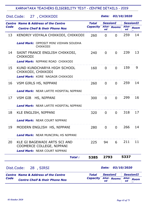| Dist.Code: |  | 27, CHIKKODI |
|------------|--|--------------|
|------------|--|--------------|

| Code       | <b>Centre Name &amp; Address of the Centre</b><br><b>Centre Cheif &amp; their Phone Nos</b> |                                                                                             | <b>Total</b><br><b>Capacity</b> | <b>SessionI</b><br><b>Allot-</b> Rooms<br>ed |                       | <b>SessionII</b><br>Allot-<br><b>Room</b><br>ed |              |                                 |
|------------|---------------------------------------------------------------------------------------------|---------------------------------------------------------------------------------------------|---------------------------------|----------------------------------------------|-----------------------|-------------------------------------------------|--------------|---------------------------------|
| 13         |                                                                                             | KENDRIY VIDYALA CHIKKODI, CHIKKODI                                                          |                                 | 260                                          | $\mathbf 0$           | $\Omega$                                        | 259          | 14                              |
|            |                                                                                             | <b>Land Mark: OPPOSIT MINI VIDHAN SOUDHA</b><br><b>CHIKKODI</b>                             |                                 |                                              |                       |                                                 |              |                                 |
| 14         | <b>CHIKKODI</b>                                                                             | SAINT FRANCE ENGLISH CHIKKOSI,                                                              |                                 | 240                                          | $\mathbf 0$           | $\overline{0}$                                  | 239          | 13                              |
|            |                                                                                             | <b>Land Mark:</b> NIPPANI ROAD CHIKKODI                                                     |                                 |                                              |                       |                                                 |              |                                 |
| 15         |                                                                                             | KUND KUNDCHARYA HIGH SCHOOL<br>CHIKKODI, CHIKKODI                                           |                                 | 160                                          | $\mathbf 0$           | $\Omega$                                        | 159          | 9                               |
|            |                                                                                             | Land Mark: KORE NAGAGR CHIKKODI                                                             |                                 |                                              |                       |                                                 |              |                                 |
| 16         |                                                                                             | VSM GIRLS HS, NIPPANI                                                                       |                                 | 260                                          | $\mathbf 0$           | $\Omega$                                        | 259          | 14                              |
|            |                                                                                             | <b>Land Mark: NEAR LAFITE HOSPITAL NIPPANI</b>                                              |                                 |                                              |                       |                                                 |              |                                 |
| 17         | VSM GIB                                                                                     | HS, NIPPANI                                                                                 |                                 | 300                                          | $\overline{0}$        | $\Omega$                                        | 299          | 16                              |
|            |                                                                                             | <b>Land Mark: NEAR LAFITE HOSPITAL NIPPANI</b>                                              |                                 |                                              |                       |                                                 |              |                                 |
| 18         |                                                                                             | KLE ENGLISH, NIPPANI                                                                        |                                 | 320                                          | $\mathbf 0$           | $\overline{0}$                                  | 318          | 17                              |
|            |                                                                                             | <b>Land Mark: NEAR COURT NIPPANI</b>                                                        |                                 |                                              |                       |                                                 |              |                                 |
| 19         |                                                                                             | MODERN ENGLISH HS, NIPPANI                                                                  |                                 | 280                                          | $\mathbf 0$           | $\Omega$                                        | 266          | 14                              |
|            |                                                                                             | <b>Land Mark:</b> NEAR MUNCIPAL HS NIPPANI                                                  |                                 |                                              |                       |                                                 |              |                                 |
| 20         |                                                                                             | KLE GI BAGEWADI ARTS SCI AND<br>COOMERCE COLLEGE, NIPPANI                                   |                                 | 225                                          | 94                    | 6                                               | 211          | 11                              |
|            |                                                                                             | Land Mark: NEAR COURT NIPPANI                                                               |                                 |                                              |                       |                                                 |              |                                 |
|            |                                                                                             |                                                                                             | <b>Total:</b>                   | 5385                                         | 2793                  |                                                 | 5337         |                                 |
| Dist.Code: |                                                                                             | 28, SIRSI                                                                                   |                                 |                                              | Date:                 |                                                 | 03/10/2020   |                                 |
| Code       |                                                                                             | <b>Centre Name &amp; Address of the Centre</b><br><b>Centre Cheif &amp; their Phone Nos</b> |                                 | <b>Total</b><br><b>Capacity</b>              | <b>SessionI</b><br>ed | <b>Allot-</b> Rooms                             | Allot-<br>ed | <b>SessionII</b><br><b>Room</b> |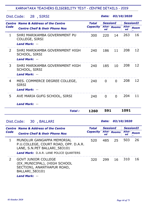## Dist.Code: 28 , SIRSI

Date: 03/10/2020

| <b>Centre</b>  | <b>Name &amp; Address of the Centre</b>                                       | <b>Total</b>    | <b>SessionI</b> |                     | <b>SessionII</b> |             |
|----------------|-------------------------------------------------------------------------------|-----------------|-----------------|---------------------|------------------|-------------|
| Code           | <b>Centre Cheif &amp; their Phone Nos</b>                                     | <b>Capacity</b> | ed              | <b>Allot-</b> Rooms | Allot-<br>ed     | <b>Room</b> |
| $\mathbf{1}$   | SHRI MARIKAMBA GOVERNMENT PU<br><b>COLLEGE, SIRSI</b><br><b>Land Mark: --</b> | 300             | 220             | 14                  | 263              | 16          |
| $\overline{2}$ | SHRI MARIKAMBA GOVERNMENT HIGH<br><b>SCHOOL, SIRSI</b><br>Land Mark: --       | 240             | 186             | 11                  | 208              | 12          |
| 3              | SHRI MARIKAMBA GOVERNMENT HIGH<br><b>SCHOOL, SIRSI</b><br>Land Mark: --       | 240             | 185             | 10                  | 208              | 12          |
| 4              | MES. COMMERCE DEGREE COLLEGE,<br><b>SIRSI</b><br><b>Land Mark: --</b>         | 240             | $\Omega$        | $\Omega$            | 208              | 12          |
| 5              | AVE MARIA GUFG SCHOOL, SIRSI                                                  | 240             | $\Omega$        | $\Omega$            | 204              | 11          |
|                | <b>Land Mark: --</b>                                                          |                 |                 |                     |                  |             |
|                | <b>Total:</b>                                                                 | 1260            | 591             |                     | 1091             |             |

## Dist.Code: 30 , BALLARI

|               | <b>Centre Name &amp; Address of the Centre</b>                                                                    | <b>Total</b><br><b>Capacity</b> | <b>SessionI</b> |             | <b>SessionII</b> |             |
|---------------|-------------------------------------------------------------------------------------------------------------------|---------------------------------|-----------------|-------------|------------------|-------------|
| <b>Code</b>   | <b>Centre Cheif &amp; their Phone Nos</b>                                                                         |                                 | ed              | Allot-Rooms | Allot-<br>ed     | <b>Room</b> |
|               | MUNDLUR GANGAPPA MEMORIAL<br>P.U.COLLEGE, COURT ROAD, OPP. D.A.R.<br>LANE, S.N. PET BALLARI 583101                | 520                             | 485             | 25          | 503              | 26          |
|               | <b>Land Mark:</b> D.A.R. LANE POLICE QUARTERS                                                                     |                                 |                 |             |                  |             |
| $\mathcal{P}$ | <b>GOVT JUNIOR COLLEGE</b><br>(EX MUNICIPAL), (HIGH SCHOOL<br>SECTION), ANANTHAPUR ROAD,<br><b>BALLARI 583101</b> | 320                             | 299             | 16          | 310              | 16          |
|               | I and Marks                                                                                                       |                                 |                 |             |                  |             |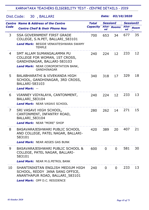## Dist.Code: 30 , BALLARI

|                | <b>Centre Name &amp; Address of the Centre</b>                                                                                                         | <b>Total</b>    | <b>SessionI</b> |                | <b>SessionII</b> |             |
|----------------|--------------------------------------------------------------------------------------------------------------------------------------------------------|-----------------|-----------------|----------------|------------------|-------------|
| <b>Code</b>    | <b>Centre Cheif &amp; their Phone Nos</b>                                                                                                              | <b>Capacity</b> | Allot-<br>ed    | <b>Rooms</b>   | Allot-<br>ed     | <b>Room</b> |
| 3              | <b>SSA GOVERNMENT FIRST GRADE</b><br>COLLEGE, S.N.PET, BALLARI 583101<br><b>Land Mark:</b> BESIDE VENKATESHWARA SWAMY<br><b>TEMPLE</b>                 | 700             | 653             | 34             | 677              | 35          |
| $\overline{4}$ | SMT ALLAM SUMANGALAMMA PU<br>COLLEGE FOR WOMAN, 1ST CROSS,<br>GANDHINAGAR, BALLARI-583103<br>Land Mark: NEAR COROPORTATION BANK,<br><b>GANDHINAGAR</b> | 240             | 224             | 12             | 233              | 12          |
| 5              | BALABHARATHI & VIVEKANDA HIGH<br>SCHOOL, GANDHINAGAR, 3RD CROSS,<br><b>BALLARI-583103</b><br><b>Land Mark: --</b>                                      | 340             | 318             | 17             | 329              | 18          |
| 6              | VIANNEY VIDYALAYA, CANTONMENT,<br><b>BALLARI_583104</b><br>Land Mark: NEAR VASAVI SCHOOL                                                               | 240             | 224             | 12             | 233              | 13          |
| 7              | SRI VASAVI HIGH SCHOOL,<br>CANTONMENT, INFANTRY ROAD,<br>BALLARI_583104<br><b>Land Mark: NEAR "MORE" SHOP</b>                                          | 280             | 262             | 14             | 271              | 15          |
| 8              | BASAVARAJESHWARI PUBLIC SCHOOL<br>AND COLLEGE, PATEL NAGAR, BALLARI-<br>583101<br><b>Land Mark: NEAR AEGES GAS BUNK</b>                                | 420             | 389             | 20             | 407              | 21          |
| 9              | BASAVARAJESHWARI PUBLIC SCHOOL &<br>COLLEGE, PATEL NAGAR, BALLARI-<br>583101                                                                           | 600             | $\Omega$        | $\overline{0}$ | 581              | 30          |
|                | <b>Land Mark: NEAR M.G.PETROL BANK</b>                                                                                                                 |                 |                 |                |                  |             |
| 10             | SHANTINIKETAN ENGLISH MEDIUM HIGH<br>SCHOOL, REDDY JANA SANG OFFICE,<br>ANANTHAPUR ROAD, BALLARI_583101<br>Land Mark: OPP D.C. RESIDENCE               | 240             | $\Omega$        | $\Omega$       | 233              | 13          |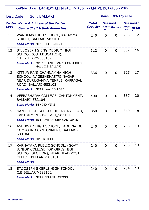## Dist.Code: 30 , BALLARI

|      | <b>Centre Name &amp; Address of the Centre</b>                                                                                                              | <b>Total</b>    | <b>SessionI</b> |                     | <b>SessionII</b> |             |
|------|-------------------------------------------------------------------------------------------------------------------------------------------------------------|-----------------|-----------------|---------------------|------------------|-------------|
| Code | <b>Centre Cheif &amp; their Phone Nos</b>                                                                                                                   | <b>Capacity</b> | ed              | <b>Allot-</b> Rooms | Allot-<br>ed     | <b>Room</b> |
| 11   | WARDLAW HIGH SCHOOL, KALAMMA<br>STREET, BALLARI-583101<br><b>Land Mark: NEAR MOTI CIRCLE</b>                                                                | 240             | $\overline{0}$  | $\Omega$            | 233              | 12          |
|      |                                                                                                                                                             |                 |                 |                     |                  |             |
| 12   | ST. JOSEPH S ENG MEDIUM HIGH<br>SCHOOL (CO_EDUCATION),<br>C.B.BELLARY-583102<br><b>Land Mark:</b> OPP.ST. ANTHONY'S COMMUNITY                               | 312             | $\overline{0}$  | $\Omega$            | 302              | 16          |
|      | <b>HALL C.B BALLARI</b>                                                                                                                                     |                 |                 |                     |                  |             |
| 13   | KITTUR RANI CHANNAMMA HIGH<br>SCHOOL, NAGESHSHASTRI NAGAR,<br>NEAR DURUGAMMA TEMPLE, KAPPAGAL<br>ROAD, BALLARI-583103<br><b>Land Mark: NEAR LAW COLLEGE</b> | 336             | $\overline{0}$  | $\Omega$            | 325              | 17          |
|      |                                                                                                                                                             |                 |                 |                     |                  |             |
| 14   | VEERASHAIVA COLLEGE, CANTONMENT,<br><b>BALLARI_583104</b><br><b>Land Mark: BEHIND VIMS</b>                                                                  | 400             | $\Omega$        | $\Omega$            | 387              | 20          |
| 15   | NANDI HIGH SCHOOL, INFANTRY ROAD,<br>CANTONMENT, BALLARI_583104<br><b>Land Mark:</b> IN FRONT OF SBM CANTOMENT                                              | 360             | $\Omega$        | $\Omega$            | 349              | 18          |
| 16   | ASHIRVAD HIGH SCHOOL, BABU NAIDU<br>COMPOUND CANTONMENT, BALLARI-<br>583104                                                                                 | 240             | $\Omega$        | $\Omega$            | 233              | 13          |
|      | <b>Land Mark: OPP. RTO OFFICE</b>                                                                                                                           |                 |                 |                     |                  |             |
| 17   | KARNATAKA PUBLIC SCHOOL, (GOVT<br><b>JUNIOR COLLEGE FOR GIRLS HIGH</b><br>SCHOOL SECTION), NEAR HEAD POST<br>OFFICE, BELLARI-583101<br><b>Land Mark: --</b> | 240             | $\Omega$        | $\Omega$            | 233              | 13          |
| 18   | ST.JOSEPH S GIRLS HIGH SCHOOL,                                                                                                                              | 240             | $\overline{0}$  | $\overline{0}$      | 234              | 13          |
|      | C.B.BELLARY-583102<br><b>Land Mark: NEAR BELAGAL CROSS</b>                                                                                                  |                 |                 |                     |                  |             |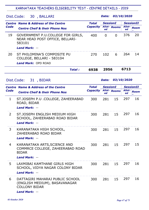Dist.Code: 30 , BALLARI

Date: 03/10/2020

|                | <b>Centre Name &amp; Address of the Centre</b>                                                           | <b>Total</b>    | <b>SessionI</b> |                     | <b>SessionII</b> |                  |  |
|----------------|----------------------------------------------------------------------------------------------------------|-----------------|-----------------|---------------------|------------------|------------------|--|
| Code           | <b>Centre Cheif &amp; their Phone Nos</b>                                                                | <b>Capacity</b> | ed              | <b>Allot-</b> Rooms | Allot-<br>ed     | <b>Room</b>      |  |
| 19             | GOVERNMENT P.U.COLLEGE FOR GIRLS,<br>NEAR HEAD POST OFFICE, BELLARI-<br>583101<br>Land Mark: --          | 400             | $\overline{0}$  | $\overline{0}$      | 376              | 20               |  |
|                |                                                                                                          |                 |                 |                     |                  |                  |  |
| 20             | ST PHILOMINA'S COMPOSITE PU<br>COLLEGE, BELLARI - 583104<br><b>Land Mark: OPD ROAD</b>                   | 270             | 102             | 6                   | 264              | 14               |  |
|                | <b>Total:</b>                                                                                            | 6938            | 2956            |                     | 6713             |                  |  |
| Dist.Code:     | 31 , BIDAR                                                                                               |                 | Date:           |                     | 03/10/2020       |                  |  |
|                | <b>Centre Name &amp; Address of the Centre</b>                                                           | <b>Total</b>    |                 | <b>SessionI</b>     |                  | <b>SessionII</b> |  |
| Code           | <b>Centre Cheif &amp; their Phone Nos</b>                                                                | <b>Capacity</b> | ed              | <b>Allot-Rooms</b>  | Allot-<br>ed     | <b>Room</b>      |  |
| 1              | ST.JOSEPH P.U .COLLEGE, ZAHEERABAD<br>ROAD, BIDAR<br><b>Land Mark: --</b>                                | 300             | 281             | 15                  | 297              | 16               |  |
| $\overline{2}$ | ST.JOSEPH ENGLISH MEDIUM HIGH<br>SCHOOL, ZAHEERABAD ROAD BIDAR<br><b>Land Mark: --</b>                   | 300             | 281             | 15                  | 297              | 16               |  |
| 3              | KARANATAKA HIGH SCHOOL<br>ZAHEERABAD ROAD BIDAR<br><b>Land Mark: --</b>                                  | 300             | 281             | 15                  | 297              | 16               |  |
| 4              | KARANATAKA ARTS, SCIENCE AND<br>COMMRCE COLLEGE, ZAHEERABAD ROAD<br><b>BIDAR</b><br><b>Land Mark: --</b> | 300             | 281             | 15                  | 297              | 15               |  |
| 5              | LAXMIBAI KAMTHANE GIRLS HIGH<br>SCHOOL, VIDYA NAGAR COLONY BIDAR<br>Land Mark: --                        | 300             | 281             | 15                  | 297              | 16               |  |
| 6              | DATTAGIRI MAHARAJ PUBLIC SCHOOL<br>(ENGLISH MEDIUM), BASAVANAGAR<br><b>COLLONY BIDAR</b>                 | 300             | 281             | 15                  | 297              | 16               |  |

Land Mark: --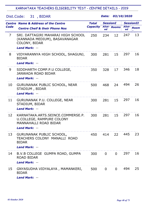#### Dist.Code: 31 , BIDAR

|             | <b>Centre Name &amp; Address of the Centre</b>                                                                                | <b>Total</b>    | <b>SessionI</b> |                     | <b>SessionII</b> |             |
|-------------|-------------------------------------------------------------------------------------------------------------------------------|-----------------|-----------------|---------------------|------------------|-------------|
| <b>Code</b> | <b>Centre Cheif &amp; their Phone Nos</b>                                                                                     | <b>Capacity</b> | ed              | <b>Allot-</b> Rooms | Allot-<br>ed     | <b>Room</b> |
| 7           | SRI. DATTAGIRI MAHARAJ HIGH SCHOOL<br>(KANNADA MEDIUM), BASAVANAGAR<br>COLONY, BIDAR<br>Land Mark: --                         | 250             | 234             | 12                  | 247              | 13          |
| 8           | VIDYARANNYA HIGH SCHOOL, SHAGUNJ,<br><b>BIDAR</b><br>Land Mark: --                                                            | 300             | 281             | 15                  | 297              | 16          |
| 9           | SIDDHARTH COMP.P.U COLLEGE,<br>JANWADA ROAD BIDAR<br>Land Mark: --                                                            | 350             | 328             | 17                  | 346              | 18          |
| 10          | <b>GURUNANAK PUBLIC SCHOOL, NEAR</b><br>STADIUM, BIDAR<br>Land Mark: --                                                       | 500             | 468             | 24                  | 494              | 26          |
| 11          | GURUNANAK P.U. COLLEGE, NEAR<br>STADIUM, BIDAR<br>Land Mark: --                                                               | 300             | 281             | 15                  | 297              | 16          |
| 12          | KARNATAKA.ARTS.SEINCE.COMMERSE.P.<br><b>U.COLLEGE, RAMPURE COLONY</b><br><b>MANNAHALLI ROAD BIDAR</b><br><b>Land Mark: --</b> | 300             | 281             | 15                  | 297              | 16          |
| 13          | <b>GURUNANAK PUBLIC SCHOOL,</b><br>TEACHERS COLONY MANALLI ROAD<br><b>BIDAR</b><br>Land Mark: --                              | 450             | 414             | 22                  | 445              | 23          |
| 14          | B.V.B COLLEGE GUMPA ROAD, GUMPA<br><b>ROAD BIDAR</b><br><b>Land Mark: --</b>                                                  | 300             | $\overline{0}$  | $\overline{0}$      | 297              | 16          |
| 15          | GNYASUDHA VIDYALAYA, MAMANKERI,<br><b>BIDAR</b><br>Land Mark: --                                                              | 500             | $\overline{0}$  | $\Omega$            | 494              | 25          |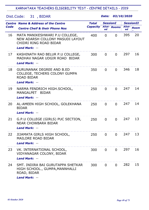## Dist.Code: 31 , BIDAR

|             | <b>Centre Name &amp; Address of the Centre</b>                                                                       | <b>Total</b>    | <b>SessionI</b> |                     | <b>SessionII</b> |             |
|-------------|----------------------------------------------------------------------------------------------------------------------|-----------------|-----------------|---------------------|------------------|-------------|
| <b>Code</b> | <b>Centre Cheif &amp; their Phone Nos</b>                                                                            | <b>Capacity</b> | ed              | <b>Allot-</b> Rooms | Allot-<br>ed     | <b>Room</b> |
| 16          | MATA MANIKESHWARI P.U COLLEGE,<br>NEW ADARSH COLLONY MASUDI LAYOUT<br>CHIDRI RING ROAD BIDAR<br><b>Land Mark: --</b> | 400             | $\Omega$        | $\Omega$            | 395              | 20          |
| 17          | KASHINATH RAO BELUR P.U COLLEGE,<br>MADHAV NAGAR UDGIR ROAD BIDAR<br><b>Land Mark: --</b>                            | 300             | $\overline{0}$  | $\overline{0}$      | 297              | 16          |
| 18          | <b>GURUNANAK DEGREE AND B.ED</b><br>COLLEGE, TECHERS COLONY GUMPA<br><b>ROAD BIDAR</b><br><b>Land Mark: --</b>       | 350             | $\Omega$        | $\Omega$            | 346              | 18          |
| 19          | NARMA FENDRICH HIGH.SCHOOL,<br><b>MANGALPET</b><br><b>BIDAR</b><br><b>Land Mark: --</b>                              | 250             | $\mathbf 0$     | $\Omega$            | 247              | 14          |
| 20          | AL-AMEEN HIGH SCHOOL, GOLEKHANA<br><b>BIDAR</b><br><b>Land Mark: --</b>                                              | 250             | $\overline{0}$  | $\Omega$            | 247              | 14          |
| 21          | G.P.U COLLEGE (GIRLS) PUC SECTION,<br><b>NEAR CHOWBARA BIDAR</b><br><b>Land Mark:</b><br>$- -$                       | 250             | $\mathbf 0$     | $\Omega$            | 247              | 13          |
| 22          | JIJAMATA GIRLS HIGH SCHOOL,<br><b>MAILORE ROAD BIDAR</b><br>Land Mark: --                                            | 250             | $\mathbf 0$     | 0                   | 247              | 13          |
| 23          | VK. INTERNATIONAL SCHOOL,<br>VIDYANAGAR COLONY, BIDAR<br>Land Mark: --                                               | 300             | $\overline{0}$  | 0                   | 297              | 16          |
| 24          | SMT. INDIRA BAI GURUTAPPA SHETKAR<br>HIGH SCHOOL., GUMPA, MANNHALLI<br>ROAD, BIDAR<br>Land Mark: --                  | 300             | $\overline{0}$  | 0                   | 282              | 15          |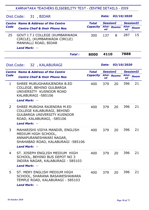| Dist.Code:  | 31, BIDAR                                                                                                                                           |                                 | Date:                           |              | 03/10/2020   |                                 |  |  |  |  |
|-------------|-----------------------------------------------------------------------------------------------------------------------------------------------------|---------------------------------|---------------------------------|--------------|--------------|---------------------------------|--|--|--|--|
| Code        | <b>Centre Name &amp; Address of the Centre</b><br><b>Centre Cheif &amp; their Phone Nos</b>                                                         | <b>Total</b><br><b>Capacity</b> | <b>SessionI</b><br>Allot-<br>ed | <b>Rooms</b> | Allot-<br>ed | <b>SessionII</b><br><b>Room</b> |  |  |  |  |
| 25          | GOVT I.T.I COLLEGE (KUMBARWADA<br>CIRCLE), (KUMBARWADA CIRCLE)<br>MANHALLI ROAD, BIDAR<br>Land Mark: --                                             | 300                             | 137                             | 8            | 287          | 15                              |  |  |  |  |
|             | Total :                                                                                                                                             | 8000                            | 4110                            |              | 7888         |                                 |  |  |  |  |
|             | 03/10/2020<br>32, KALABURAGI<br>Date:<br>Dist.Code:                                                                                                 |                                 |                                 |              |              |                                 |  |  |  |  |
|             | <b>Centre Name &amp; Address of the Centre</b>                                                                                                      | <b>Total</b>                    | <b>SessionI</b>                 |              |              | <b>SessionII</b>                |  |  |  |  |
| <b>Code</b> | <b>Centre Cheif &amp; their Phone Nos</b>                                                                                                           | <b>Capacity</b>                 | ed                              | Allot-Rooms  | Allot-<br>ed | <b>Room</b>                     |  |  |  |  |
| 1           | SHREE MURUGHARAJENDRA B.ED<br><b>COLLEGE, BEHIND GULBARGA</b><br>UNIVERSITY KUSNOOR ROAD<br>KALABURAGI -585106<br><b>Land Mark: --</b>              | 400                             | 379                             | 20           | 396          | 21                              |  |  |  |  |
| 2           | SHREE MURGHA RAJENDRA M.ED<br>COLLEGE KALABURAGI, BEHIND<br><b>GULBARGA UNIVERSITY KUSNOOR</b><br>ROAD, KALABURAGI, -585106<br><b>Land Mark: --</b> | 400                             | 379                             | 20           | 396          | 21                              |  |  |  |  |
| 3           | MAHARISHI VIDYA MANDIR, ENGLISH<br>MEDIUM HIGH SCHOOL,<br>ANNAPURANESHWARI NAGAR,<br>SHAHABAD ROAD, KALABURAGI -585106<br>Land Mark: --             | 400                             | 379                             | 20           | 396          | 21                              |  |  |  |  |
| 4           | ST. JOSEPH ENGLISH MEDIUM HIGH<br>SCHOOL, BEHIND BUS DEPOT NO 3<br>INDIRA NAGAR, KALABURAGI - 585103<br>Land Mark: --                               | 400                             | 379                             | 20           | 396          | 21                              |  |  |  |  |
| 5           | ST. MERY ENGLISH MEDIUM HIGH<br>SCHOOL, SHARANA BASAWESHAWARA<br>TEMPLE ROAD, KALABURAGI - 585103<br>Land Mark: --                                  | 400                             | 379                             | 20           | 396          | 21                              |  |  |  |  |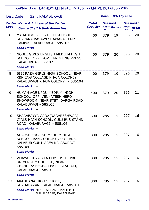#### Dist.Code: Centre Name & Address of the Centre **Code** Allot- Rooms 32 , KALABURAGI Total SessionI SessionII Capacity Allot- Rooms Allot- Rooms Allot- Room  $\equiv$ ed Alloted Date: 03/10/2020 6 MAHADEVI GIRLS HIGH SCHOOL, SHARANA BASAWESHAWARA TEMPLE, CAMPUS KALABURAGI - 585103 400 379 19 396 20 Land Mark: -- 7 NOBLE GIRLS ENGLISH MEDIUM HIGH SCHOOL, OPP. GOVT. PRINTING PRESS, KALABURGA - 585102 400 379 20 396 20 Land Mark: -- 8 BIBI RAZA GIRLS HIGH SCHOOL, NEAR KBN ENG COLLAGE KHAJA COLONEY KALABURAGI KHAJA COLONY - 585104 400 379 19 396 20 Land Mark: -- 9 HUMAN AGE URDU MEDIUM HIGH SCHOOL, OPP. VENKATESH HERO SHOWROOM, NEAR STBT DARGA ROAD KALABURAGI - 585105 400 379 20 396 21 Land Mark: -- 10 SHARABAYYA GADA(NAGARESHWAR) GIRLS HIGH SCHOOL, GUNJ BUS STAND ROAD, KALABURAGI - 585104 300 285 15 297 16 Land Mark: -- 11 ADARSH ENGLISH MEDIUM HIGH SCHOOL, BANK COLONY GUNJ AREA KALABUR GUNJ AREA KALABURAGI - 585104 300 285 15 297 16 Land Mark: -- 12 VIJAYA VIDYALAYA COMPOSITE PRE UNIVERSITY COLLEGE, NEAR CHANDRASHEKHAR PATIL STADIUM, KALABURAGI - 585102 300 285 15 297 16 Land Mark: -- 13 ARADHANA HIGH SCHOOL, SHAHABAZAR, KALABURAGI - 585101 300 285 15 297 16 Land Mark: NEAR LAL HANUMAN TEMPLE SHAHABAZAR, KALABURAGI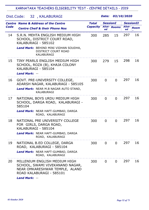## Dist.Code: 32 , KALABURAGI

|             | <b>Centre Name &amp; Address of the Centre</b>                                                                                                                                      | <b>Total</b>    | <b>SessionI</b> |                     | <b>SessionII</b> |             |
|-------------|-------------------------------------------------------------------------------------------------------------------------------------------------------------------------------------|-----------------|-----------------|---------------------|------------------|-------------|
| <b>Code</b> | <b>Centre Cheif &amp; their Phone Nos</b>                                                                                                                                           | <b>Capacity</b> | ed              | <b>Allot-</b> Rooms | Allot-<br>ed     | <b>Room</b> |
| 14          | S.R.N. MEHTA ENGLISH MEDIUM HIGH<br>SCHOOL, DISTRICT COURT ROAD,<br>KALABURAGI - 585102<br>Land Mark: BEHIND MINI VIDHAN SOUDHA,<br><b>DISTRICT COURT ROAD</b><br><b>KALABURAGI</b> | 300             | 285             | 15                  | 297              | 16          |
| 15          | TINY PEARLS ENGLISH MEDIUM HIGH<br>SCHOOL, ROZA (B), KHAJA COLONY<br>KALABURAGI - 585104<br><b>Land Mark: --</b>                                                                    | 300             | 279             | 15                  | 298              | 16          |
| 16          | GOVT. PRE-UNIVERSITY COLLEGE,<br>ADARSH NAGAR, KALABURAGI - 585105<br>Land Mark: NEAR M.B NAGAR AUTO STAND,<br><b>KALABURAGI</b>                                                    | 300             | $\Omega$        | $\Omega$            | 297              | 16          |
| 17          | NATIONAL BOYS URDU MEDIUM HIGH<br>SCHOOL, DARGA ROAD, KALABURAGI -<br>585104<br>Land Mark: NEAR HAFT-GUMBAD, DARGA<br>ROAD, KALABURAGI                                              | 300             | $\overline{0}$  | $\Omega$            | 297              | 16          |
| 18          | NATIONAL PRE UNIVERSITY COLLEGE<br>FOR GIRLS, DARGA ROAD,<br>KALABURAGI - 585104<br>Land Mark: NEAR HAFT-GUMBAD, DARGA<br>ROAD, KALABURAGI                                          | 300             | $\mathbf 0$     | $\Omega$            | 297              | 16          |
| 19          | NATIONAL B.ED COLLEGE, DARGA<br>ROAD, KALABURAGI - 585104<br>Land Mark: NEAR HAFT-GUMBAD, DARGA<br>ROAD, KALABURAGI                                                                 | 300             | $\overline{0}$  | $\Omega$            | 297              | 16          |
| 20          | MILLENIUM ENGLISH MEDIUM HIGH<br>SCHOOL, SWAMI VIVEKANAND NAGAR,<br>NEAR OMKARESHWAR TEMPLE, ALAND<br>ROAD KALABURAGI - 585101<br><b>Land Mark: --</b>                              | 300             | $\overline{0}$  | $\Omega$            | 297              | 16          |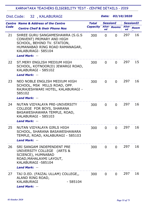## Dist.Code: 32 , KALABURAGI

|             | <b>Centre Name &amp; Address of the Centre</b>                                                                                                                              | <b>Total</b>    | <b>SessionI</b> |                     | <b>SessionII</b> |             |
|-------------|-----------------------------------------------------------------------------------------------------------------------------------------------------------------------------|-----------------|-----------------|---------------------|------------------|-------------|
| <b>Code</b> | <b>Centre Cheif &amp; their Phone Nos</b>                                                                                                                                   | <b>Capacity</b> | ed              | <b>Allot-</b> Rooms | Allot-<br>ed     | <b>Room</b> |
| 21          | SHREE GURU SANGAMESHAWRA (S.G.S)<br>CONVENT) PRIMARY AND HIGH<br>SCHOOL, BEHIND TV. STATION,<br>HUMANABAD RING ROAD RAMANAGAR,<br>KALABURAGI-585104<br><b>Land Mark: --</b> | 300             | $\mathbf 0$     | $\Omega$            | 297              | 16          |
| 22          | ST. MERY ENGLISH MEDIUM HIGH<br>SCHOOL, KOTNOOR(D) JEWARGI ROAD,<br>KALABURAGI - 585102                                                                                     | 300             | $\Omega$        | $\Omega$            | 297              | 15          |
|             | <b>Land Mark: --</b>                                                                                                                                                        |                 |                 |                     |                  |             |
| 23          | NEO NOBLE ENGLISH MEDIUM HIGH<br>SCHOOL, MSK MILLS ROAD, OPP.<br>RAJRAJESHWARI HOTEL, KALABURAGI -<br>585102<br><b>Land Mark: --</b>                                        | 300             | $\mathbf 0$     | $\Omega$            | 297              | 16          |
| 24          | NUTAN VIDYALAYA PRE-UNIVERSITY                                                                                                                                              | 300             | $\mathbf{0}$    | $\overline{0}$      | 297              | 16          |
|             | <b>COLLEGE FOR BOYS, SHARANA</b><br>BASAWESHAWARA TEMPLE, ROAD,<br>KALABURAGI - 585103<br>Land Mark: --                                                                     |                 |                 |                     |                  |             |
| 25          | NUTAN VIDYALAYA GIRLS HIGH<br>SCHOOL, SHARANA BASAWESHAWARA<br>TEMPLE, ROAD, KALABURAGI - 585103<br>Land Mark: --                                                           | 300             | $\mathbf 0$     | $\Omega$            | 297              | 16          |
| 26          | SRI SANGAM INDEPENDENT PRE<br>UNIVERSITY COLLEGE (ARTS &<br><b>SCIENCE), HUMNABAD</b><br>ROAD, MAHALAXMI LAYOUT,<br>KALABURAGI -585104<br><b>Land Mark: --</b>              | 300             | $\overline{0}$  | $\Omega$            | 297              | 16          |
| 27          | TAJ D.ED. (FAIZAL ULLAM) COLLEGE,,                                                                                                                                          | 300             | $\overline{0}$  | $\Omega$            | 297              | 16          |
|             | ALAND RING ROAD,<br><b>KALABURAGI</b><br>- 585104<br>Land Mark: --                                                                                                          |                 |                 |                     |                  |             |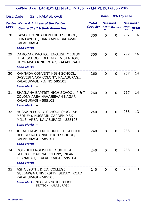## Dist.Code: 32 , KALABURAGI

|             | <b>Centre Name &amp; Address of the Centre</b>                                                                                                         | <b>Total</b>    | <b>SessionI</b> |                     | <b>SessionII</b> |             |
|-------------|--------------------------------------------------------------------------------------------------------------------------------------------------------|-----------------|-----------------|---------------------|------------------|-------------|
| <b>Code</b> | <b>Centre Cheif &amp; their Phone Nos</b>                                                                                                              | <b>Capacity</b> | ed              | <b>Allot-</b> Rooms | Allot-<br>ed     | <b>Room</b> |
| 28          | KAYAK FOUNDATION HIGH SCHOOL,<br>GDA LAYOUT, DARIYAPUR BADAVANE<br><b>KALABURAGI</b>                                                                   | 300             | $\mathbf 0$     | $\Omega$            | 297              | 16          |
|             | Land Mark: --                                                                                                                                          |                 |                 |                     |                  |             |
| 29          | DAMODAR RAGHOJI ENGLISH MEDIUM<br>HIGH SCHOOL, BEHIND TV STATION,<br>HUMNABAD RING ROAD, KALABURAGI<br><b>Land Mark: --</b>                            | 300             | $\overline{0}$  | $\Omega$            | 297              | 16          |
| 30          | KANNADA CONVENT HIGH SCHOOL,<br>BASVESHVARA COLONY, KALABURAGI,<br>KALABURAGI, PIN NO:585105<br><b>Land Mark: --</b>                                   | 260             | $\mathbf 0$     | $\Omega$            | 257              | 14          |
| 31          | SHAIKANA BAPTIST HIGH SCHOOL, P & T<br>COLONY AREA NAVAJEEVAN NAGAR<br>KALABURAGI - 585102<br><b>Land Mark: --</b>                                     | 260             | $\Omega$        | $\Omega$            | 257              | 14          |
| 32          | HUSSAIN PUBLIC SCHOOL (ENGLISH<br>MEDIUM), HUSSAIN GARDEN MSK<br>MILLS AREA KALABURAGI - 585103<br><b>Land Mark: --</b>                                | 240             | $\Omega$        | $\Omega$            | 238              | 13          |
| 33          | IDEAL ENGISH MEDIUM HIGH SCHOOL,<br>BEHIND NATIONAL HIGH SCHOOL,<br>KALABURAGI - 585104<br><b>Land Mark: --</b>                                        | 240             | 0               | 0                   | 238              | 13          |
| 34          | DOLPHIN ENGLISH MEDIUM HIGH<br>SCHOOL, MADINA COLONY, NEAR<br>JILANABAD, KALABURAGI - 585104<br><b>Land Mark: --</b>                                   | 240             | $\overline{0}$  | $\Omega$            | 238              | 13          |
| 35          | ASHA JYOTHI D.ED. COLLEGE,<br>GULBARGA UNIVERSITY, SEDAM ROAD<br>KALABURAGI - 585105<br><b>Land Mark: NEAR M.B NAGAR POLICE</b><br>STATION, KALABURAGI | 240             | $\overline{0}$  | $\Omega$            | 238              | 13          |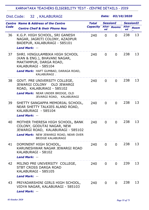## Dist.Code: 32 , KALABURAGI

|             | <b>Centre Name &amp; Address of the Centre</b>                                                                                                | <b>Total</b>    | <b>SessionI</b> |                     | <b>SessionII</b> |             |
|-------------|-----------------------------------------------------------------------------------------------------------------------------------------------|-----------------|-----------------|---------------------|------------------|-------------|
| <b>Code</b> | <b>Centre Cheif &amp; their Phone Nos</b>                                                                                                     | <b>Capacity</b> | ed              | <b>Allot-</b> Rooms | Allot-<br>ed     | <b>Room</b> |
| 36          | K.G.P. HIGH SCHOOL, SRI GANESH<br>NAGAR, JAGRITI COLONY, AZADPUR<br>BADEPUR, KALABURAGI - 585101                                              | 240             | $\Omega$        | $\Omega$            | 238              | 13          |
|             | Land Mark: --                                                                                                                                 |                 |                 |                     |                  |             |
| 37          | SHRI. HINGULAMBIKA HIGH SCHOOL<br>(KAN & ENG.), BHAVANI NAGAR,<br>MAKTAMPUR, DARGA ROAD,<br>KALABURAGI - 585104                               | 240             | $\overline{0}$  | $\overline{0}$      | 238              | 13          |
|             | Land Mark: HAFT GUMBAD, DARAGA ROAD,<br>KALABURAGI.                                                                                           |                 |                 |                     |                  |             |
| 38          | GOVT. PRE UNIVERSITY COLLEGE,<br>JEWARGI COLONY OLD JEWARGI<br>ROAD, KALABURAGI - 585102                                                      | 240             | $\Omega$        | $\Omega$            | 238              | 13          |
|             | Land Mark: NEAR UNDER BRIDGE, OLD<br>JEVARGI ROAD, KALABURAGI                                                                                 |                 |                 |                     |                  |             |
| 39          | SHETTY SANGAPPA MEMORIAL SCHOOL,<br>NEAR SHETTY TALKIES ALAND ROAD,<br>KALABURAGI - 585104                                                    | 240             | $\Omega$        | $\Omega$            | 238              | 13          |
|             | <b>Land Mark: --</b>                                                                                                                          |                 |                 |                     |                  |             |
| 40          | MOTHER THERESA HIGH SCHOOL, BANK<br>COLONY, GODUTAI NAGAR, NEW<br>JEWARGI ROAD, KALABURAGI - 585102<br>Land Mark: NEW JEWARGI ROAD, NEAR OVER | 240             | $\overline{0}$  | $\Omega$            | 238              | 13          |
|             | <b>BRIDGE KALABURAGI</b>                                                                                                                      |                 |                 |                     |                  |             |
| 41          | DOMINENT HIGH SCHOOL,<br>KARUNESHWAR NAGAR JEWARGI ROAD<br>KALABURAGI - 58102<br>Land Mark: --                                                | 240             | $\overline{0}$  | $\overline{0}$      | 238              | 13          |
|             |                                                                                                                                               |                 |                 |                     |                  |             |
| 42          | MILIND PRE UNIVERSITY COLLEGE,<br>STBT CROSS DARGA ROAD<br>KALABURAGI - 585105<br>Land Mark: --                                               | 240             | $\overline{0}$  | $\overline{0}$      | 239              | 13          |
| 43          | PRIYADARSHINI GIRLS HIGH SCHOOL,<br>VIDYA NAGAR, KALABURAGI - 585103<br>Land Mark: --                                                         | 240             | $\Omega$        | $\Omega$            | 238              | 13          |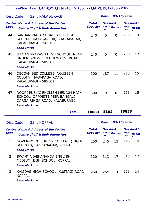## Dist.Code: 32 , KALABURAGI

Date: 03/10/2020

|             | <b>Centre Name &amp; Address of the Centre</b>                                                                            | <b>Total</b>    | <b>SessionI</b> |                     | <b>SessionII</b> |             |
|-------------|---------------------------------------------------------------------------------------------------------------------------|-----------------|-----------------|---------------------|------------------|-------------|
| <b>Code</b> | <b>Centre Cheif &amp; their Phone Nos</b>                                                                                 | <b>Capacity</b> | ed              | <b>Allot-</b> Rooms | Allot-<br>ed     | <b>Room</b> |
| 44          | SARDAR VALLAB BHAI PATEL HIGH<br>SCHOOL, KATAGARPUR, SHAHABAZAR,<br>KALABURAGI - 585104<br><b>Land Mark: --</b>           | 240             | $\Omega$        | $\Omega$            | 238              | 13          |
| 45          | JEEVAN PRAKASH HIGH SCHOOL, NEAR<br>UNDER BRIDGE OLD JEWARGI ROAD,<br>KALABURAGI - 585102<br>Land Mark: --                | 240             | $\Omega$        | $\Omega$            | 208              | 12          |
| 46          | DECCAN BED COLLEGE, NOUSEEN<br>COLONY, HAGARAGA ROAD,<br>KALABURAGI - 585101<br><b>Land Mark: --</b>                      | 300             | 187             | 11                  | 268              | 15          |
| 47          | NOORI PUBLIC ENGLISH MEDIUM HIGH<br>SCHOOL, OPPOSITE PEER BANGALI<br>DARGA RINGA ROAD, KALABURAGI<br><b>Land Mark: --</b> | 300             | $\Omega$        | $\Omega$            | 268              | 15          |
|             | <b>Total:</b>                                                                                                             | 14080           | 5302            |                     | 13858            |             |

# Dist.Code: 33 , KOPPAL

|             | <b>Centre Name &amp; Address of the Centre</b>                                          | <b>Total</b><br><b>Capacity</b> | <b>SessionI</b> |             | <b>SessionII</b> |             |
|-------------|-----------------------------------------------------------------------------------------|---------------------------------|-----------------|-------------|------------------|-------------|
| <b>Code</b> | <b>Centre Cheif &amp; their Phone Nos</b>                                               |                                 | ed              | Allot-Rooms | Allot-<br>ed     | <b>Room</b> |
| 1           | <b>GOVERNMENT JUNIOR COLLEGE (HIGH-</b><br>SCHOOL), BAGYANAGAR, KOPPAL<br>Land Mark: -- | 250                             | 245             | 13          | 248              | 14          |
| 2           | SWAMY VIVEKANANDA ENGLISH<br>MEDIUM HIGH SCHOOL, KOPPAL<br><b>Land Mark: --</b>         | 320                             | 313             | 17          | 318              | 17          |
| 3           | KALIDAS HIGH SCHOOL, KUSTAGI ROAD<br><b>KOPPAL</b>                                      | 260                             | 254             | 14          | 258              | 14          |
|             | <b>Land Mark:</b>                                                                       |                                 |                 |             |                  |             |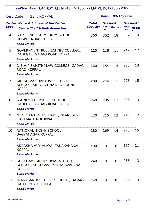Dist.Code: 33 , KOPPAL

|                | <b>Centre Name &amp; Address of the Centre</b>                                                             | <b>Total</b>    | <b>SessionI</b> |                | <b>SessionII</b> |             |
|----------------|------------------------------------------------------------------------------------------------------------|-----------------|-----------------|----------------|------------------|-------------|
| Code           | <b>Centre Cheif &amp; their Phone Nos</b>                                                                  | <b>Capacity</b> | ed              | Allot-Rooms    | Allot-<br>ed     | <b>Room</b> |
| 4              | S.F.S. ENGLISH MEDIUM SCHOOL,<br><b>HOSPET ROAD KOPPAL</b><br><b>Land Mark: --</b>                         | 360             | 352             | 18             | 357              | 19          |
| 5              | GOVERNMENT POLITECHNIC COLLEGE,<br>DADEGAL, GADAG ROAD KOPPAL.<br><b>Land Mark: --</b>                     | 220             | 215             | 11             | 219              | 12          |
| 6              | D.B.H.P.SAMITHI LAW COLLEGE, GADAG<br>ROAD KOPPAL.<br>Land Mark: --                                        | 260             | 254             | 13             | 258              | 13          |
| $\overline{7}$ | <b>SRI SHIVA SHANTHVEER HIGH-</b><br>SCHOOL, SRI GAVI MATA GROUND<br><b>KOPPAL</b><br><b>Land Mark: --</b> | 280             | 274             | 15             | 278              | 15          |
| 8              | S.A.NINGOJI PUBLIC SCHOOL,<br>DADEGAL, GADAG ROAD KOPPAL<br><b>Land Mark: --</b>                           | 240             | 235             | 12             | 238              | 13          |
| 9              | NIVEDITA HIGH-SCHOOL, NEAR SHRI<br><b>GAVI MATHA KOPPAL.</b><br><b>Land Mark: --</b>                       | 220             | 215             | 12             | 219              | 12          |
| 10             | NATIONAL HIGH- SCHOOL,<br><b>BAGYANAGAR KOPPAL.</b><br><b>Land Mark: --</b>                                | 280             | 269             | 14             | 278              | 15          |
| 11             | ADARSHA VIDYALAYA, TANAKANAKAL<br><b>KOPPAL</b><br><b>Land Mark: --</b>                                    | 400             | $\overline{0}$  | $\Omega$       | 397              | 21          |
| 12             | SHRI GAVI SIDDESHWARA HIGH-<br>SCHOOL, SHRI GAVI MATHA AVARANA<br><b>KOPPAL</b><br><b>Land Mark: --</b>    | 240             | 0               | $\overline{0}$ | 238              | 13          |
| 13             | JNANABANDHU HIGH-SCHOOL., OAJANA<br>HALLI ROAD KOPPAL.<br><b>Land Mark: --</b>                             | 240             | $\mathbf 0$     | 0              | 238              | 13          |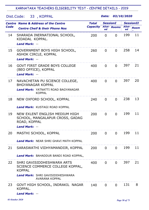Dist.Code: 33 , KOPPAL

|             | <b>Centre Name &amp; Address of the Centre</b>                                                           | <b>Total</b>    | <b>SessionI</b> |                     | <b>SessionII</b> |             |
|-------------|----------------------------------------------------------------------------------------------------------|-----------------|-----------------|---------------------|------------------|-------------|
| <b>Code</b> | <b>Centre Cheif &amp; their Phone Nos</b>                                                                | <b>Capacity</b> | ed              | <b>Allot-</b> Rooms | Allot-<br>ed     | <b>Room</b> |
| 14          | SHARADA INERNATIONAL SCHOOL,<br>KIDADAL KOPPAL.<br>Land Mark: --                                         | 200             | $\Omega$        | $\Omega$            | 199              | 11          |
| 15          | <b>GOVERNMENT BOYS HIGH SCHOOL,</b><br><b>ASHOK CIRCLE, KOPPAL</b><br>Land Mark: --                      | 260             | $\overline{0}$  | $\Omega$            | 258              | 14          |
| 16          | <b>GOVT FIRST GRADE BOYS COLLEGE</b><br>(BEO OFFICE), KOPPAL<br><b>Land Mark: --</b>                     | 400             | $\overline{0}$  | $\Omega$            | 397              | 21          |
| 17          | NAVACHETAN PU SCIENCE COLLEGE,<br><b>BHGYANAGAR KOPPAL</b><br><b>Land Mark: YATNATTI ROAD BAGYANAGAR</b> | 400             | $\Omega$        | $\Omega$            | 397              | 20          |
|             | <b>KOPPAL</b>                                                                                            |                 |                 |                     |                  |             |
| 18          | NEW OXFORD SCHOOL, KOPPAL                                                                                | 240             | $\mathbf 0$     | $\Omega$            | 238              | 13          |
|             | <b>Land Mark: KUSTAGI ROAD KOPPAL</b>                                                                    |                 |                 |                     |                  |             |
| 19          | NEW EXLENT ENGLISH MEDIUM HIGH<br>SCHOOL, MANGALAPUR CROSS, GADAG<br>ROAD, KOPPAL<br>Land Mark: --       | 200             | $\Omega$        | $\Omega$            | 199              | 11          |
| 20          | MASTHI SCHOOL, KOPPAL                                                                                    | 200             | 0               | $\overline{0}$      | 199              | 11          |
|             | <b>Land Mark:</b> NEAR SHRI GHAVI MATH KOPPAL                                                            |                 |                 |                     |                  |             |
| 21          | SARASWATHI VIDHYAMANDIIR, KOPPAL                                                                         | 200             | $\overline{0}$  | $\overline{0}$      | 199              | 11          |
|             | Land Mark: BAHADDUR BANDI ROAD KOPPAL,                                                                   |                 |                 |                     |                  |             |
| 22          | SHRI GAVISIDDHESHWARA ARTS<br>SCIENCE COMMERCE COLLEGE KOPPAL,<br><b>KOPPAL</b>                          | 400             | $\overline{0}$  | $\Omega$            | 397              | 21          |
|             | <b>Land Mark: SHRI GAVISIDDHESHWARA</b><br><b>AVARANA KOPPAL</b>                                         |                 |                 |                     |                  |             |
| 23          | GOVT HIGH SCHOOL, INDRAKIL NAGAR<br>KOPPAL.<br>Land Mark: --                                             | 140             | $\overline{0}$  | $\Omega$            | 131              | 8           |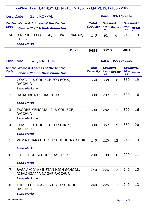## Dist.Code: 33 , KOPPAL

| Code | <b>Centre Name &amp; Address of the Centre</b>        | <b>Total</b><br><b>Capacity</b> | <b>SessionI</b> |             | <b>SessionII</b>    |             |
|------|-------------------------------------------------------|---------------------------------|-----------------|-------------|---------------------|-------------|
|      | <b>Centre Cheif &amp; their Phone Nos</b>             |                                 | ed              | Allot-Rooms | <b>Allot-</b><br>ed | <b>Room</b> |
| 24   | B.N.R.K PU COLLEGE, B.T.PATIL NAGAR,<br><b>KOPPAL</b> | 243                             | 91              | 6           | 243                 | 13          |
|      | Land Mark: --                                         |                                 |                 |             |                     |             |
|      | <b>Total:</b>                                         | 6453                            | 7717            |             | 6401                |             |

|                | Dist.Code:<br>34, RAICHUR                                                      |                                 | Date:           |             | 03/10/2020       |             |
|----------------|--------------------------------------------------------------------------------|---------------------------------|-----------------|-------------|------------------|-------------|
|                | <b>Centre Name &amp; Address of the Centre</b>                                 | <b>Total</b><br><b>Capacity</b> | <b>SessionI</b> |             | <b>SessionII</b> |             |
| <b>Code</b>    | <b>Centre Cheif &amp; their Phone Nos</b>                                      |                                 | ed              | Allot-Rooms | Allot-<br>ed     | <b>Room</b> |
| 1              | GOVT. P.U. COLLEGE FOR BOYS,<br><b>RAICHUR</b><br><b>Land Mark: --</b>         | 360                             | 338             | 18          | 360              | 19          |
| $\overline{2}$ | HAMADRDA HS, RAICHUR<br>Land Mark: --                                          | 300                             | 282             | 15          | 300              | 16          |
| 3              | TAGORE MEMORIAL P.U. COLLEGE,<br><b>RAICHUR</b><br><b>Land Mark: --</b>        | 300                             | 282             | 15          | 300              | 16          |
| 4              | GOVT. P.U. COLLEGE FOR GIRLS,<br><b>RAICHUR</b><br><b>Land Mark: --</b>        | 380                             | 357             | 19          | 380              | 20          |
| 5              | VIDYA BHARATI HIGH SCHOOL, RAICHUR<br><b>Land Mark: --</b>                     | 240                             | 226             | 12          | 240              | 13          |
| 6              | K.E.B HIGH SCHOOL, RAICHUR<br><b>Land Mark: --</b>                             | 200                             | 188             | 10          | 200              | 11          |
| 7 <sup>1</sup> | BASAV VIDYANIKETAN HIGH SCHOOL,<br>NIJALINGAPPA NAGAR RAICHUR<br>Land Mark: -- | 240                             | 226             | 12          | 240              | 13          |
| 8              | THE LITTLE ANGEL S HIGH SCHOOL,<br><b>RAICHUR</b>                              | 240                             | 226             | 12          | 240              | 13          |

Land Mark: --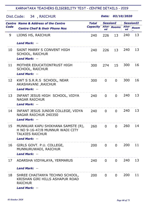| Dist.Code: | 34, RAICHUR                                                                                                            |                 | Date:           | 03/10/2020          |                  |                  |
|------------|------------------------------------------------------------------------------------------------------------------------|-----------------|-----------------|---------------------|------------------|------------------|
|            | <b>Centre Name &amp; Address of the Centre</b>                                                                         | <b>Total</b>    | <b>SessionI</b> |                     | <b>SessionII</b> |                  |
| Code       | <b>Centre Cheif &amp; their Phone Nos</b>                                                                              | <b>Capacity</b> | ed              | <b>Allot-</b> Rooms | Allot-<br>ed     | <b>Room</b><br>- |
| 9          | LIONS HS, RAICHUR                                                                                                      | 240             | 226             | 13                  | 240              | 13               |
|            | <b>Land Mark: --</b>                                                                                                   |                 |                 |                     |                  |                  |
| 10         | SAINT MARRY S CONVENT HIGH<br><b>SCHOOL, RAICHUR</b><br><b>Land Mark: --</b>                                           | 240             | 226             | 13                  | 240              | 13               |
| 11         | MOTHER EDUCATIONTRUST HIGH<br><b>SCHOOL, RAICHUR</b><br><b>Land Mark: --</b>                                           | 300             | 274             | 15                  | 300              | 16               |
| 12         | KWT S S.R.R.S SCHOOL, NEAR<br>AKASHAVANI, RAICHUR<br><b>Land Mark: --</b>                                              | 300             | $\overline{0}$  | $\overline{0}$      | 300              | 16               |
| 13         | INFANT JESUS HIGH SCHOOL, VIDYA<br><b>NAGAR RAICHUR</b>                                                                | 240             | $\overline{0}$  | $\Omega$            | 240              | 13               |
|            | <b>Land Mark: --</b>                                                                                                   |                 |                 |                     |                  |                  |
| 14         | INFANT JESUS JUNIOR COLLEGE, VIDYA<br>NAGAR RAICHUR 240350<br><b>Land Mark: --</b>                                     | 240             | $\Omega$        | $\Omega$            | 240              | 13               |
| 15         | MUNNUAR KAPU SHIKHANA SAMSTE (R),<br>H NO 9-16-47/8 MUNNUR WADI CITY<br><b>TALKIES RAICHUR</b><br><b>Land Mark: --</b> | 260             | $\mathbf{0}$    | $\mathbf 0$         | 260              | 14               |
| 16         | GIRLS GOVT. P.U. COLLEGE,<br>MUNNURUWADI, RAICHUR<br><b>Land Mark: --</b>                                              | 200             | $\mathbf 0$     | $\overline{0}$      | 200              | 11               |
| 17         | ADARSHA VIDYALAYA, YERMARUS                                                                                            | 240             | $\overline{0}$  | $\overline{0}$      | 240              | 13               |
|            | <b>Land Mark: --</b>                                                                                                   |                 |                 |                     |                  |                  |
| 18         | SHREE CHAITANYA TECHNO SCHOOL,<br>KRISHAN GIRI HILLS ASHAPUR ROAD<br><b>RAICHUR</b><br><b>Land Mark: --</b>            | 200             | $\Omega$        | $\Omega$            | 200              | 11               |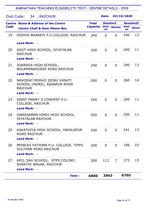| Dist.Code: | 34, RAICHUR                                                                                   |                 | Date:           |                     | 03/10/2020   |                  |
|------------|-----------------------------------------------------------------------------------------------|-----------------|-----------------|---------------------|--------------|------------------|
|            | <b>Centre Name &amp; Address of the Centre</b>                                                | <b>Total</b>    | <b>SessionI</b> |                     |              | <b>SessionII</b> |
| Code       | <b>Centre Cheif &amp; their Phone Nos</b>                                                     | <b>Capacity</b> | ed              | <b>Allot-</b> Rooms | Allot-<br>ed | <b>Room</b>      |
| 19         | VIDHYA BHARATI P.U.COLLEGE, RAICHUR                                                           | 240             | 0               | $\overline{0}$      | 240          | 13               |
|            | <b>Land Mark: --</b>                                                                          |                 |                 |                     |              |                  |
| 20         | GOVT HIGH SCHOOL, SIYATALAB<br><b>RAICHUR</b><br>Land Mark: --                                | 200             | 0               | $\overline{0}$      | 200          | 11               |
| 21         | SHARADA HIGH SCHOOL,<br>BOLAMANADODDI ROAD RAICHUR<br>Land Mark: --                           | 240             | $\overline{0}$  | $\overline{0}$      | 240          | 13               |
| 22         | NAVODAY MORAJI DESAI VASATI<br>SCHOOL (MDRS), ASHAPUR RODA<br><b>RAICHUR</b><br>Land Mark: -- | 260             | $\overline{0}$  | $\overline{0}$      | 260          | 14               |
| 23         | SAINT MARRY S CONVENT P.U.<br><b>COLLEGE, RAICHUR</b><br><b>Land Mark: --</b>                 | 200             | $\mathbf 0$     | $\overline{0}$      | 200          | 11               |
| 24         | VARDHAMAN HINDI HIGH SCHOOL,<br><b>SIYATALAB RAICHUR</b><br>Land Mark: --                     | 200             | $\mathbf 0$     | $\overline{0}$      | 200          | 11               |
| 25         | KAKATHIYA HIGH SCHOOL, YAKALSPUR<br><b>ROAD RAICHUR</b><br><b>Land Mark: --</b>               | 240             | $\mathbf 0$     | $\Omega$            | 241          | 13               |
| 26         | PRINCES FATHIMA P.U. COLLEGE, TIPPU<br><b>SULTHAN ROAD RAICHUR</b><br>Land Mark: --           | 200             | $\overline{0}$  | $\Omega$            | 186          | 10               |
| 27         | KPCL DAV SCHOOL, RTPS COLONY,<br>SHAKTHI NAGAR, RAICHUR<br><b>Land Mark: --</b>               | 300             | 112             | 7                   | 273          | 15               |
|            | Total :                                                                                       | 6800            | 2963            |                     | 6760         |                  |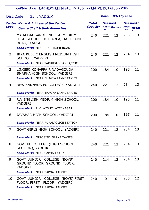## Dist.Code: 35 , YADGIR

|                | <b>Centre Name &amp; Address of the Centre</b>                                                               | <b>Total</b>    | <b>SessionI</b> |                     | <b>SessionII</b> |             |
|----------------|--------------------------------------------------------------------------------------------------------------|-----------------|-----------------|---------------------|------------------|-------------|
| <b>Code</b>    | <b>Centre Cheif &amp; their Phone Nos</b>                                                                    | <b>Capacity</b> | ed              | <b>Allot-</b> Rooms | Allot-<br>ed     | <b>Room</b> |
| $\mathbf{1}$   | MAHATMA GANDI ENGLISH MEDIUM<br>HIGH SCHOOL,, M.G.AREA, HATTIKUNI<br>ROAD, YADGIRI                           | 240             | 221             | 12                  | 235              | 13          |
|                | <b>Land Mark: NEAR HATTIKUNI ROAD</b>                                                                        |                 |                 |                     |                  |             |
| $\overline{2}$ | IKRA PUBLIC ENGLISH MEDIUM HIGH<br>SCHOOL,, YADGIRI<br>Land Mark: NEAR YAKUBSAB DARGA/CMC                    | 240             | 221             | 12                  | 234              | 13          |
| 3              | LINGERI KONAPPA R NADAGOUDA<br>SMARKA HIGH SCHOOL, YADGIRI<br><b>Land Mark: NEAR BHAGYA LAXMI TAKIES</b>     | 200             | 184             | 10                  | 195              | 11          |
| 4              | NEW KANNADA PU COLLEGE, YADGIRI<br><b>Land Mark:</b> NEAR BHAGYA LAXMI TAKIES                                | 240             | 221             | 12                  | 234              | 13          |
| 5              | R.V. ENGLISH MEDIUM HIGH SCHOOL,<br>YADGIRI<br><b>Land Mark: R.V.LAYOUT LAXMINAGAR</b>                       | 200             | 184             | 10                  | 195              | 11          |
| 6              | JAVAHAR HIGH SCHOOL, YADGIRI<br><b>Land Mark: NEAR RURALPOLICE STATION</b>                                   | 200             | 184             | 10                  | 195              | 11          |
| 7              | GOVT GIRLS HIGH SCHOOL, YADGIRI<br><b>Land Mark: OPPOSITE SAPNA TAKIES</b>                                   | 240             | 221             | 12                  | 234              | 13          |
| 8              | GOVT PU COLLEGE (HIGH SCHOOL<br>SECTION), YADGIRI<br><b>Land Mark: NEAR SAPNA TAKIES</b>                     | 240             | 221             | 12                  | 234              | 13          |
| 9              | GOVT JUNIOR COLLEGE (BOYS)<br>GROUND FLOOR, GROUND FLOOR,<br>YADGIRI<br><b>Land Mark: NEAR SAPNA TALKIES</b> | 240             | 214             | 12                  | 234              | 13          |
| 10             | GOVT JUNIOR COLLEGE (BOYS) FIRST<br>FLOOR, FIRST FLOOR, YADGIRI<br>Land Mark: NEAR SAPNA TALKIES             | 240             | $\Omega$        | $\Omega$            | 235              | 12          |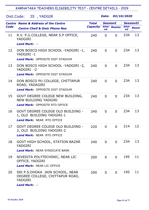## Dist.Code: 35 , YADGIR

|      | <b>Centre Name &amp; Address of the Centre</b>                                                               | <b>Total</b>    | <b>SessionI</b> |                     | <b>SessionII</b> |             |
|------|--------------------------------------------------------------------------------------------------------------|-----------------|-----------------|---------------------|------------------|-------------|
| Code | <b>Centre Cheif &amp; their Phone Nos</b>                                                                    | <b>Capacity</b> | ed              | <b>Allot-</b> Rooms | Allot-<br>ed     | <b>Room</b> |
| 11   | R.V. P.U.COLLEGE, NEAR S.P OFFICE,<br>YADGIRI                                                                | 240             | $\overline{0}$  | $\Omega$            | 234              | 13          |
|      | <b>Land Mark: --</b>                                                                                         |                 |                 |                     |                  |             |
| 12   | DON BOSCO HIGH SCHOOL - YADGIRI -1,<br>YADGIRI-1                                                             | 240             | $\Omega$        | $\Omega$            | 234              | 13          |
|      | <b>Land Mark: OPPOSITE DIST STADIUM</b>                                                                      |                 |                 |                     |                  |             |
| 13   | DON BOSCO HIGH SCHOOL -YADGIRI -2,<br>YADGIRI -2                                                             | 240             | $\Omega$        | $\Omega$            | 234              | 13          |
|      | <b>Land Mark: OPPOSITE DIST STADIUM</b>                                                                      |                 |                 |                     |                  |             |
| 14   | DON BOSCO PU COLLEGE, CHITTAPUR<br>ROAD, YADAGIRI                                                            | 240             | $\Omega$        | $\Omega$            | 234              | 13          |
|      | <b>Land Mark: OPPOSITE DIST STADIUM</b>                                                                      |                 |                 |                     |                  |             |
| 15   | GOVT DEGREE COLEGE NEW BUILDING,<br>NEW BUILDING YADGIRI<br><b>Land Mark: OPPOSITE RTO OFFICE</b>            | 240             | $\Omega$        | $\Omega$            | 234              | 13          |
| 16   | GOVT DEGREE COLEGE OLD BUILDING -<br>1, OLD BUILDING YADGIRI-1<br><b>Land Mark: NEAR RTO OFFICE</b>          | 240             | $\Omega$        | $\Omega$            | 234              | 13          |
| 17   | <b>GOVT DEGREE COLEGE OLD BUILDING -</b><br>2, OLD BUILDING YADGIRI-2<br><b>Land Mark: NEAR RTO OFFICE</b>   | 220             | 0               | $\Omega$            | 214              | 12          |
| 18   | GOVT HIGH SCHOOL, STATION BAZAR<br>YADGIRI<br><b>Land Mark: NEAR SYNDICATE BANK</b>                          | 240             | $\Omega$        | $\Omega$            | 234              | 13          |
| 19   | NIVEDITA POLYTECHINIC, NEAR LIC<br>OFFICE, YADGIRI<br>Land Mark: NEAR LIC OFFICE                             | 200             | $\overline{0}$  | $\overline{0}$      | 195              | 11          |
| 20   | SRI P.S.DHOKA JAIN SCHOOL, NEAR<br>DEGREE COLLEGE, CHITTAPUR ROAD,<br><b>YADGIRI</b><br><b>Land Mark: --</b> | 200             | $\Omega$        | $\Omega$            | 195              | 11          |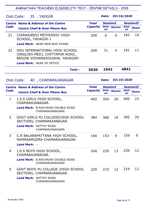## Dist.Code: 35 , YADGIR

Date: 03/10/2020

|      | <b>Centre Name &amp; Address of the Centre</b>                                                                                        | Total           | <b>SessionI</b> |             | <b>SessionII</b> |             |
|------|---------------------------------------------------------------------------------------------------------------------------------------|-----------------|-----------------|-------------|------------------|-------------|
| Code | <b>Centre Cheif &amp; their Phone Nos</b>                                                                                             | <b>Capacity</b> | ed              | Allot-Rooms | Allot-<br>ed     | <b>Room</b> |
| 21   | CHIRANJEEVI METHODIST HIGH<br>SCHOOL, YADAGIR-1<br><b>Land Mark:</b> NEAR NEW BUS STAND                                               | 200             | $\Omega$        | $\Omega$    | 183              | 10          |
| 22   | DDU INTERNATIONAL HIGH SCHOOL<br>(ENGLISH MED), CHITTAPUR ROAD,<br>BESIDE VIDHANASOUDHA, YADAGIRI<br><b>Land Mark: NEAR SP OFFICE</b> | 240             | 71              | 5           | 191              | 11          |
|      | Total :                                                                                                                               | 5020            | 1942            |             | 4841             |             |

#### Dist.Code: 40 , CHAMARAJANAGAR

| <b>Centre</b>  | <b>Name &amp; Address of the Centre</b>                                                                            | <b>Total</b>    | <b>SessionI</b> |                     | <b>SessionII</b> |             |
|----------------|--------------------------------------------------------------------------------------------------------------------|-----------------|-----------------|---------------------|------------------|-------------|
| <b>Code</b>    | <b>Centre Cheif &amp; their Phone Nos</b>                                                                          | <b>Capacity</b> | ed              | <b>Allot-</b> Rooms | Allot-<br>ed     | <b>Room</b> |
| 1              | J.S.S GIRLS HIGH SCHOOL,<br>CHAMARAJANAGAR.                                                                        | 402             | 354             | 20                  | 400              | 23          |
|                | <b>Land Mark:</b> B.RACHAIAH DOUBLE ROAD<br>CHAMARAJANAGARA                                                        |                 |                 |                     |                  |             |
| $\overline{2}$ | GOVT GIRLS PU COLLEGE(HIGH SCHOOL<br>SECTION), CHAMARAJANAGAR.<br><b>Land Mark: SATTHY ROAD</b><br>CHAMARAJANAGARA | 384             | 366             | 19                  | 382              | 20          |
| 3              | C.R BALARAPATTANA HIGH SCHOOL,<br>RAMASAMUDRA CHAMARAJANAGAR.<br><b>Land Mark: --</b>                              | 160             | 153             | 9                   | 159              | 9           |
| 4              | J.S.S BOYS HIGH SCHOOL,<br>CHAMARAJANAGAR.<br><b>Land Mark:</b> B.RACHAIAH DOUBLE ROAD<br>CHAMARAJANAGARA          | 240             | 229             | 13                  | 239              | 12          |
| 5              | GOVT BOYS PU COLLEGE (HIGH SCHOOL<br>SECTION), CHAMARAJANAGAR.<br><b>Land Mark: SATTHY ROAD</b><br>CHAMARAJANAGARA | 220             | 210             | 12                  | 219              | 12          |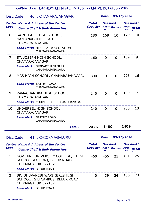## Dist.Code: 40 , CHAMARAJANAGAR

Date: 03/10/2020

|             | <b>Centre Name &amp; Address of the Centre</b>                                                                              | <b>Total</b>    | <b>SessionI</b> |                     | <b>SessionII</b> |             |
|-------------|-----------------------------------------------------------------------------------------------------------------------------|-----------------|-----------------|---------------------|------------------|-------------|
| <b>Code</b> | <b>Centre Cheif &amp; their Phone Nos</b>                                                                                   | <b>Capacity</b> | ed              | <b>Allot-</b> Rooms | Allot-<br>ed     | <b>Room</b> |
| 6           | SAINT PAUL HIGH SCHOOL,<br>NANJANAGOOD ROAD<br>CHAMARAJANAGAR.<br><b>Land Mark: NEAR RAILWAY STATION</b><br>CHAMARAJANAGARA | 180             | 168             | 10                  | 179              | 10          |
| 7           | ST. JOSEPH HIGH SCHOOL,<br>CHAMARAJANAGAR.<br><b>Land Mark: SIDDARTHANAGARA</b><br><b>CHAMARAJANAGARA</b>                   | 160             | $\Omega$        | $\Omega$            | 159              | 9           |
| 8           | MCS HIGH SCHOOL, CHAMARAJANAGAR.<br><b>Land Mark: SATTHY ROAD</b><br>CHAMARAJANAGARA                                        | 300             | $\overline{0}$  | $\Omega$            | 298              | 16          |
| 9           | RAMACHANDRA HIGH SCHOOL,<br>CHAMARAJANAGAR.<br><b>Land Mark: COURT ROAD CHAMARAJANAGAR</b>                                  | 140             | $\overline{0}$  | $\Omega$            | 139              | 7           |
| 10          | UNIVERSEL HIGH SCHOOL,<br>CHAMARAJANAGAR.<br><b>Land Mark: SATTHY ROAD</b><br>CHAMARAJANAGARA                               | 240             | $\Omega$        | $\Omega$            | 235              | 13          |
|             | <b>Total:</b>                                                                                                               | 2426            | 1480            |                     | 2409             |             |

#### Dist.Code: 41 , CHICKMAGALURU

|               | <b>Centre Name &amp; Address of the Centre</b>                                           | <b>Total</b>    | <b>SessionI</b> |             | <b>SessionII</b> |             |
|---------------|------------------------------------------------------------------------------------------|-----------------|-----------------|-------------|------------------|-------------|
| Code          | <b>Centre Cheif &amp; their Phone Nos</b>                                                | <b>Capacity</b> | ed              | Allot-Rooms | Allot-<br>ed     | <b>Room</b> |
|               | GOVT PRE UNIVERSITY COLLEGE, (HIGH<br>SCHOOL SECTION), BELUR ROAD,<br>CHIKMAGALUR 577102 | 460             | 456             | 25          | 451              | 25          |
|               | <b>Land Mark: BELUR ROAD</b>                                                             |                 |                 |             |                  |             |
| $\mathcal{L}$ | SRI BHUVANESHWARI GIRLS HIGH<br>SCHOOL,, STJ CAMPUS BELUR ROAD,<br>CHIKMAGALUR 577102    | 440             | 439             | 24          | 436              | 23          |
|               | <b>Land Mark: BELUR ROAD</b>                                                             |                 |                 |             |                  |             |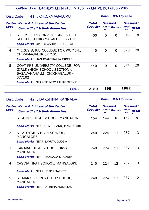## Dist.Code: 41 , CHICKMAGALURU

Date: 03/10/2020

|                                    | <b>Centre Name &amp; Address of the Centre</b>                                                                                                                 | <b>Total</b>    | <b>SessionI</b> |                     |              | <b>SessionII</b> |
|------------------------------------|----------------------------------------------------------------------------------------------------------------------------------------------------------------|-----------------|-----------------|---------------------|--------------|------------------|
| Code                               | <b>Centre Cheif &amp; their Phone Nos</b>                                                                                                                      | <b>Capacity</b> | ed              | <b>Allot-</b> Rooms | Allot-<br>ed | <b>Room</b>      |
| 3                                  | ST.JOSEPH S CONVENT GIRL S HIGH<br>SCHOOL,, CHIKAMAGALUR- 577101<br><b>Land Mark: OPP TO ASHRYA HOSPITAL</b>                                                   | 400             | $\Omega$        | $\Omega$            | 343          | 18               |
| 4                                  | M.E.S.S.S, P.U.COLLEGE FOR WOMEN,<br>CHIKAMAGALUR 577101<br><b>Land Mark: HANUMANTHAPPA CIRCLE</b>                                                             | 440             | $\Omega$        | $\Omega$            | 378          | 20               |
| 5                                  | <b>GOVT PRE UNIVERSITY COLLEGE FOR</b><br>GIRLS (HIGH SCHOOL SECTION),<br>BASAVANAHALLI, CHIKMAGALUR -<br>577102<br><b>Land Mark: NEAR TO NEW TALUK OFFICE</b> | 440             | $\Omega$        | $\Omega$            | 374          | 20               |
|                                    |                                                                                                                                                                |                 |                 |                     |              |                  |
|                                    | <b>Total:</b>                                                                                                                                                  | 2180            | 895             |                     | 1982         |                  |
| Dist.Code:<br>42, DAKSHINA KANNADA |                                                                                                                                                                |                 | Date:           |                     | 03/10/2020   |                  |
|                                    |                                                                                                                                                                |                 |                 |                     |              |                  |
|                                    | <b>Centre Name &amp; Address of the Centre</b>                                                                                                                 | <b>Total</b>    | <b>SessionI</b> |                     |              | <b>SessionII</b> |
| Code                               | <b>Centre Cheif &amp; their Phone Nos</b>                                                                                                                      | <b>Capacity</b> | ed              | Allot-Rooms         | Allot-<br>ed | <b>Room</b>      |
| 1                                  | ST ANN S HIGH SCHOOL, MANGALORE                                                                                                                                | 154             | 144             | 8                   | 152          | 8                |
|                                    | <b>Land Mark: NEAR STATE BANK, MANGALORE</b>                                                                                                                   |                 |                 |                     |              |                  |
| 2                                  | ST ALOYSIUS HIGH SCHOOL,<br><b>MANGALORE</b><br><b>Land Mark: NEAR BAVUTA GUDDA</b>                                                                            | 240             | 224             | 13                  | 237          | 13               |
| 3                                  | CANARA HIGH SCHOOL, URVA,<br><b>MANGALORE</b><br><b>Land Mark: NEAR MANGALA STADIUM</b>                                                                        | 240             | 224             | 13                  | 237          | 13               |
| 4                                  | CASCIA HIGH SCHOOL, MANGALORE<br><b>Land Mark: NEAR JEPPU MARKET</b>                                                                                           | 240             | 224             | 12                  | 237          | 13               |

Land Mark: NEAR ATHENA HOSPITAL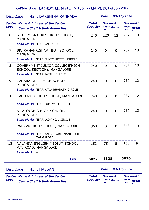## Dist.Code: 42 , DAKSHINA KANNADA

Date: 03/10/2020

|                | <b>Centre Name &amp; Address of the Centre</b>                                                        | <b>Total</b>    | <b>SessionI</b> |                     | <b>SessionII</b> |                  |
|----------------|-------------------------------------------------------------------------------------------------------|-----------------|-----------------|---------------------|------------------|------------------|
| Code           | <b>Centre Cheif &amp; their Phone Nos</b>                                                             | <b>Capacity</b> | ed              | <b>Allot-</b> Rooms | Allot-<br>ed     | <b>Room</b>      |
| 6              | ST GEROSA GIRLS HIGH SCHOOL,<br><b>MANGALORE</b>                                                      | 240             | 220             | 12                  | 237              | 13               |
|                | Land Mark: NEAR VALENCIA                                                                              |                 |                 |                     |                  |                  |
| $\overline{7}$ | SRI RAMAKRISHNA HIGH SCHOOL,<br><b>MANGALORE</b><br><b>Land Mark: NEAR BUNTS HOSTEL CIRCLE</b>        | 240             | $\Omega$        | $\Omega$            | 237              | 13               |
| 8              | <b>GOVERNMENT JUNIOR COLLEGE(HIGH</b><br>SCHOOL SECTION), MANGALORE<br>Land Mark: NEAR JYOTHI CIRCLE, | 240             | $\Omega$        | $\Omega$            | 237              | 13               |
| 9              | CANARA GIRLS HIGH SCHOOL,<br><b>MANGALORE</b><br><b>Land Mark: NEAR NAVA BHARATH CIRCLE</b>           | 240             | $\Omega$        | $\Omega$            | 237              | 13               |
| 10             | CAPITANIO HIGH SCHOOL, MANGALORE<br><b>Land Mark: NEAR PUMPWELL CIRCLE</b>                            | 240             | $\Omega$        | $\Omega$            | 237              | 12               |
| 11             | ST ALOYSIUS HIGH SCHOOL,<br><b>MANGALORE</b><br><b>Land Mark: NEAR LADY HILL CIRCLE</b>               | 240             | $\Omega$        | $\Omega$            | 237              | 13               |
| 12             | PADAVU HIGH SCHOOL, MANGALORE                                                                         | 360             | $\Omega$        | $\Omega$            | 348              | 19               |
|                | Land Mark: NEAR KADRI PARK, NANTHOOR<br><b>MANGALORE</b>                                              |                 |                 |                     |                  |                  |
| 13             | NALANDA ENGLISH MEDIUM SCHOOL,<br>V.T. ROAD, MANGALORE<br><b>Land Mark: --</b>                        | 153             | 75              | 5                   | 150              | 9                |
|                | <b>Total:</b>                                                                                         | 3067            | 1335            |                     | 3020             |                  |
|                | Dist.Code: 43, HASSAN                                                                                 |                 | Date:           |                     | 03/10/2020       |                  |
|                | <b>Centre Name &amp; Address of the Centre</b>                                                        | <b>Total</b>    | <b>SessionI</b> |                     |                  | <b>SessionII</b> |
| Code           | <b>Centre Cheif &amp; their Phone Nos</b>                                                             | <b>Capacity</b> | ed              | <b>Allot-</b> Rooms | Allot-<br>ed     | <b>Room</b>      |

 $\overline{\phantom{a}}$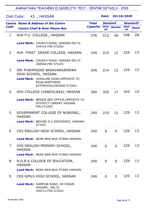| Dist.Code:<br>43, HASSAN |                                                                                             |                 | Date:           | 03/10/2020          |              |                  |
|--------------------------|---------------------------------------------------------------------------------------------|-----------------|-----------------|---------------------|--------------|------------------|
|                          | <b>Centre Name &amp; Address of the Centre</b>                                              | <b>Total</b>    | <b>SessionI</b> |                     |              | <b>SessionII</b> |
| Code                     | <b>Centre Cheif &amp; their Phone Nos</b>                                                   | <b>Capacity</b> | ed              | <b>Allot-</b> Rooms | Allot-<br>ed | <b>Room</b>      |
| 1                        | AVK P.U. COLLEGE,, HASSAN                                                                   | 576             | 512             | 26                  | 548          | 28               |
|                          | Land Mark: CHURCH ROAD, HASSAN 08172-<br>234416 PIN: 573201                                 |                 |                 |                     |              |                  |
| $\overline{2}$           | AVK FIRST GRADE COLLEGE, HASSAN                                                             | 240             | 214             | 12                  | 229          | 13               |
|                          | Land Mark: CHURCH ROAD, HASSAN 08172-<br>268568.PIN:573201                                  |                 |                 |                     |              |                  |
| 3                        | SRI PUSHPAGIRI BASAVARAJENDRA<br>HIGH SCHOOL, HASSAN                                        | 240             | 214             | 12                  | 229          | 13               |
|                          | Land Mark: HOSALINE ROAD, OPPOSITE TO<br><b>EDGA, NORTHERN</b><br>EXTENSION, HASSAN-573201. |                 |                 |                     |              |                  |
| $\overline{4}$           | GPU COLLEGE (VANIVILASA), HASSAN                                                            | 360             | 320             | 17                  | 343          | 19               |
|                          | Land Mark: BESIDE BEO OFFICE, OPPOSITE TO<br>DISTRICT LIBRARY HASSAN<br>PIN: 573202         |                 |                 |                     |              |                  |
| 5                        | GOVERNMENT COLLEGE OF NURSING,<br><b>HASSAN</b>                                             | 240             | 210             | 12                  | 229          | 13               |
|                          | Land Mark: BEHIND D.C RESIDENCE, HASSAN-<br>573201                                          |                 |                 |                     |              |                  |
| 6                        | CKS ENGLISH HIGH SCHOOL, HASSAN                                                             | 240             | $\Omega$        | $\Omega$            | 229          | 13               |
|                          | <b>Land Mark: NEAR NEW BUS STAND HASSAN</b>                                                 |                 |                 |                     |              |                  |
| $\overline{7}$           | CKS ENGLISH PRIMARY SCHOOL,<br><b>HASSAN</b>                                                | 240             | $\Omega$        | $\Omega$            | 229          | 13               |
|                          | <b>Land Mark: NEAR NEW BUS STAND HASSAN</b>                                                 |                 |                 |                     |              |                  |
| 8                        | N.D.R.K.COLLEGE OF EDUCATION,<br><b>HASSAN</b>                                              | 240             | $\Omega$        | $\Omega$            | 229          | 13               |
|                          | <b>Land Mark: NEAR NEW BUS STAND HASSAN</b>                                                 |                 |                 |                     |              |                  |

9 CKS GIRLS HIGH SCHOOL, HASSAN 240 0 0 229 13

Land Mark: SAMPIGE ROAD, KR PURAM HASSAN , 08172- 269112.PIN:573201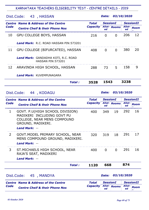|                       | 03/10/2020<br>43, HASSAN<br><b>Date:</b><br>Dist.Code:                               |                          |                       |             |              |                                 |
|-----------------------|--------------------------------------------------------------------------------------|--------------------------|-----------------------|-------------|--------------|---------------------------------|
| <b>Centre</b><br>Code | <b>Name &amp; Address of the Centre</b><br><b>Centre Cheif &amp; their Phone Nos</b> | Total<br><b>Capacity</b> | <b>SessionI</b><br>ed | Allot-Rooms | Allot-<br>ed | <b>SessionII</b><br><b>Room</b> |
| 10                    | <b>GPU COLLEGE BOYS, HASSAN</b>                                                      | 216                      | $\overline{0}$        | $\Omega$    | 206          | 12                              |
|                       | <b>Land Mark:</b> R.C. ROAD HASSAN PIN:573201                                        |                          |                       |             |              |                                 |
| 11                    | GPU COLLEGE (BIFURCATED), HASSAN                                                     | 408                      | $\Omega$              | $\Omega$    | 380          | 20                              |
|                       | Land Mark: GANDADHA KOTI, R.C. ROAD<br><b>HASSAN PIN: 573201</b>                     |                          |                       |             |              |                                 |
| 12                    | ARAVINDA HIGH SCHOOL, HASSAN                                                         | 288                      | 73                    | 5           | 158          | 9                               |
|                       | <b>Land Mark: KUVEMPUNAGARA</b>                                                      |                          |                       |             |              |                                 |
|                       | <b>Total:</b>                                                                        | 3528                     | 1543                  |             | 3238         |                                 |
|                       |                                                                                      |                          |                       |             |              |                                 |

| Dist.Code:  | 44, KODAGU                                                                                                                                |                                 | Date:           |                     | 03/10/2020       |                  |  |
|-------------|-------------------------------------------------------------------------------------------------------------------------------------------|---------------------------------|-----------------|---------------------|------------------|------------------|--|
|             | <b>Centre Name &amp; Address of the Centre</b>                                                                                            | <b>Total</b><br><b>Capacity</b> | <b>SessionI</b> |                     |                  | <b>SessionII</b> |  |
| <b>Code</b> | <b>Centre Cheif &amp; their Phone Nos</b>                                                                                                 |                                 | ed              | Allot-Rooms         | Allot-<br>ed     | <b>Room</b>      |  |
| 1           | GOVT. P.U(HIGH SCHOOL DIVISION)<br>MADIKERI INCLUDING GOVT PU<br><b>COLLEGE, NEAR MENS COMPOUND</b><br>GROUND, MADIKERI.<br>Land Mark: -- | 400                             | 349             | 19                  | 292              | 16               |  |
| 2           | GOVT. MODEL PRIMARY SCHOOL, NEAR<br>MENS COMPOUND GROUND, MADIKERI.<br>Land Mark: --                                                      | 320                             | 319             | 18                  | 291              | 17               |  |
| 3           | ST. MICHAELS HIGH SCHOOL, NEAR<br>RAJA'S SEAT, MADIKERI<br>Land Mark: --                                                                  | 400                             | $\Omega$        | $\Omega$            | 291              | 16               |  |
|             | <b>Total:</b>                                                                                                                             | 1120                            | 668             |                     | 874              |                  |  |
|             | 03/10/2020<br>Dist.Code: 45, MANDYA<br>Date:                                                                                              |                                 |                 |                     |                  |                  |  |
|             | <b>Centre Name &amp; Address of the Centre</b>                                                                                            | <b>Total</b>                    | <b>SessionI</b> |                     | <b>SessionII</b> |                  |  |
| <b>Code</b> | <b>Centre Cheif &amp; their Phone Nos</b>                                                                                                 | <b>Capacity</b>                 | ed              | <b>Allot-</b> Rooms | Allot-<br>ed     | <b>Room</b>      |  |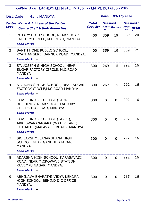Dist.Code: 45 , MANDYA

|                | <b>Centre Name &amp; Address of the Centre</b>                                                                             | <b>Total</b><br><b>Capacity</b> | <b>SessionI</b> |                     | <b>SessionII</b> |             |
|----------------|----------------------------------------------------------------------------------------------------------------------------|---------------------------------|-----------------|---------------------|------------------|-------------|
| Code           | <b>Centre Cheif &amp; their Phone Nos</b>                                                                                  |                                 | ed              | <b>Allot-</b> Rooms | Allot-<br>ed     | <b>Room</b> |
| 1              | ROTARY HIGH SCHOOL, NEAR SUGAR<br>FACTORY CIRCLE, M.C.ROAD, MANDYA<br><b>Land Mark: --</b>                                 | 400                             | 359             | 19                  | 389              | 20          |
| $\overline{2}$ | SANTH HOME PUBLIC SCHOOL,<br>KYATHAMGERE, BANNUR ROAD, MANDYA.<br><b>Land Mark: --</b>                                     | 400                             | 359             | 19                  | 389              | 21          |
| 3              | ST. JOSEPH S HIGH SCHOOL, NEAR<br>SUGAR FACTORY CIRCLE, M.C.ROAD<br><b>MANDYA</b><br><b>Land Mark: --</b>                  | 300                             | 269             | 15                  | 292              | 16          |
| 4              | ST. JOHN S HIGH SCHOOL, NEAR SUGAR<br>FACTORY CIRCLE, M.C. ROAD MANDYA<br><b>Land Mark: --</b>                             | 300                             | 267             | 15                  | 292              | 16          |
| 5              | <b>GOVT.JUNIOR COLLEGE (STONE</b><br>BUILDING), NEAR SUGAR FACTORY<br>CIRCLE, M.C.ROAD, MANDYA<br><b>Land Mark: --</b>     | 300                             | $\overline{0}$  | $\Omega$            | 292              | 16          |
| 6              | GOVT.JUNIOR COLLEGE (GIRLS),<br>ARKESWARANAGARA (WATER TANK),<br>GUTHALU. (MALAVALLI ROAD), MANDYA<br><b>Land Mark: --</b> | 300                             | $\mathbf 0$     | $\overline{0}$      | 292              | 16          |
| 7              | SRI LAKSHMI JANARDHANA HIGH<br>SCHOOL, NEAR GANDHI BHAVAN,<br><b>MANDYA</b><br>Land Mark: --                               | 300                             | $\Omega$        | $\Omega$            | 292              | 16          |
| 8              | ADARSHA HIGH SCHOOL, KARASAVADI<br>ROAD, NEAR MICROWAVE STATION,<br>KUVEMPU NAGAR, MANDYA.<br><b>Land Mark: --</b>         | 300                             | $\Omega$        | $\Omega$            | 292              | 16          |
| 9              | ABHINAVA BHARATHI VIDYA KENDRA<br>HIGH SCHOOL, BEHIND D C OFFICE<br>MANDYA.<br><b>Land Mark: --</b>                        | 300                             | $\Omega$        | $\Omega$            | 285              | 16          |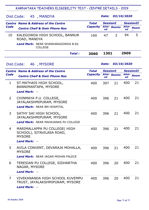| Dist.Code:  | 45, MANDYA                                                                                            |                                 | Date:                 |                     | 03/10/2020       |                                 |  |
|-------------|-------------------------------------------------------------------------------------------------------|---------------------------------|-----------------------|---------------------|------------------|---------------------------------|--|
| Code        | <b>Centre Name &amp; Address of the Centre</b><br><b>Centre Cheif &amp; their Phone Nos</b>           | <b>Total</b><br><b>Capacity</b> | <b>SessionI</b><br>ed | <b>Allot-</b> Rooms | Allot-<br>ed     | <b>SessionII</b><br><b>Room</b> |  |
| 10          | KALEGOWDA HIGH SCHOOL, BANNUR<br>ROAD, MANDYA<br>Land Mark: NEAR SHANKARAGOWDA B.Ed<br><b>COLLEGE</b> | 160                             | 47                    | 3                   | 94               | 5                               |  |
|             | <b>Total:</b>                                                                                         | 3060                            | 1301                  |                     | 2909             |                                 |  |
| Dist.Code:  | 46, MYSORE                                                                                            |                                 | Date:                 |                     | 03/10/2020       |                                 |  |
|             | <b>Centre Name &amp; Address of the Centre</b>                                                        | <b>Total</b>                    | <b>SessionI</b>       |                     | <b>SessionII</b> |                                 |  |
| Code        | <b>Centre Cheif &amp; their Phone Nos</b>                                                             | <b>Capacity</b>                 | ed                    | Allot-Rooms         | Allot-<br>ed     | <b>Room</b>                     |  |
| $\mathbf 1$ | ST. MATHAIS HIGH SCHOOL,<br>BANNIMANTAPA, MYSORE                                                      | 400                             | 397                   | 21                  | 400              | 21                              |  |
|             | Land Mark: --                                                                                         |                                 |                       |                     |                  |                                 |  |
| 2           | CHINMAYA P.U. COLLEGE,<br>JAYALAKSHMIPURAM, MYSORE<br><b>Land Mark: NEAR BM HOSPITAL</b>              | 400                             | 396                   | 21                  | 400              | 21                              |  |
|             |                                                                                                       |                                 |                       |                     |                  |                                 |  |
| 3           | SATHY SAI HIGH SCHOOL,<br>JAYALAKSHMIPURAM, MYSORE<br><b>Land Mark: NEAR MAHAJANAS PU COLLEGE</b>     | 400                             | 396                   | 21                  | 400              | 21                              |  |
| 4           | MARIMALLAPPA PU COLLEGE( HIGH<br>SCHOOL), SITAVILASA ROAD,<br><b>MYSORE</b><br>Land Mark: --          | 400                             | 396                   | 21                  | 400              | 21                              |  |
|             |                                                                                                       |                                 |                       |                     |                  |                                 |  |
| 5           | AVILA CONVENT, DEVARAJA MOHALLA,<br><b>MYSORE</b>                                                     | 400                             | 396                   | 21                  | 400              | 21                              |  |
|             | <b>Land Mark: NEAR JAGAN MOHAN PALECE</b>                                                             |                                 |                       |                     |                  |                                 |  |
| 6           | TERESIAN PU COLLEGE, SIDHARTHA<br>NAGAR, MYSORE<br>Land Mark: --                                      | 400                             | 396                   | 20                  | 400              | 21                              |  |
| 7           | VIVEKANANDA HIGH SCHOOL KUVEMPU<br>TRUST, JAYALAKSHMIPURAM, MYSORE                                    | 400                             | 396                   | 20                  | 400              | 21                              |  |

Land Mark: --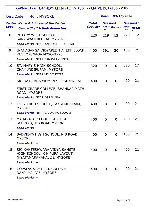## Dist.Code: 46 , MYSORE

|      | <b>Centre Name &amp; Address of the Centre</b>                                                                           | <b>Total</b>    | <b>SessionI</b> |                     | <b>SessionII</b> |             |
|------|--------------------------------------------------------------------------------------------------------------------------|-----------------|-----------------|---------------------|------------------|-------------|
| Code | <b>Centre Cheif &amp; their Phone Nos</b>                                                                                | <b>Capacity</b> | ed              | <b>Allot-</b> Rooms | Allot-<br>ed     | <b>Room</b> |
| 8    | ROTARY WEST SCHOOL,<br>SARASWATHIPURAM MYSORE<br><b>Land Mark: NEAR KAMAKSHI HOSPITAL</b>                                | 220             | 219             | 12                  | 220              | 12          |
| 9    | JNANAGANGA VIDYAPEETHA, E&F BLOCK<br><b>KUVEMPUNAGA MYSORE-23</b><br><b>Land Mark: NEAR BANAVI HOSPITAL</b>              | 400             | 391             | 20                  | 400              | 21          |
| 10   | ST. MARY S HIGH SCHOOL,<br>CHAMUNDIPURAM, MYSORE<br><b>Land Mark: NEAR YELE THOTTA</b>                                   | 320             | $\overline{0}$  | $\Omega$            | 320              | 17          |
| 11   | SRI NATARAJA WOMEN S RESIDENTIAL<br>FIRST GRADE COLLEGE, SHANKAR MATH<br>ROAD, MYSORE<br><b>Land Mark: NEAR AGRAHARA</b> | 400             | $\Omega$        | $\Omega$            | 400              | 21          |
| 12   | J.S.S. HIGH SCHOOL, LAKSHMIPURAM,<br><b>MYSORE</b><br><b>Land Mark: NEAR SIDDAPPA SQUARE</b>                             | 400             | $\Omega$        | $\Omega$            | 400              | 21          |
| 13   | MAHARAJA PU COLLEGE (HIGH<br>SCHOOL), JLB ROAD MYSORE<br><b>Land Mark: --</b>                                            | 400             | $\Omega$        | $\Omega$            | 400              | 21          |
| 14   | SADVIDYA HIGH SCHOOL, N S ROAD,<br><b>MYSORE</b><br>Land Mark: --                                                        | 400             | 0               | $\Omega$            | 400              | 21          |
| 15   | SRI KANTESHWARA VIDYA SAMSTE<br>HIGH SCHOOL, K N PURA LAYOUT<br>(KYATAMARANAHALLI), MYSORE<br><b>Land Mark: --</b>       | 400             | $\mathbf 0$     | $\Omega$            | 400              | 21          |
| 16   | GOPALASWAMY P.U. COLLEGE,<br>NANJUMALIGE, MYSORE<br><b>Land Mark: --</b>                                                 | 400             | $\mathbf{0}$    | $\Omega$            | 400              | 21          |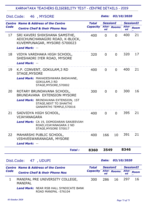KARNATAKA TEACHERS ELIGIBILITY TEST - CENTRE DETAILS - 2019

## Dist.Code: 46 , MYSORE

Date: 03/10/2020

| Code | <b>Centre Name &amp; Address of the Centre</b>                                                            |                                                                                            | <b>Total</b>    | <b>SessionI</b> |              | <b>SessionII</b> |             |
|------|-----------------------------------------------------------------------------------------------------------|--------------------------------------------------------------------------------------------|-----------------|-----------------|--------------|------------------|-------------|
|      | <b>Centre Cheif &amp; their Phone Nos</b>                                                                 |                                                                                            | <b>Capacity</b> | Allot-<br>ed    | <b>Rooms</b> | Allot-<br>ed     | <b>Room</b> |
| 17   | SRI KAVERI SHIKSHANA SAMSTHE,<br>KUVEMPUNAGAR, MYSORE-5700023<br><b>Land Mark: --</b>                     | ADICHUNCHANAGIRI ROAD, K-BLOCK,                                                            | 400             | $\mathbf 0$     | $\Omega$     | 400              | 21          |
| 18   | VIDYA VARDHAKA HIGH SCHOOL,<br>SHESHADRI IYER ROAD, MYSORE<br><b>Land Mark: --</b>                        |                                                                                            | 320             | $\mathbf 0$     | $\Omega$     | 320              | 17          |
| 19   | K.P. CONVENT, GOKULAM, 3 RD<br>STAGE, MYSORE<br>Land Mark: MAHADESHWARA BADAVANE,<br><b>GOKULAM, 3 RD</b> | STAGE, MYSORE, 570002                                                                      | 400             | $\mathbf 0$     | $\Omega$     | 400              | 21          |
| 20   | ROTARY BRUNDAVANA SCHOOL,<br>BRUNDAVANA EXTENSION MYSORE                                                  | Land Mark: BRINDAVANA EXTENSION, 1ST<br>STAGE, NEXT TO SHAKTHI<br>GANAPATHI TEMPLE, 570016 | 300             | $\mathbf 0$     | $\Omega$     | 300              | 16          |
| 21   | SADVIDYA HIGH SCHOOL,<br>VIJAYANAGARA                                                                     | Land Mark: CA 19, DOMODARAN SANJEEVIAH<br>ROAD, VIJAYANAGARA 2 ND<br>STAGE, MYSORE 570017  | 400             | $\mathbf 0$     | $\Omega$     | 395              | 21          |
| 22   | MAHARSHI PUBLIC SCHOOL,<br>VISHVESWARANAGAR, MYSORE<br>Land Mark: --                                      |                                                                                            | 400             | 166             | 10           | 391              | 21          |
|      |                                                                                                           | <b>Total:</b>                                                                              | 8360            | 3549            |              | 8346             |             |

## Dist.Code: 47 , UDUPI

Date: 03/10/2020

| <b>Code</b> | <b>Centre Name &amp; Address of the Centre</b><br><b>Centre Cheif &amp; their Phone Nos</b> | <b>Total</b><br><b>Capacity</b> | <b>SessionI</b><br>ed | Allot-Rooms | <b>SessionII</b><br>Allot-<br>ed | <b>Room</b> |
|-------------|---------------------------------------------------------------------------------------------|---------------------------------|-----------------------|-------------|----------------------------------|-------------|
|             | MANIPAL PRE UNIVERSITY COLLEGE,<br>MANIPAL                                                  | 300                             | 286                   | -16         | 297                              | 16          |
|             | Land Mark: NEAR RSB HALL SYNDICATE BANK<br>ROAD MANIPAL -576104                             |                                 |                       |             |                                  |             |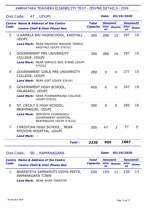KARNATAKA TEACHERS ELIGIBILITY TEST - CENTRE DETAILS - 2019

Dist.Code: 47 , UDUPI

| <b>Code</b>    | <b>Centre Name &amp; Address of the Centre</b>                                                 | <b>Total</b>    | <b>SessionI</b> |                     | <b>SessionII</b>    |             |
|----------------|------------------------------------------------------------------------------------------------|-----------------|-----------------|---------------------|---------------------|-------------|
|                | <b>Centre Cheif &amp; their Phone Nos</b>                                                      | <b>Capacity</b> | ed              | <b>Allot-</b> Rooms | <b>Allot-</b><br>ed | <b>Room</b> |
| 2              | U KAMALA BAI HIGHSCHOOL, KADIYALI,<br><b>UDUPI</b>                                             | 300             | 286             | 15                  | 297                 | 16          |
|                | <b>Land Mark:</b> NEAR MAHISHA MARDINI TEMPLE<br>KADIYALI UDUPI-576101                         |                 |                 |                     |                     |             |
| 3              | <b>GOVERNMENT PRE UNIVERSITY</b><br>COLLEGE, UDUPI                                             | 300             | 286             | 16                  | 297                 | 15          |
|                | <b>Land Mark: NEAR SERVICE BUS STAND UDUPI-</b><br>576101                                      |                 |                 |                     |                     |             |
| $\overline{4}$ | <b>GOVERNMENT GIRLS PRE UNIVERSITY</b><br><b>COLLEGE, UDUPI</b>                                | 280             | $\Omega$        | $\Omega$            | 277                 | 15          |
|                | <b>Land Mark: NEAR DIET UDUPI-576101</b>                                                       |                 |                 |                     |                     |             |
| 5              | <b>GOVERNMENT HIGH SCHOOL,</b><br>VALAKADU, UDUPI                                              | 450             | $\Omega$        | $\Omega$            | 347                 | 19          |
|                | <b>Land Mark: NEAR POORNAPRAJNA COLLEGE</b><br>UDUPI-576101                                    |                 |                 |                     |                     |             |
| 6              | ST. CECILY S HIGH SCHOOL,<br>BRAHMAGIRI, UDUPI                                                 | 300             | $\overline{0}$  | $\Omega$            | 295                 | 16          |
|                | <b>Land Mark: OPPOSITE AJJARAKADU</b><br><b>GOVERNMENT HOSPITAL</b><br>BRAHMAGIRI UDUPI-576101 |                 |                 |                     |                     |             |
| $\overline{7}$ | CHRISTIAN HIGH SCHOOL, NEAR<br>MISSION HOSPITAL, UDUPI                                         | 300             | 47              | 3                   | 77                  | 5           |
|                | <b>Land Mark: --</b>                                                                           |                 |                 |                     |                     |             |
|                | Total :                                                                                        | 2230            | 905             |                     | 1887                |             |
| Dist.Code:     | 50, RAMANAGARA                                                                                 |                 | Date:           |                     | 03/10/2020          |             |

| <b>Capacity</b> |             |              | <b>SessionII</b> |  |
|-----------------|-------------|--------------|------------------|--|
| ed              | Allot-Rooms | Allot-<br>ed | <b>Room</b>      |  |
|                 | 11          | -236         | -13              |  |
|                 |             | 195          |                  |  |

Land Mark: NEAR SHAN THEATOR